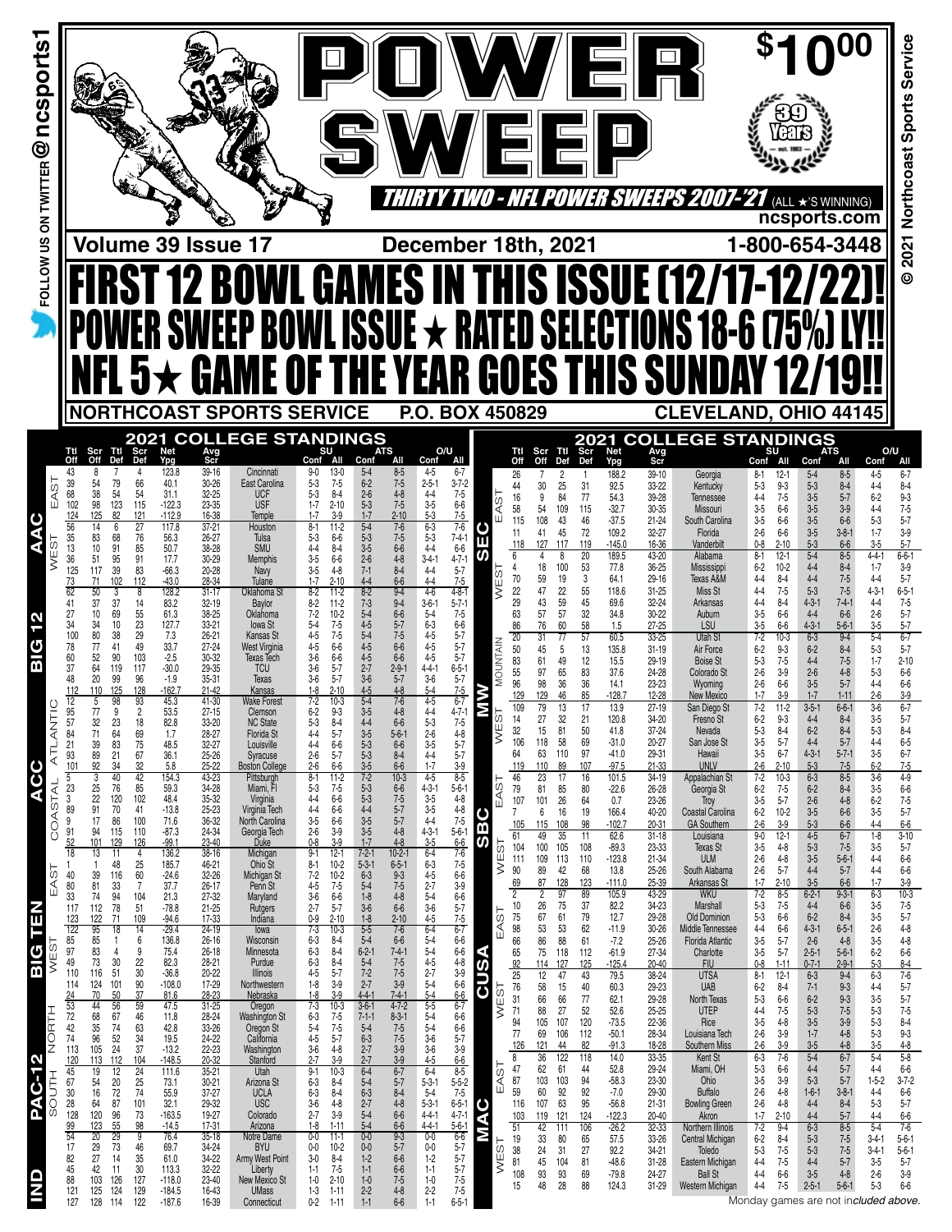|                                                                                                                                                                                                                                                                                                                                                                                                                                                                                                                                                                                                                                                                                                                                                                                                                                                                                                                                                                                                                                                                                                                                                                                                                                                                                                                                                                                                                                                                                                                                                                                                                                                                                                                                                                                                                                                                                                                                                                                                                                                                         |                                                                                                                                                                                                                                                                                                                                                                                                                                                                                                                                                                                                                                                                                                                                                                                                                                                                                                                                                                                                                                                                                                                                                                                                                                              |                                                                                                                                                                                                                                                                                                                                                                                                                                                                                                                                                                                                                                                                                                                                                                                                                                                                                                                                                                                                                                                                                                                                                                                                                                                                                                                                                                                                                                          |                                                                                                                                                                                                                                                                                                                                                                                                                                                                                                                                                                                                                                                                                                                                                                                                                                                                                                                                                                                                                                                                                                                                                                                                                                                                                                                                                                                                                                                                                                                                                                                                                                                                                                                                                                                                                                                                                                                                                                                        |                                                                                                                                                                                                                                                                                                                                                                                                                                                                                                                                                                                                                                                                                                                                                                                                                                                                                                                                                                                                                                                                                                                                                                                                                                                                                                                                                                                                                                                                                                          |                                                                                                                                                                                                                                                                                                                                                                                                                                                                                                                                                                                                                                                                                                                                                                                                                                                                                                                                                                                                                                                                                                                                                                                                                                                                                                                                                                                                                                                                         |                                                                                                                                                                                                                                                                                                                                                                                                                                                                                                                                                                                                                                                                                                                                                                                                                                                                                                                                                                                                                                                                                                                                                              | <i><b>LEPS 2001-2</b></i>                                                                                                                                                                                                                                                                                                                                                                                                                                                                                                                                                                                                                                                                                                                                                                 | (ALL ★'S WINNING)                                                                                                                                                                                                                                                                                                                                                                                                                                                                                                                                                                                                                                                                                                                                                                                                                                                                                                                                                                                                                                                                                                                                                                                                                                                                                                                                                                                                                                                                                                                                                                                                                                                                                                                                                                                                                                                             |                                                                                                                                                                                                                                                                                                                                                                                                                                                                                                                                                                                                                                                                                                                                                                                                                                                                                                                                                                                                                                                                                                                                                                                                                                                                                                                             |
|-------------------------------------------------------------------------------------------------------------------------------------------------------------------------------------------------------------------------------------------------------------------------------------------------------------------------------------------------------------------------------------------------------------------------------------------------------------------------------------------------------------------------------------------------------------------------------------------------------------------------------------------------------------------------------------------------------------------------------------------------------------------------------------------------------------------------------------------------------------------------------------------------------------------------------------------------------------------------------------------------------------------------------------------------------------------------------------------------------------------------------------------------------------------------------------------------------------------------------------------------------------------------------------------------------------------------------------------------------------------------------------------------------------------------------------------------------------------------------------------------------------------------------------------------------------------------------------------------------------------------------------------------------------------------------------------------------------------------------------------------------------------------------------------------------------------------------------------------------------------------------------------------------------------------------------------------------------------------------------------------------------------------------------------------------------------------|----------------------------------------------------------------------------------------------------------------------------------------------------------------------------------------------------------------------------------------------------------------------------------------------------------------------------------------------------------------------------------------------------------------------------------------------------------------------------------------------------------------------------------------------------------------------------------------------------------------------------------------------------------------------------------------------------------------------------------------------------------------------------------------------------------------------------------------------------------------------------------------------------------------------------------------------------------------------------------------------------------------------------------------------------------------------------------------------------------------------------------------------------------------------------------------------------------------------------------------------|------------------------------------------------------------------------------------------------------------------------------------------------------------------------------------------------------------------------------------------------------------------------------------------------------------------------------------------------------------------------------------------------------------------------------------------------------------------------------------------------------------------------------------------------------------------------------------------------------------------------------------------------------------------------------------------------------------------------------------------------------------------------------------------------------------------------------------------------------------------------------------------------------------------------------------------------------------------------------------------------------------------------------------------------------------------------------------------------------------------------------------------------------------------------------------------------------------------------------------------------------------------------------------------------------------------------------------------------------------------------------------------------------------------------------------------|----------------------------------------------------------------------------------------------------------------------------------------------------------------------------------------------------------------------------------------------------------------------------------------------------------------------------------------------------------------------------------------------------------------------------------------------------------------------------------------------------------------------------------------------------------------------------------------------------------------------------------------------------------------------------------------------------------------------------------------------------------------------------------------------------------------------------------------------------------------------------------------------------------------------------------------------------------------------------------------------------------------------------------------------------------------------------------------------------------------------------------------------------------------------------------------------------------------------------------------------------------------------------------------------------------------------------------------------------------------------------------------------------------------------------------------------------------------------------------------------------------------------------------------------------------------------------------------------------------------------------------------------------------------------------------------------------------------------------------------------------------------------------------------------------------------------------------------------------------------------------------------------------------------------------------------------------------------------------------------|----------------------------------------------------------------------------------------------------------------------------------------------------------------------------------------------------------------------------------------------------------------------------------------------------------------------------------------------------------------------------------------------------------------------------------------------------------------------------------------------------------------------------------------------------------------------------------------------------------------------------------------------------------------------------------------------------------------------------------------------------------------------------------------------------------------------------------------------------------------------------------------------------------------------------------------------------------------------------------------------------------------------------------------------------------------------------------------------------------------------------------------------------------------------------------------------------------------------------------------------------------------------------------------------------------------------------------------------------------------------------------------------------------------------------------------------------------------------------------------------------------|-------------------------------------------------------------------------------------------------------------------------------------------------------------------------------------------------------------------------------------------------------------------------------------------------------------------------------------------------------------------------------------------------------------------------------------------------------------------------------------------------------------------------------------------------------------------------------------------------------------------------------------------------------------------------------------------------------------------------------------------------------------------------------------------------------------------------------------------------------------------------------------------------------------------------------------------------------------------------------------------------------------------------------------------------------------------------------------------------------------------------------------------------------------------------------------------------------------------------------------------------------------------------------------------------------------------------------------------------------------------------------------------------------------------------------------------------------------------------|--------------------------------------------------------------------------------------------------------------------------------------------------------------------------------------------------------------------------------------------------------------------------------------------------------------------------------------------------------------------------------------------------------------------------------------------------------------------------------------------------------------------------------------------------------------------------------------------------------------------------------------------------------------------------------------------------------------------------------------------------------------------------------------------------------------------------------------------------------------------------------------------------------------------------------------------------------------------------------------------------------------------------------------------------------------------------------------------------------------------------------------------------------------|-------------------------------------------------------------------------------------------------------------------------------------------------------------------------------------------------------------------------------------------------------------------------------------------------------------------------------------------------------------------------------------------------------------------------------------------------------------------------------------------------------------------------------------------------------------------------------------------------------------------------------------------------------------------------------------------------------------------------------------------------------------------------------------------|-------------------------------------------------------------------------------------------------------------------------------------------------------------------------------------------------------------------------------------------------------------------------------------------------------------------------------------------------------------------------------------------------------------------------------------------------------------------------------------------------------------------------------------------------------------------------------------------------------------------------------------------------------------------------------------------------------------------------------------------------------------------------------------------------------------------------------------------------------------------------------------------------------------------------------------------------------------------------------------------------------------------------------------------------------------------------------------------------------------------------------------------------------------------------------------------------------------------------------------------------------------------------------------------------------------------------------------------------------------------------------------------------------------------------------------------------------------------------------------------------------------------------------------------------------------------------------------------------------------------------------------------------------------------------------------------------------------------------------------------------------------------------------------------------------------------------------------------------------------------------------|-----------------------------------------------------------------------------------------------------------------------------------------------------------------------------------------------------------------------------------------------------------------------------------------------------------------------------------------------------------------------------------------------------------------------------------------------------------------------------------------------------------------------------------------------------------------------------------------------------------------------------------------------------------------------------------------------------------------------------------------------------------------------------------------------------------------------------------------------------------------------------------------------------------------------------------------------------------------------------------------------------------------------------------------------------------------------------------------------------------------------------------------------------------------------------------------------------------------------------------------------------------------------------------------------------------------------------|
|                                                                                                                                                                                                                                                                                                                                                                                                                                                                                                                                                                                                                                                                                                                                                                                                                                                                                                                                                                                                                                                                                                                                                                                                                                                                                                                                                                                                                                                                                                                                                                                                                                                                                                                                                                                                                                                                                                                                                                                                                                                                         | Volume 39 Issue 17                                                                                                                                                                                                                                                                                                                                                                                                                                                                                                                                                                                                                                                                                                                                                                                                                                                                                                                                                                                                                                                                                                                                                                                                                           |                                                                                                                                                                                                                                                                                                                                                                                                                                                                                                                                                                                                                                                                                                                                                                                                                                                                                                                                                                                                                                                                                                                                                                                                                                                                                                                                                                                                                                          |                                                                                                                                                                                                                                                                                                                                                                                                                                                                                                                                                                                                                                                                                                                                                                                                                                                                                                                                                                                                                                                                                                                                                                                                                                                                                                                                                                                                                                                                                                                                                                                                                                                                                                                                                                                                                                                                                                                                                                                        | December 18th, 2021                                                                                                                                                                                                                                                                                                                                                                                                                                                                                                                                                                                                                                                                                                                                                                                                                                                                                                                                                                                                                                                                                                                                                                                                                                                                                                                                                                                                                                                                                      |                                                                                                                                                                                                                                                                                                                                                                                                                                                                                                                                                                                                                                                                                                                                                                                                                                                                                                                                                                                                                                                                                                                                                                                                                                                                                                                                                                                                                                                                         |                                                                                                                                                                                                                                                                                                                                                                                                                                                                                                                                                                                                                                                                                                                                                                                                                                                                                                                                                                                                                                                                                                                                                              |                                                                                                                                                                                                                                                                                                                                                                                                                                                                                                                                                                                                                                                                                                                                                                                           | ncsports.com<br>1-800-654-3448                                                                                                                                                                                                                                                                                                                                                                                                                                                                                                                                                                                                                                                                                                                                                                                                                                                                                                                                                                                                                                                                                                                                                                                                                                                                                                                                                                                                                                                                                                                                                                                                                                                                                                                                                                                                                                                |                                                                                                                                                                                                                                                                                                                                                                                                                                                                                                                                                                                                                                                                                                                                                                                                                                                                                                                                                                                                                                                                                                                                                                                                                                                                                                                             |
|                                                                                                                                                                                                                                                                                                                                                                                                                                                                                                                                                                                                                                                                                                                                                                                                                                                                                                                                                                                                                                                                                                                                                                                                                                                                                                                                                                                                                                                                                                                                                                                                                                                                                                                                                                                                                                                                                                                                                                                                                                                                         |                                                                                                                                                                                                                                                                                                                                                                                                                                                                                                                                                                                                                                                                                                                                                                                                                                                                                                                                                                                                                                                                                                                                                                                                                                              | <b>12 BOWL GAMES IN THIS ISSUE (12/17-12/2</b><br><b>SWEEP BOWL ISSUE * RATED SELECTIONS 18-6 (75%)</b><br><b>GAME OF THE YEAR GOES THIS SUNI</b>                                                                                                                                                                                                                                                                                                                                                                                                                                                                                                                                                                                                                                                                                                                                                                                                                                                                                                                                                                                                                                                                                                                                                                                                                                                                                        |                                                                                                                                                                                                                                                                                                                                                                                                                                                                                                                                                                                                                                                                                                                                                                                                                                                                                                                                                                                                                                                                                                                                                                                                                                                                                                                                                                                                                                                                                                                                                                                                                                                                                                                                                                                                                                                                                                                                                                                        |                                                                                                                                                                                                                                                                                                                                                                                                                                                                                                                                                                                                                                                                                                                                                                                                                                                                                                                                                                                                                                                                                                                                                                                                                                                                                                                                                                                                                                                                                                          |                                                                                                                                                                                                                                                                                                                                                                                                                                                                                                                                                                                                                                                                                                                                                                                                                                                                                                                                                                                                                                                                                                                                                                                                                                                                                                                                                                                                                                                                         |                                                                                                                                                                                                                                                                                                                                                                                                                                                                                                                                                                                                                                                                                                                                                                                                                                                                                                                                                                                                                                                                                                                                                              |                                                                                                                                                                                                                                                                                                                                                                                                                                                                                                                                                                                                                                                                                                                                                                                           |                                                                                                                                                                                                                                                                                                                                                                                                                                                                                                                                                                                                                                                                                                                                                                                                                                                                                                                                                                                                                                                                                                                                                                                                                                                                                                                                                                                                                                                                                                                                                                                                                                                                                                                                                                                                                                                                               |                                                                                                                                                                                                                                                                                                                                                                                                                                                                                                                                                                                                                                                                                                                                                                                                                                                                                                                                                                                                                                                                                                                                                                                                                                                                                                                             |
| 2021                                                                                                                                                                                                                                                                                                                                                                                                                                                                                                                                                                                                                                                                                                                                                                                                                                                                                                                                                                                                                                                                                                                                                                                                                                                                                                                                                                                                                                                                                                                                                                                                                                                                                                                                                                                                                                                                                                                                                                                                                                                                    |                                                                                                                                                                                                                                                                                                                                                                                                                                                                                                                                                                                                                                                                                                                                                                                                                                                                                                                                                                                                                                                                                                                                                                                                                                              | <b>NORTHCOAST SPORTS SERVICE</b><br><b>COLLEGE STANDINGS</b>                                                                                                                                                                                                                                                                                                                                                                                                                                                                                                                                                                                                                                                                                                                                                                                                                                                                                                                                                                                                                                                                                                                                                                                                                                                                                                                                                                             |                                                                                                                                                                                                                                                                                                                                                                                                                                                                                                                                                                                                                                                                                                                                                                                                                                                                                                                                                                                                                                                                                                                                                                                                                                                                                                                                                                                                                                                                                                                                                                                                                                                                                                                                                                                                                                                                                                                                                                                        | P.O. BOX 450829                                                                                                                                                                                                                                                                                                                                                                                                                                                                                                                                                                                                                                                                                                                                                                                                                                                                                                                                                                                                                                                                                                                                                                                                                                                                                                                                                                                                                                                                                          |                                                                                                                                                                                                                                                                                                                                                                                                                                                                                                                                                                                                                                                                                                                                                                                                                                                                                                                                                                                                                                                                                                                                                                                                                                                                                                                                                                                                                                                                         | 2021                                                                                                                                                                                                                                                                                                                                                                                                                                                                                                                                                                                                                                                                                                                                                                                                                                                                                                                                                                                                                                                                                                                                                         | <b>CLEVELAND, OHIO 44145</b><br><b>COLLEGE STANDINGS</b>                                                                                                                                                                                                                                                                                                                                                                                                                                                                                                                                                                                                                                                                                                                                  |                                                                                                                                                                                                                                                                                                                                                                                                                                                                                                                                                                                                                                                                                                                                                                                                                                                                                                                                                                                                                                                                                                                                                                                                                                                                                                                                                                                                                                                                                                                                                                                                                                                                                                                                                                                                                                                                               |                                                                                                                                                                                                                                                                                                                                                                                                                                                                                                                                                                                                                                                                                                                                                                                                                                                                                                                                                                                                                                                                                                                                                                                                                                                                                                                             |
| Ttl<br>Scr<br>Def<br>Ttl<br>Scr<br>Off<br>Off<br>Def<br>43<br>7<br>4<br>8<br>39<br>79<br>66<br>54<br>68<br>54<br>54<br>38<br>98<br>123<br>115<br>102<br>82<br>125<br>124<br>121<br>56<br>27<br>6<br>14<br>$\begin{array}{c} 35 \\ 13 \end{array}$<br>83<br>68<br>76<br>85<br>10<br>91<br>36<br>95<br>91<br>51<br>125<br>39<br>83<br>117<br>102<br>112<br>73<br>71<br>62<br>50<br>8<br>37<br>37<br>14<br>41<br>69<br>55<br>27<br>10<br>23<br>10<br>34<br>34<br>29<br>100<br>80<br>38<br>49<br>78<br>41<br>77<br>90<br>103<br>60<br>52<br>37<br>64<br>119<br>117<br>99<br>96<br>48<br>20<br>110<br>125<br>128<br>112<br>12<br>95<br>57<br>b<br>98<br>9<br>$\frac{93}{2}$<br>$77\,$<br>32<br>$\frac{23}{64}$<br>18<br>$\frac{84}{21}$<br>$\frac{71}{39}$<br>69<br>75<br>93<br>101<br>89<br>92<br>$67\,$<br>$\begin{array}{c} 21 \\ 34 \end{array}$<br>$\frac{32}{42}$<br>40<br>$\overline{5}$<br>3<br>COASTAL<br>$25\,$<br>85<br>$\begin{array}{c} 23 \\ 3 \\ 89 \end{array}$<br>76<br>$\begin{array}{c} 22 \\ 91 \end{array}$<br>120<br>70<br>102<br>41<br>9<br>17<br>86<br>100<br>$\frac{91}{52}$<br>94<br>115<br>110<br>101<br>126<br>129<br>18<br>13<br>11<br>4<br>48<br>$\begin{array}{c} 25 \\ 60 \end{array}$<br>1<br>$\mathbf{1}$<br>EAST<br>116<br>40<br>39<br>33<br>80<br>$\overline{7}$<br>81<br>33<br>74<br>94<br>78<br>104<br>112<br>51<br>117<br>122<br>$\frac{123}{122}$<br>85<br>71<br>109<br>$\frac{95}{85}$<br>18<br>14<br>$\mathbf{1}$<br>6<br>$97\,$<br>83<br>9<br>4<br>49<br>110<br>$\frac{73}{116}$<br>$\begin{array}{c} 30 \\ 51 \end{array}$<br>$\frac{22}{30}$<br>90<br>124<br>101<br>114<br>$\frac{50}{56}$<br>$\frac{37}{59}$<br>24<br>70<br>53<br>44<br>72<br>67<br>46<br>68<br>$63$<br>$34$<br>42<br>74<br>$\begin{array}{c} 35 \\ 96 \end{array}$<br>$\frac{74}{52}$<br>24<br>113<br>$105$<br>37<br>$\frac{120}{45}$<br>113<br>$\frac{112}{12}$<br>$\frac{104}{24}$<br>19<br>67<br>20<br>25<br>54<br>74<br>$\begin{array}{c} 30 \\ 28 \end{array}$<br>16<br>$\begin{array}{c} 72 \\ 87 \end{array}$<br>64<br>101<br>128<br>$120$<br>96<br>73 | Net<br>Ypg<br>Avg<br>Scr<br>39-16<br>123.8<br>40.1<br>$30 - 26$<br>31.1<br>32-25<br>$-122.3$<br>23-35<br>$-112.9$<br>16-38<br>117.8<br>$37 - 21$<br>56.3<br>26-27<br>50.7<br>38-28<br>17.7<br>$30 - 29$<br>$-66.3$<br>20-28<br>$-43.0$<br>28-34<br>128.2<br>$31 - 17$<br>83.2<br>$32 - 19$<br>61.3<br>38-25<br>127.7<br>$33 - 21$<br>7.3<br>$26 - 21$<br>33.7<br>27-24<br>$-2.5$<br>30-32<br>$-30.0$<br>29-35<br>$-1.9$<br>$35 - 31$<br>$-162.7$<br>$21 - 42$<br>45.3<br>41-30<br>53.5<br>27-15<br>82.8<br>33-20<br>1.7<br>28-27<br>48.5<br>32-27<br>36.1<br>25-26<br>5.8<br>25-22<br>154.3<br>43-23<br>$59.3\,$<br>34-28<br>48.4<br>35-32<br>$-13.8$<br>25-23<br>71.6<br>36-32<br>$-87.3$<br>$-99.1$<br>24-34<br>23-40<br>136.2<br>$38 - 16$<br>185.7<br>46-21<br>$-24.6$<br>32-26<br>37.7<br>$26 - 17$<br>$21.3$<br>$-78.8$<br>27-32<br>$21 - 25$<br>$-94.6$<br>17-33<br>$-29.4$<br>$24 - 19$<br>136.8<br>26-16<br>75.4<br>$26 - 18$<br>$82.3 - 36.8$<br>$28 - 21$<br>20-22<br>$-108.0$<br>17-29<br>81.6<br>28-23<br>47.5<br>$31 - 25$<br>11.8<br>28-24<br>$42.8$<br>19.5<br>33-26<br>24-22<br>$-13.2$<br>22-23<br>$-148.5$<br>$20 - 32$<br>111.6<br>$35 - 21$<br>73.1<br>30-21<br>55.9<br>32.1<br>$37 - 27$<br>29-32<br>$-163.5$<br>19-27 | Conf<br>Cincinnati<br>$9 - 0$<br>East Carolina<br>$5-3$<br><b>UCF</b><br>$5-3$<br><b>USF</b><br>$1 - 7$<br>$1 - 7$<br>Temple<br>$8 - 1$<br>Houston<br>Tulsa<br>$5-3$<br>$4 - 4$<br><b>SMU</b><br>$3-5$<br><b>Memphis</b><br>Navy<br>$3-5$<br>$1 - 7$<br>Tulane<br>8-2<br><b>Oklahoma St</b><br>$8-2$<br>Baylor<br>Oklahoma<br>7-2<br>lowa St<br>$5-4$<br>$4 - 5$<br><b>Kansas St</b><br>4-5<br>West Virginia<br>$3-6$<br><b>Texas Tech</b><br>$3-6$<br><b>TCU</b><br>$3-6$<br>Texas<br>Kansas<br>$1-8$<br>Wake Forest<br>$1 - 2$<br>Clemson<br>$6-2$<br><b>NC State</b><br>$5-3$<br>Florida St<br>$4 - 4$<br>$4 - 4$<br>Louisville<br>Syracuse<br>2-6<br><b>Boston College</b><br>$2 - 6$<br>$8 - 1$<br>Pittsburgh<br>Miami, FI<br>$5-3$<br>$4 - 4$<br>$4 - 4$<br>Virginia<br>Virginia Tech<br>North Carolina<br>$3-5$<br>$2 - 6$<br>Georgia Tech<br>Duke<br>$0 - 8$<br>Michigan<br>$9-1$<br>Ohio St<br>8-1<br>Michigan St<br>$7 - 2$<br>Penn St<br>4-5<br>$3-6$<br>Maryland<br>Rutgers<br>$2 - 7$<br>Indiana<br>$0-9$<br>$7 - 3$<br>lowa<br>Wisconsin<br>6-3<br>$6-3$<br>Minnesota<br>$6 - 3$<br>4-5<br>Purdue<br>Illinois<br>$1-8$<br>Northwestern<br>Nebraska<br>$1-8$<br>$7 - 3$<br>Oregon<br>$6-3$<br>Washington St<br>Oregon St<br>California<br>$\frac{5-4}{4-5}$<br>$3-6$<br>Washington<br>Stanford<br>$2 - 7$<br>$9 - 1$<br>Utah<br>Arizona St<br>6-3<br><b>UCLA</b><br>$6 - 3$<br>$3 - 6$<br><b>USC</b><br>$2 - 7$<br>Colorado | <b>ATS</b><br>Conf<br>All<br>All<br>$8 - 5$<br>$13-0$<br>$5 - 4$<br>$6 - 2$<br>$7 - 5$<br>$7 - 5$<br>$8 - 4$<br>$2 - 6$<br>$4 - 8$<br>$2 - 10$<br>$5 - 3$<br>1-7<br>$7 - 5$<br>$2 - 10$<br>$3-9$<br>$7-6$<br>$11-2$<br>$5-4$<br>$\frac{5-3}{3-5}$<br>$7 - 5$<br>$6-6$<br>$8 - 4$<br>$6-6$<br>$6-6$<br>$2 - 6$<br>$4 - 8$<br>$7 - 1$<br>$8 - 4$<br>$4 - 8$<br>$4 - 4$<br>$2 - 10$<br>$6-6$<br>11-2<br>$8 - 2$<br>$9-4$<br>$7 - 3$<br>$9 - 4$<br>$11-2$<br>$5 - 4$<br>$10-2$<br>$6-6$<br>$4 - 5$<br>$7 - 5$<br>$5 - 7$<br>$5 - 4$<br>$4 - 5$<br>$7 - 5$<br>$7 - 5$<br>$6 - 6$<br>$6-6$<br>$6-6$<br>$4 - 5$<br>$6-6$<br>$5 - 7$<br>$2 - 7$<br>$2 - 9 - 1$<br>$3-6$<br>$5 - 7$<br>$5 - 7$<br>$2 - 10$<br>$4 - 5$<br>$4 - 8$<br>10-3<br>$\frac{5-4}{3-5}$<br>$/ -6$<br>$9-3$<br>$4 - 8$<br>$8-4$<br>5-7<br>$4-4$<br>$3-5$<br>$5-3$<br>$6-6$<br>$5 - 6 - 1$<br>6-6<br>$6-6$<br>$5 - 3$<br>$5 - 7$<br>$8 - 4$<br>$6-6$<br>$\frac{3-5}{7-2}$<br>$6-6$<br>$10-3$<br>$11-2$<br>$5-3$<br>$6-6$<br>$7-5$<br>$6-6$<br>$\frac{5}{3}$<br>4-4<br>3-5<br>$7 - 5$<br>5-7<br>$6-6$<br>$5 - 7$<br>$6-6$<br>$3 - 9$<br>$3 - 9$<br>$3-5$<br>$1-7$<br>$4 - 8$<br>$4 - 8$<br>$12-1$<br>$7 - 2 - 1$<br>$10 - 2 - 1$<br>$10-2$<br>$5 - 3 - 1$<br>6-3<br>$6 - 5 - 1$<br>$10-2$<br>$9 - 3$<br>$5-4$<br>$7-5$<br>$7 - 5$<br>$6-6$<br>$1 - 8$<br>$3 - 6$<br>$4 - 8$<br>$5 - 7$<br>$6 - 6$<br>$1-8$<br>$2 - 10$<br>$2 - 10$<br>$\frac{5-5}{5-4}$<br>$7 - 6$<br>$10-3$<br>$8-4$<br>$6-6$<br>$8 - 4$<br>$6 - 2 - 1$<br>$7 - 4 - 1$<br>$7-5$<br>$7-5$<br>$8-4$<br>$5-7$<br>$5 - 4$<br>$7 - 2$<br>$3-9$<br>$2 - 7$<br>$3-9$<br>$3-9$<br>$4 - 4 - 1$<br>$7-4-1$<br>$4 - 7 - 2$<br>$10-3$<br>$3 - 6 - 1$<br>$7-5$<br>$7 - 1 - 1$<br>$8 - 3 - 1$<br>$7-5$<br>$5-7$<br>$5 - 4$<br>$6 - 3$<br>$7 - 5$<br>$7 - 5$<br>$2 - 7$<br>$4 - 8$<br>$3-9$<br>$3-9$<br>$\frac{2-7}{6-4}$<br>$\frac{3-9}{6-7}$<br>$10-3$<br>$5-4$<br>$5 - 7$<br>$8-4$<br>$8 - 4$<br>$4 - 8$<br>$6 - 3$<br>2-7<br>$8-4$<br>$4-8$<br>$5-4$<br>$6-6$<br>$3-9$ | O/U<br>Conf<br>All<br>$4 - 5$<br>$6 - 7$<br>$2 - 5 - 1$<br>$3 - 7 - 2$<br>EAST<br>$4 - 4$<br>$7-5$<br>$3-5$<br>$5-3$<br>$6 - 6$<br>$7 - 5$<br>$6 - 3$<br>$7 - 6$<br>O<br>$7 - 4 - 1$<br>6-6<br>$5-3$<br>ш<br>$4-4$<br>あ<br>$4 - 7 - 1$<br>$3-4-1$<br>$5 - 7$<br>7-5<br>$4 - 4$<br>WES <sup>-</sup><br>$4 - 4$<br>$4-6$<br>$4 - 8 - 1$<br>$3-6-1$<br>$5 - 7 - 1$<br>$5-4$<br>$7-5$<br>6-3<br>$6-6$<br>$5 - 7$<br>$4-5$<br>MOUNTAIN<br>$5 - 7$<br>$4 - 5$<br>$5 - 7$<br>$4 - 5$<br>$6 - 5 - 1$<br>$4 - 4 - 1$<br>$3-6$<br>$5 - 7$<br>$7 - 5$<br>$5-4$<br>$rac{4-5}{4-4}$<br>$6-7$<br>4-7-1<br>7-5<br>4-8<br>5-7<br>М<br>ë<br>$5 - 3$<br>Ш<br>$\frac{2-6}{3-5}$<br>ξ<br>$4 - 4$<br>$5 - 7$<br>$1 - 7$<br>$\frac{3-9}{8-5}$<br>$4-5$<br>EAST<br>$4 - 3 - 1$<br>$5 - 6 - 1$<br>$3 - 5$<br>$3 - 5$<br>$4-8$<br>$4-8$<br>$7-5$<br>$5-6-1$<br>$6-6$<br>$7-6$<br>BC<br>$4 - 4$<br>$\frac{4-3-1}{3-5}$<br>ັທ<br>WEST<br>$6 - 4$<br>$7 - 5$<br>$6 - 3$<br>$4 - 5$<br>$6-6$<br>$2 - 7$<br>$3-9$<br>$5 - 4$<br>$6-6$<br>$3-6$<br>$5 - 7$<br>EAST<br>$4 - 5$<br>$7-5$<br>$6 - 7$<br>$6 - 4$<br>$5-4$<br>$6-6$<br>$5-4$<br><b>QUSA</b><br>$6-6$<br>$4-8$<br>$3-9$<br>$6-6$<br>$6-6$<br>$6-7$<br>$\frac{4-5}{2-7}$<br>$\frac{5-4}{5-4}$<br>WEST<br>$\frac{1}{5.5}$<br>$5-4$<br>$6-6$<br>$\frac{5-4}{3-6}$<br>$6 - 6$<br>$5 - 7$<br>$3-6$<br>$3-9$<br>$4 - 5$<br>$rac{6-6}{8-5}$<br>EAST<br>$6 - 4$<br>$5 - 5 - 2$<br>$5 - 3 - 1$<br>$5-4$<br>$5-3-1$<br>$7-5$<br>$6 - 5 - 1$<br><b>MAC</b><br>$4 - 7 - 1$<br>$4 - 4 - 1$ | Scr<br>Def<br>Ttl<br>Def<br>Scr<br>Off<br>Ttl<br>Off<br>26<br>2<br>30<br>25<br>31<br>44<br>16<br>84<br>77<br>9<br>58<br>54<br>109<br>115<br>108<br>115<br>43<br>46<br>45<br>72<br>41<br>-11<br>127<br>117<br>119<br>118<br>6<br>20<br>100<br>53<br>4<br>18<br>70<br>59<br>19<br>3<br>22<br>47<br>22<br>55<br>29<br>59<br>45<br>43<br>57<br>63<br>57<br>32<br>86<br>60<br>58<br>76<br>20<br>31<br>57<br>77<br>50<br>45<br>5<br>13<br>83<br>61<br>49<br>12<br>55<br>97<br>65<br>83<br>96<br>98<br>36<br>36<br>129<br>85<br>46<br>79<br>109<br>13<br>17<br>27<br>32<br>14<br>21<br>32<br>15<br>81<br>50<br>106<br>118<br>58<br>69<br>63<br>110<br>64<br>97<br>89<br>107<br>119<br>110<br>46<br>23<br>16<br>17<br>79<br>85<br>81<br>80<br>107<br>101<br>26<br>64<br>16<br>19<br>7<br>6<br>108<br>98<br>115<br>105<br>61<br>49<br>35<br>11<br>104<br>100<br>105<br>108<br>111<br>109<br>113<br>110<br>42<br>90<br>89<br>68<br>87<br>128<br>123<br>69<br>$\overline{2}$<br>97<br>89<br>$\overline{2}$<br>26<br>10<br>75<br>37<br>67<br>75<br>61<br>79<br>98<br>53<br>53<br>62<br>66<br>86<br>88<br>61<br>75<br>65<br>118<br>112<br>$\frac{92}{25}$<br>114<br>127<br>125<br>47<br>12<br>43<br>76<br>58<br>15<br>40<br>77<br>31<br>66<br>66<br>27<br>52<br>88<br>71<br>94<br>105<br>120<br>107<br>69<br>77<br>106<br>112<br>44<br>126<br>121<br>82<br>8<br>36<br>122<br>118<br>47<br>62<br>61<br>44<br>87<br>103<br>103<br>94<br>59<br>92<br>92<br>60<br>63<br>95<br>107<br>116 | Net<br>Ypg<br>Avg<br>Scr<br>188.2<br>$39 - 10$<br>92.5<br>33-22<br>54.3<br>39-28<br>$30 - 35$<br>$-32.7$<br>$-37.5$<br>$21 - 24$<br>109.2<br>$32 - 27$<br>$-145.0$<br>16-36<br>189.5<br>43-20<br>77.8<br>$36 - 25$<br>64.1<br>$29 - 16$<br>118.6<br>$31 - 25$<br>69.6<br>32-24<br>34.8<br>30-22<br>1.5<br>$27 - 25$<br>60.5<br>33-25<br>135.8<br>$31 - 19$<br>15.5<br>29-19<br>37.6<br>24-28<br>14.1<br>23-23<br>$-128.7$<br>12-28<br>13.9<br>$27 - 19$<br>120.8<br>34-20<br>41.8<br>37-24<br>$-31.0$<br>20-27<br>$-41.0$<br>29-31<br>$-97.5$<br>21-33<br>101.5<br>34-19<br>$-22.6$<br>26-28<br>23-26<br>0.7<br>166.4<br>40-20<br>$-102.7$<br>20-31<br>62.6<br>$31 - 18$<br>$-89.3$<br>23-33<br>$-123.8$<br>21-34<br>13.8<br>$25 - 26$<br>$-111.0$<br>25-39<br>105.9<br>43-29<br>82.2<br>34-23<br>29-28<br>12.7<br>$-11.9$<br>$30 - 26$<br>$-7.2$<br>$25 - 26$<br>$-61.9$<br>27-34<br>$-125.4$<br>$20 - 40$<br>79.5<br>38-24<br>60.3<br>29-23<br>62.1<br>29-28<br>$25 - 25$<br>52.6<br>$-73.5$<br>22-36<br>28-34<br>$-50.1$<br>$-91.3$<br>$18 - 28$<br>14.0<br>33-35<br>52.8<br>29-24<br>$-58.3$<br>23-30<br>$-7.0$<br>29-30<br>$-56.8$<br>21-31<br>$-122.3$ | Georgia<br>Kentucky<br>Tennessee<br>Missouri<br>South Carolina<br>Florida<br>Vanderbilt<br>Alabama<br>Mississippi<br>Texas A&M<br>Miss St<br>Arkansas<br>Auburn<br>LSU<br>Utah St<br>Air Force<br><b>Boise St</b><br>Colorado St<br>Wyoming<br>New Mexico<br>San Diego St<br>Fresno St<br>Nevada<br>San Jose St<br>Hawaii<br><b>UNLV</b><br>Appalachian St<br>Georgia St<br>Troy<br>Coastal Carolina<br><b>GA Southern</b><br>Louisiana<br>Texas St<br>ULM<br>South Alabama<br>Arkansas St<br><b>WKU</b><br>Marshall<br>Old Dominion<br>Middle Tennessee<br>Florida Atlantic<br>Charlotte<br><b>FIU</b><br><b>UTSA</b><br><b>UAB</b><br>North Texas<br>UTEP<br>Rice<br>Louisiana Tech<br>Southern Miss<br>Kent St<br>Miami, OH<br>Ohio<br><b>Buffalo</b><br><b>Bowling Green</b><br>Akron | SU<br>Conf<br>Conf<br>All<br>$12 - 1$<br>$5 - 4$<br>$8 - 1$<br>$5 - 3$<br>$5-3$<br>$9-3$<br>$4 - 4$<br>$7-5$<br>$3-5$<br>$3-5$<br>$6-6$<br>$3-5$<br>$3-5$<br>$6-6$<br>$3-5$<br>$2 - 6$<br>$6-6$<br>$3 - 5$<br>$0-8$<br>$2 - 10$<br>$5 - 3$<br>$5-4$<br>$8 - 1$<br>$12 - 1$<br>$6 - 2$<br>$10 - 2$<br>$4 - 4$<br>$4 - 4$<br>$4 - 4$<br>$8 - 4$<br>$4 - 4$<br>$7 - 5$<br>$5 - 3$<br>$4 - 4$<br>$8 - 4$<br>$4-3-1$<br>$3-5$<br>$6-6$<br>$4 - 4$<br>$3-5$<br>$6-6$<br>$4-3-1$<br>$7 - 2$<br>$10-3$<br>$6 - 3$<br>$6 - 2$<br>$9 - 3$<br>$6 - 2$<br>$5-3$<br>$7-5$<br>$4 - 4$<br>$2 - 6$<br>$2 - 6$<br>$3-9$<br>$2 - 6$<br>$6-6$<br>$3-5$<br>$1 - 7$<br>$3-9$<br>$1 - 7$<br>$7 - 2$<br>$3 - 5 - 1$<br>$11-2$<br>$6 - 2$<br>$4 - 4$<br>$9 - 3$<br>$8 - 4$<br>$6 - 2$<br>$5 - 3$<br>$3-5$<br>$5 - 7$<br>$4 - 4$<br>$3-5$<br>$6 - 7$<br>$4 - 3 - 1$<br>$2 - 10$<br>$2 - 6$<br>$5 - 3$<br>$6 - 3$<br>$7 - 2$<br>$10-3$<br>$6 - 2$<br>$6 - 2$<br>$7-5$<br>$3-5$<br>$2 - 6$<br>$5 - 7$<br>$6 - 2$<br>$10 - 2$<br>$3 - 5$<br>$2 - 6$<br>$3-9$<br>$5 - 3$<br>$4 - 5$<br>$9 - 0$<br>$12 - 1$<br>$3-5$<br>$5 - 3$<br>$4 - 8$<br>$3-5$<br>$4 - 8$<br>$2 - 6$<br>$2 - 6$<br>$5 - 7$<br>$4 - 4$<br>$1 - 7$<br>$3-5$<br>$2 - 10$<br>$6 - 2 - 1$<br>$7 - 2$<br>$8 - 5$<br>$5-3$<br>$7-5$<br>$4 - 4$<br>$6-2$<br>$5 - 3$<br>$6-6$<br>$4 - 4$<br>$6-6$<br>$4-3-1$<br>$3-5$<br>$5 - 7$<br>$2 - 6$<br>$3-5$<br>$5 - 7$<br>$2 - 5 - 1$<br>$0 - 8$<br>$1 - 11$<br>$0 - 7 - 1$<br>$8 - 1$<br>$12 - 1$<br>$6 - 3$<br>$6 - 2$<br>$8 - 4$<br>$7 - 1$<br>$5-3$<br>$6-6$<br>$6 - 2$<br>$7 - 5$<br>$4 - 4$<br>$5 - 3$<br>$3-5$<br>$3-5$<br>$4 - 8$<br>$2 - 6$<br>$1 - 7$<br>$3-9$<br>$3-5$<br>$2 - 6$<br>$3-9$<br>$5 - 4$<br>$6-3$<br>$7 - 6$<br>$4 - 4$<br>$5-3$<br>$6-6$<br>$3-5$<br>$3-9$<br>$5 - 3$<br>$2 - 6$<br>$4 - 8$<br>$1 - 6 - 1$<br>$2 - 6$<br>$4 - 8$<br>$4 - 4$<br>$4 - 4$<br>$1 - 7$<br>$2 - 10$ | O/U<br><b>ATS</b><br>All<br>Conf<br>$8 - 5$<br>$4 - 5$<br>$4 - 4$<br>$8 - 4$<br>$5 - 7$<br>$6 - 2$<br>$3-9$<br>$4 - 4$<br>$5 - 3$<br>$6 - 6$<br>$1 - 7$<br>$3 - 8 - 1$<br>$3-5$<br>$6-6$<br>$4 - 4 - 1$<br>$8-5$<br>$1 - 7$<br>$8 - 4$<br>$7 - 5$<br>$4 - 4$<br>$6 - 5 - 1$<br>$4 - 3 - 1$<br>$7 - 5$<br>$7-4-1$<br>$4 - 4$<br>$2 - 6$<br>$6 - 6$<br>$3-5$<br>$5 - 6 - 1$<br>$5-4$<br>$9 - 4$<br>$5 - 3$<br>$8 - 4$<br>$1 - 7$<br>$7 - 5$<br>$5-3$<br>$4 - 8$<br>$5 - 7$<br>$4 - 4$<br>$2 - 6$<br>$1 - 11$<br>$3-6$<br>$6 - 6 - 1$<br>$3 - 5$<br>$5 - 3$<br>$8 - 4$<br>$8 - 4$<br>$4 - 4$<br>$5 - 7$<br>$3-5$<br>$5 - 7 - 1$<br>$6 - 2$<br>$7 - 5$<br>$3-6$<br>$8 - 5$<br>$3-5$<br>$8 - 4$<br>$6 - 2$<br>$4 - 8$<br>$3-5$<br>$6-6$<br>$4 - 4$<br>$6-6$<br>$1-8$<br>$6 - 7$<br>$7-5$<br>$3-5$<br>$4 - 4$<br>$5 - 6 - 1$<br>$4 - 4$<br>$5 - 7$<br>$1 - 7$<br>$6-6$<br>$6 - 3$<br>$9 - 3 - 1$<br>$3-5$<br>$6-6$<br>$3-5$<br>$8-4$<br>$2-6$<br>$6 - 5 - 1$<br>$3-5$<br>$4 - 8$<br>$6-2$<br>$5-6-1$<br>$5 - 3$<br>$2 - 9 - 1$<br>$9-4$<br>$6 - 3$<br>$4 - 4$<br>$9 - 3$<br>$3-5$<br>$9 - 3$<br>$5-3$<br>$7 - 5$<br>$5-3$<br>$3-9$<br>$5-3$<br>$4 - 8$<br>$3-5$<br>$4 - 8$<br>$5 - 4$<br>$6 - 7$<br>$4 - 4$<br>$5 - 7$<br>$3 - 7 - 2$<br>$1 - 5 - 2$<br>$5 - 7$<br>$4 - 4$<br>$3 - 8 - 1$<br>$5-3$<br>$8-4$<br>$4 - 4$<br>$5 - 7$ |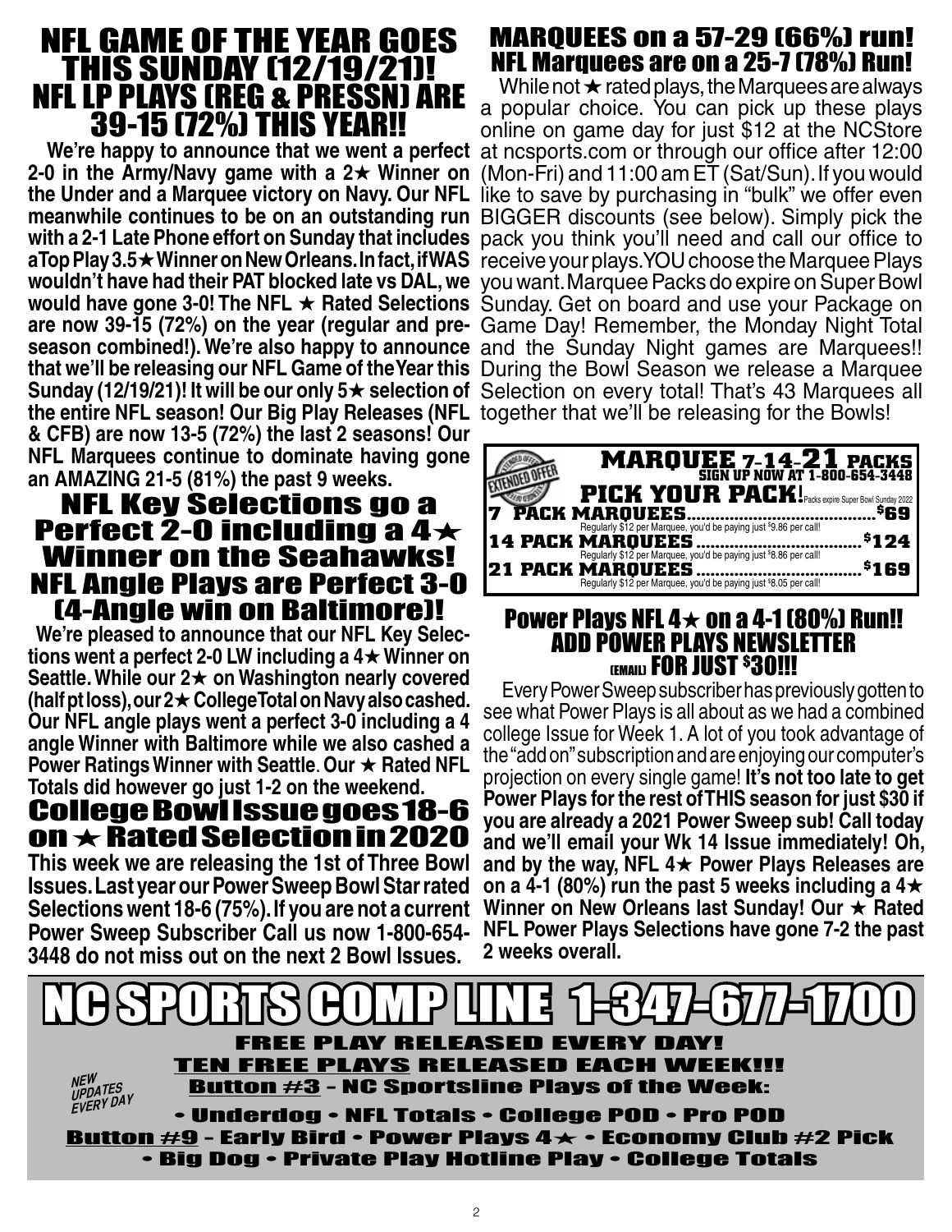## NFL GAME OF THE YEAR GOES THIS SUNDAY (12/19/21)! NFL LP PLAYS (REG & PRESSN) ARE 39-15 (72%) THIS YEAR!!

**2-0 in the Army/Navy game with a**  $2\star$  **Winner on the Under and a Marquee victory on Navy. Our NFL**  the entire NFL season! Our Big Play Releases (NFL together that we'll be releasing for the Bowls! **& CFB) are now 13-5 (72%) the last 2 seasons! Our NFL Marquees continue to dominate having gone MARQUEE 7-14-21 PACKS**<br>an AMAZING 21-5 (81%) the past 9 weeks.

# an AMAZING 21-5 (81%) the past 9 weeks.<br>**NFL Key Selections go a** Perfect 2-0 including a 4 $\star$ Winner on the Seahawks! NFL Angle Plays are Perfect 3-0

**(4-Angle win on Baltimore)!**<br>We're pleased to announce that our NFL Key Selec **tions went a perfect 2-0 LW including a 4★ Winner on Seattle. While our 2**H **on Washington nearly covered (half pt loss), our 2**H **College Total on Navy also cashed. Our NFL angle plays went a perfect 3-0 including a 4 angle Winner with Baltimore while we also cashed a Power Ratings Winner with Seattle. Our**  $\star$  **Rated NFL Totals did however go just 1-2 on the weekend.**

### College Bowl Issue goes 18-6 on  $\star$  Rated Selection in 2020 **This week we are releasing the 1st of Three Bowl Issues. Last year our Power Sweep Bowl Star rated Selections went 18-6 (75%). If you are not a current Power Sweep Subscriber Call us now 1-800-654- 3448 do not miss out on the next 2 Bowl Issues.**

## MARQUEES on a 57-29 (66%) run! NFL Marquees are on a 25-7 (78%) Run!

We're happy to announce that we went a perfect at ncsports.com or through our office after 12:00 **meanwhile continues to be on an outstanding run**  BIGGER discounts (see below). Simply pick the **with a 2-1 Late Phone effort on Sunday that includes**  pack you think you'll need and call our office to **aTop Play 3.5★Winner on New Orleans. In fact, if WAS** receive your plays. YOU choose the Marquee Plays **wouldn't have had their PAT blocked late vs DAL, we**  you want. Marquee Packs do expire on Super Bowl **would have gone 3-0! The NFL ★ Rated Selections Sunday. Get on board and use your Package on are now 39-15 (72%) on the year (regular and pre-**Game Day! Remember, the Monday Night Total season combined!). We're also happy to announce and the Sunday Night games are Marquees!! **that we'll be releasing our NFL Game of the Year this**  During the Bowl Season we release a Marquee **Sunday (12/19/21)! It will be our only 5★ selection of Selection on every total! That's 43 Marquees all** While not  $\star$  rated plays, the Marquees are always a popular choice. You can pick up these plays online on game day for just \$12 at the NCStore (Mon-Fri) and 11:00 am ET (Sat/Sun). If you would like to save by purchasing in "bulk" we offer even

| <b>MARQUEE 7-14-21 PACKS</b><br>SIGN UP NOW AT 1-800-654-3448<br><b>PICK YOUR PACK!</b> Packs expire Super Bowl Sunday 2022                                                 |
|-----------------------------------------------------------------------------------------------------------------------------------------------------------------------------|
| PACK MARQUEES<br>\$69<br>Regularly \$12 per Marquee, you'd be paying just \$9.86 per call!<br>\$124<br><b>14 PACK MARQUEES</b>                                              |
| Regularly \$12 per Marquee, you'd be paying just \$8.86 per call!<br><b>21 PACK MAROUEES.</b><br>\$169<br>Regularly \$12 per Marquee, you'd be paying just \$8.05 per call! |

### Power Plays NFL  $4\times$  on a 4-1 (80%) Run!! ADD POWER PLAYS NEWSLETTER (EMAIL) **FOR JUST <sup>\$</sup>30!!!**

Every Power Sweep subscriber has previously gotten to see what Power Plays is all about as we had a combined college Issue for Week 1. A lot of you took advantage of the "add on" subscription and are enjoying our computer's projection on every single game! **It's not too late to get Power Plays for the rest of THIS season for just \$30 if you are already a 2021 Power Sweep sub! Call today and we'll email your Wk 14 Issue immediately! Oh, and by the way, NFL 4**H **Power Plays Releases are**  on a 4-1 (80%) run the past 5 weeks including a  $4\star$ Winner on New Orleans last Sunday! Our  $\star$  Rated **NFL Power Plays Selections have gone 7-2 the past 2 weeks overall.**

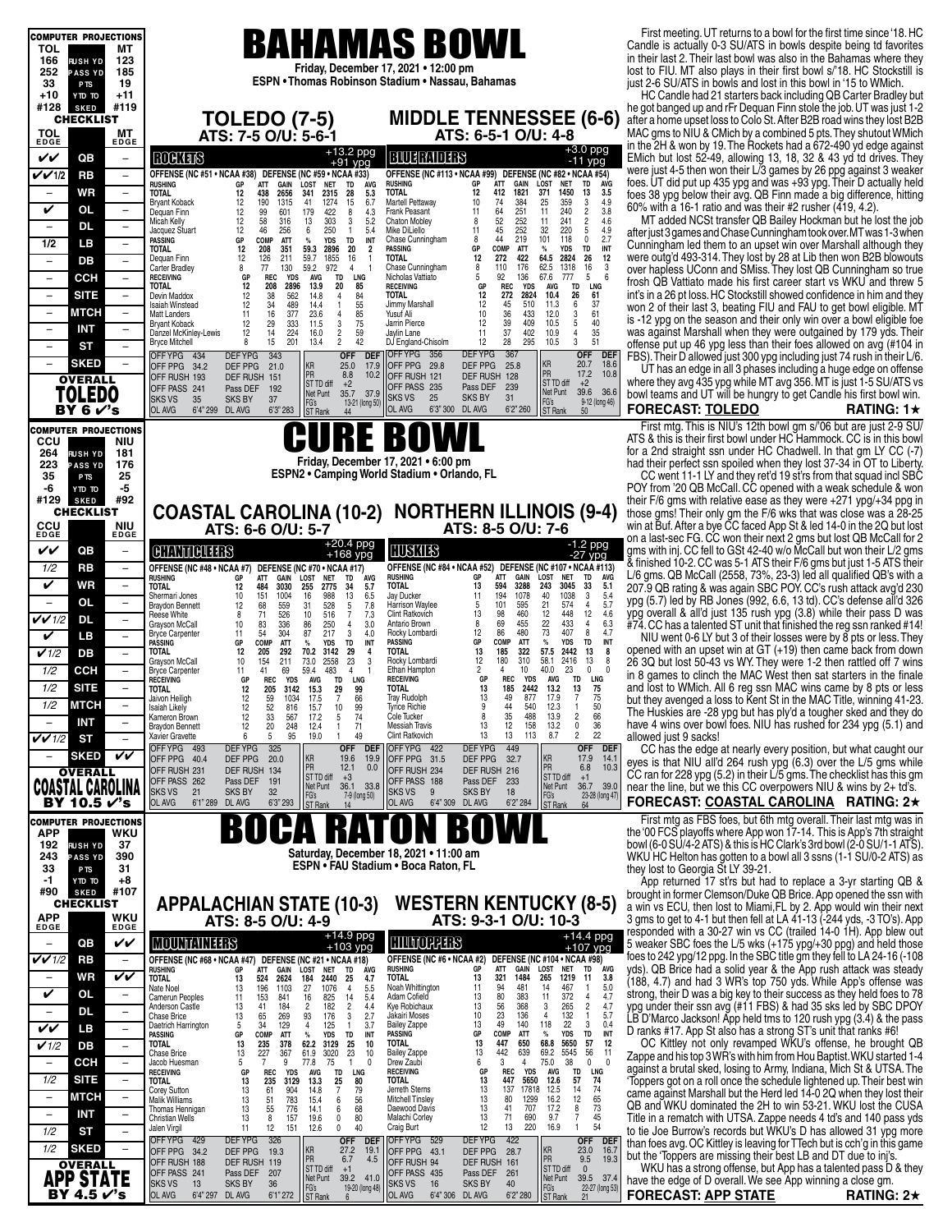| <b>COMPUTER PROJECTIONS</b>                                                                                  |                                                                                                                                                                                                                                                                                                                                                                                    | First meeting. UT returns to a bowl for the first time since '18. HC                                                                          |
|--------------------------------------------------------------------------------------------------------------|------------------------------------------------------------------------------------------------------------------------------------------------------------------------------------------------------------------------------------------------------------------------------------------------------------------------------------------------------------------------------------|-----------------------------------------------------------------------------------------------------------------------------------------------|
| TOL<br>MТ                                                                                                    | <b>BAHAMAS BOWL</b>                                                                                                                                                                                                                                                                                                                                                                | Candle is actually 0-3 SU/ATS in bowls despite being td favorites                                                                             |
| 166<br>123<br><b>RUSH YD</b><br>252<br><b>PASS YD</b><br>185                                                 | Friday, December 17, 2021 . 12:00 pm                                                                                                                                                                                                                                                                                                                                               | in their last 2. Their last bowl was also in the Bahamas where they<br>lost to FIU. MT also plays in their first bowl s/'18. HC Stockstill is |
| 19<br>33<br>P <sub>TS</sub>                                                                                  | ESPN • Thomas Robinson Stadium • Nassau, Bahamas                                                                                                                                                                                                                                                                                                                                   | just 2-6 SU/ATS in bowls and lost in this bowl in '15 to WMich.                                                                               |
| $+11$<br>+10<br>OT OTY<br>#119<br>#128<br><b>SKED</b>                                                        |                                                                                                                                                                                                                                                                                                                                                                                    | HC Candle had 21 starters back including QB Carter Bradley but<br>he got banged up and rFr Dequan Finn stole the job. UT was just 1-2         |
| <b>CHECKLIST</b>                                                                                             | <b>MIDDLE TENNESSEE (6-6)</b><br><b>TOLEDO (7-5)</b>                                                                                                                                                                                                                                                                                                                               | after a home upset loss to Colo St. After B2B road wins they lost B2B                                                                         |
| TOL<br>MТ<br>EDGE<br><b>EDGE</b>                                                                             | ATS: 7-5 O/U: 5-6-1<br>ATS: 6-5-1 O/U: 4-8                                                                                                                                                                                                                                                                                                                                         | MAC gms to NIU & CMich by a combined 5 pts. They shutout WMich                                                                                |
| VV<br>QB<br>$\overline{\phantom{a}}$                                                                         | $+3.0$ ppg<br>$+13.2$ ppg<br><b>BUTEMDES</b><br><b>ROCKLES</b><br>$-11$ ypg                                                                                                                                                                                                                                                                                                        | in the 2H & won by 19. The Rockets had a 672-490 yd edge against<br>EMich but lost 52-49, allowing 13, 18, 32 & 43 yd td drives. They         |
| VVI/2<br><b>RB</b><br>$\overline{\phantom{a}}$                                                               | +91 ypg<br>OFFENSE (NC #51 • NCAA #38) DEFENSE (NC #59 • NCAA #33)<br>OFFENSE (NC #113 . NCAA #99) DEFENSE (NC #82 . NCAA #54)                                                                                                                                                                                                                                                     | were just 4-5 then won their L/3 games by 26 ppg against 3 weaker                                                                             |
| WR<br>$\overline{\phantom{a}}$                                                                               | <b>RUSHING</b><br><b>ATT</b><br>LOST<br><b>RUSHING</b><br>ÁTT<br>412<br>GAIN<br>LOST<br><b>NET</b><br>TD<br>AVG<br>GP<br>GAIN<br><b>NET</b><br><b>TD</b><br><b>AVG</b><br>GP<br>12<br>1821<br>$\frac{3.5}{4.9}$<br>1450<br>13<br>371<br>2656<br><b>TOTAL</b><br>TOTAL<br>12<br>438<br>341<br>2315<br>28<br>5.3                                                                     | foes. UT did put up 435 ypg and was +93 ypg. Their D actually held<br>foes 38 ypg below their avg. QB Finn made a big difference, hitting     |
| V<br>OL<br>$\overline{\phantom{a}}$                                                                          | 3<br>384<br>359<br>6.7<br>10<br>74<br>25<br>12<br>190<br>1315<br>41<br>1274<br>15<br>Martell Pettaway<br><b>Brvant Koback</b><br>251<br>11<br>3.8<br>240<br>11<br>2<br>12<br>99<br>601<br>179<br>422<br>8<br>4.3<br>Frank Peasant<br>Dequan Finn                                                                                                                                   | 60% with a 16-1 ratio and was their #2 rusher (419, 4.2).                                                                                     |
| <b>DL</b><br>$\qquad \qquad -$<br>$\overline{\phantom{0}}$                                                   | 64<br>52<br>45<br>44<br>252<br>4.6<br>11<br>241<br>2<br>12<br>58<br>13<br>303<br>3<br>5.2<br><b>Chaton Mobley</b><br>8<br>Micah Kelly<br>316<br>252<br>4.9<br>220<br>32<br>11<br>5<br>12<br>46<br>256<br>6<br>250<br>$\mathbf{1}$<br>5.4<br>Mike DiLiello<br>Jacquez Stuart                                                                                                        | MT added NCSt transfer QB Bailey Hockman but he lost the job                                                                                  |
| 1/2<br>LВ<br>$\overline{\phantom{a}}$                                                                        | 219<br>101<br>118<br>2.7<br>0<br>COMP<br><b>ATT</b><br><b>TD</b><br>INT<br><b>Chase Cunningham</b><br>8<br><b>PASSING</b><br>GP<br>%<br><b>YDS</b><br>12<br>59.3<br>COMP<br>TD<br>INT<br>TOTAL<br>208<br>351<br>2896<br>20<br>$\overline{2}$<br>PASSING<br>GP<br><b>ATT</b><br>$\%$<br><b>YDS</b>                                                                                  | after just 3 games and Chase Cunningham took over. MT was 1-3 when<br>Cunningham led them to an upset win over Marshall although they         |
| DB<br>$\overline{\phantom{m}}$<br>$\overline{\phantom{a}}$                                                   | 422<br>$\begin{array}{c}\n 26 \\  16 \\  5\n \end{array}$<br>12<br>2824<br>12<br>64.5<br><b>TOTAL</b><br>272<br>12<br>126<br>211<br>59.7<br>1855<br>16<br>Dequan Finn<br>$\sqrt{3}$<br>176                                                                                                                                                                                         | were outg'd 493-314. They lost by 28 at Lib then won B2B blowouts                                                                             |
| <b>CCH</b><br>$\overline{\phantom{a}}$<br>$\qquad \qquad -$                                                  | 62.5<br>59.2<br>8<br>110<br>1318<br><b>Carter Bradley</b><br>8<br>77<br>130<br>972<br>4<br><b>Chase Cunningham</b><br>6<br>92<br>67.6<br>5<br>136<br>777<br><b>REC</b><br><b>YDS</b><br><b>AVG</b><br><b>TD</b><br>LNG<br>Nicholas Vattiato<br><b>RECEIVING</b><br>GP                                                                                                              | over hapless UConn and SMiss. They lost QB Cunningham so true<br>frosh QB Vattiato made his first career start vs WKU and threw 5             |
| <b>SITE</b><br>$\overline{\phantom{0}}$<br>$\overline{\phantom{a}}$                                          | 13.9<br>REC<br>TD<br>LNG<br>TOTAL<br>12<br>208<br>2896<br>20<br>85<br><b>RECEIVING</b><br>GP<br><b>YDS</b><br>AVG<br>12<br>10.4<br>26<br>2824<br>61<br><b>TOTAL</b><br>272<br>Devin Maddox<br>12<br>38<br>562<br>14.8<br>$\overline{4}$                                                                                                                                            | int's in a 26 pt loss. HC Stockstill showed confidence in him and they                                                                        |
| <b>MTCH</b><br>$\overline{\phantom{a}}$<br>$\overline{\phantom{m}}$                                          | 84<br>55<br>85<br>75<br>6<br>37<br>34<br>489<br>14.4<br>12<br>45<br>510<br>Isaiah Winstead<br>12<br>$\mathbf{1}$<br>Jimmy Marshall<br>11.3<br>61<br>36<br>377<br>23.6<br>10<br>433<br>12.0<br>3<br>11<br>16<br>$\overline{4}$<br>Yusuf Ali<br>Matt Landers                                                                                                                         | won 2 of their last 3, beating FIU and FAU to get bowl eligible. MT                                                                           |
| <b>INT</b><br>$\overline{\phantom{0}}$<br>$\qquad \qquad -$                                                  | 40<br>$\mathbf 3$<br>39<br>409<br>Jarrin Pierce<br>12<br>10.5<br>5<br>12<br>29<br>333<br>11.5<br><b>Bryant Koback</b><br>35<br>37<br>402<br>224<br>11<br>10.9<br>4<br>Danzel McKinley-Lewis<br>12<br>14<br>16.0<br>Jaylin Lane                                                                                                                                                     | is -12 ypg on the season and their only win over a bowl eligible foe<br>was against Marshall when they were outgained by 179 yds. Their       |
| ST<br>$\qquad \qquad -$<br>$\overline{\phantom{a}}$                                                          | $\frac{2}{2}$<br>$\begin{array}{c} 59 \\ 42 \end{array}$<br>51<br>28<br>295<br>3<br>15<br>12<br>DJ England-Chisolm<br>10.5<br><b>Bryce Mitchell</b><br>8<br>201<br>13.4                                                                                                                                                                                                            | offense put up 46 ypg less than their foes allowed on avg (#104 in                                                                            |
| <b>SKED</b><br>$\qquad \qquad -$                                                                             | <b>DEFYPG</b><br>367<br><b>DEF</b><br><b>OFF</b><br>OFF YPG 356<br><b>OFF</b><br><b>DEFYPG</b><br>343<br>DEF<br>OFFYPG 434<br>18.6<br>KR<br>PR<br>KR<br>20.7<br>DEF PPG<br>25.0<br>17.9<br>OFF PPG 29.8<br>25.8<br>DEF PPG<br>OFF PPG 34.2<br>21.0                                                                                                                                 | FBS). Their D allowed just 300 ypg including just 74 rush in their L/6.<br>UT has an edge in all 3 phases including a huge edge on offense    |
| <b>OVERALL</b>                                                                                               | PR<br>10.8<br>17.2<br>8.8<br>10.2<br>OFF RUSH 121<br>DEF RUSH 128<br>OFF RUSH 193<br><b>DEF RUSH</b><br>151<br>ST TD diff<br>ST TD diff<br>$+2$<br>$+2$<br>OFF PASS 235<br>Pass DEF<br>239                                                                                                                                                                                         | where they avg 435 ypg while MT avg 356. MT is just 1-5 SU/ATS vs                                                                             |
| <b>TOLEDO</b>                                                                                                | OFF PASS 241<br>192<br>Pass DEF<br>Net Punt<br>39.6 36.6<br>35.7<br>37.9<br>Net Punt<br><b>SKS VS</b><br>25<br><b>SKS BY</b><br>31<br><b>SKS VS</b><br>35<br><b>SKS BY</b><br>37<br>9-12 (long 46)<br>FG's<br>13-21 (long 50)                                                                                                                                                      | bowl teams and UT will be hungry to get Candle his first bowl win.                                                                            |
| BY 6 $V$ 's                                                                                                  | FG's<br>ST Rank<br>OL AVG<br>6'3" 300 DL AVG<br>6'2" 260<br>OL AVG<br>6'4" 299 DL AVG<br>6'3" 283<br><b>ST</b> Rank<br>50<br>44                                                                                                                                                                                                                                                    | <b>FORECAST: TOLEDO</b><br>RATING: $1\star$                                                                                                   |
| <b>COMPUTER PROJECTIONS</b><br><b>CCU</b><br>NIU                                                             | E BOWL                                                                                                                                                                                                                                                                                                                                                                             | First mtg. This is NIU's 12th bowl gm s/'06 but are just 2-9 SU/<br>ATS & this is their first bowl under HC Hammock. CC is in this bowl       |
| 264<br>181<br><b>RUSHYD</b>                                                                                  |                                                                                                                                                                                                                                                                                                                                                                                    | for a 2nd straight ssn under HC Chadwell. In that gm LY CC (-7)                                                                               |
| 223<br>176<br><b>ASS YD</b><br>35<br>25                                                                      | Friday, December 17, 2021 • 6:00 pm<br>ESPN2 . Camping World Stadium . Orlando, FL                                                                                                                                                                                                                                                                                                 | had their perfect ssn spoiled when they lost 37-34 in OT to Liberty.<br>CC went 11-1 LY and they ret'd 19 st'rs from that squad incl SBC      |
| P <sub>TS</sub><br>-6<br>-5<br>OT OTY                                                                        |                                                                                                                                                                                                                                                                                                                                                                                    | POY from '20 QB McCall. CC opened with a weak schedule & won                                                                                  |
| #92<br>#129<br><b>SKED</b><br><b>CHECKLIST</b>                                                               | <b>NORTHERN ILLINOIS (9-4)</b>                                                                                                                                                                                                                                                                                                                                                     | their F/6 gms with relative ease as they were $+271$ ypg/ $+34$ ppg in                                                                        |
| <b>CCU</b><br>EDGE<br><b>NIU</b>                                                                             | <b>COASTAL CAROLINA (10-2)</b><br>ATS: 6-6 O/U: 5-7<br>ATS: 8-5 O/U: 7-6                                                                                                                                                                                                                                                                                                           | those gms! Their only gm the F/6 wks that was close was a 28-25<br>win at Buf. After a bye CC faced App St & led 14-0 in the 2Q but lost      |
| EDGE                                                                                                         | $+20.4$ ppg<br>$-1.2$ ppg                                                                                                                                                                                                                                                                                                                                                          | on a last-sec FG. CC won their next 2 gms but lost QB McCall for 2                                                                            |
| VV<br>QB<br>$\qquad \qquad -$                                                                                | HUSKIES<br><b>CHANNICUTERS</b><br>$+168$ ypg<br>$-27$ ypg                                                                                                                                                                                                                                                                                                                          | gms with inj. CC fell to GSt 42-40 w/o McCall but won their L/2 gms<br>& finished 10-2. CC was 5-1 ATS their F/6 gms but just 1-5 ATS their   |
| 1/2<br><b>RB</b><br>$\overline{\phantom{a}}$                                                                 | OFFENSE (NC #48 • NCAA #7)<br>DEFENSE (NC #70 • NCAA #17)<br>OFFENSE (NC #84 · NCAA #52) DEFENSE (NC #107 · NCAA #113)<br>GAIN<br>LOST<br>TD<br>AVG<br><b>RUSHING</b><br>GP<br>ATT<br><b>NET</b><br>LOST<br><b>RUSHING</b><br>GP<br>ATT<br>GAIN<br><b>NET</b><br>TD<br>AVG                                                                                                         | $L/6$ gms. QB McCall (2558, 73%, 23-3) led all qualified QB's with a                                                                          |
| <b>WR</b><br>V<br>$\qquad \qquad -$<br>OL                                                                    | <b>TOTAL</b><br>13<br>3288<br>243<br>3045<br>33<br>5.1<br>255<br>594<br>484<br>TOTAL<br>12<br>3030<br>2775<br>34<br>5.7<br>194<br>1078<br>40<br>1038<br>3<br>$\frac{5.4}{5.7}$<br>Jay Ducker<br>11<br>13<br>151<br>1004<br>16<br>988<br>6.5<br>Shermari Jones<br>10                                                                                                                | 207.9 QB rating & was again SBC POY. CC's rush attack avg'd 230<br>ypg (5.7) led by RB Jones (992, 6.6, 13 td). CC's defense all'd 326        |
| $\overline{\phantom{a}}$<br>$\overline{\phantom{a}}$<br>$V$ $V$ 1/2<br><b>DL</b><br>$\overline{\phantom{m}}$ | 528<br>101<br>21<br>$\overline{4}$<br>68<br>71<br>7.8<br>Harrison Waylee<br>595<br>574<br>559<br>5<br>12<br>31<br>5<br><b>Braydon Bennett</b><br>4.6<br>7.3<br>13<br>460<br>12<br>448<br>12<br>526<br>516<br>Clint Ratkovich<br>98<br>$\overline{7}$<br>8<br>10<br>Reese White                                                                                                     | ypg overall & all'd just 135 rush ypg (3.8) while their pass D was                                                                            |
| V<br>LB.<br>$\overline{\phantom{0}}$                                                                         | 455<br>22<br>69<br>433<br>$\overline{4}$<br>6.3<br>250<br>8<br>$\begin{array}{c} 83 \\ 54 \end{array}$<br>336<br>3.0<br>Antario Brown<br>10<br>86<br>Grayson McCall<br>4<br>73<br>217<br>12<br>86<br>480<br>407<br>8<br>4.7<br>Rocky Lombardi<br>304<br>3<br>11<br>87<br>4.0<br><b>Bryce Carpenter</b>                                                                             | #74. CC has a talented ST unit that finished the reg ssn ranked #14!<br>NIU went 0-6 LY but 3 of their losses were by 8 pts or less. They     |
| $\checkmark$ 1/2<br>DB<br>$\overline{\phantom{0}}$                                                           | <b>PASSING</b><br>COMP<br>ATT<br>$\%$<br><b>YDS</b><br>TD<br>INT<br>GP<br><b>ATT</b><br>PASSING<br>GP<br>COMP<br>$\%$<br><b>YDS</b><br>TD<br>INT<br>322<br>57.5<br>13<br><b>TOTAL</b><br>13<br>185<br>2442<br>8<br>12<br>205<br>292<br>70.2<br>3142<br>29<br><b>TOTAL</b><br>4                                                                                                     | opened with an upset win at GT (+19) then came back from down                                                                                 |
| 1/2<br><b>CCH</b><br>$\qquad \qquad -$                                                                       | 12<br>180<br>310<br>13<br>58.1<br>2416<br>8<br>23<br>Rocky Lombardi<br>10<br>154<br>211<br>2558<br>Grayson McCall<br>73.0<br>3<br>40.0<br>483<br>Ethan Hampton<br>2<br>10<br>23<br>$\mathbf 0$<br>$\mathbf{0}$<br>69<br>59.4<br>4<br>11<br>41<br><b>Bryce Carpenter</b><br>4                                                                                                       | 26 3Q but lost 50-43 vs WY. They were 1-2 then rattled off 7 wins                                                                             |
| 1/2<br><b>SITE</b><br>$\qquad \qquad -$                                                                      | REC<br><b>YDS</b><br>AVG<br>TD<br><b>LNG</b><br>GP<br>REC<br><b>YDS</b><br>TD<br><b>RECEIVING</b><br>GР<br><b>RECEIVING</b><br><b>AVG</b><br>LNG<br>13<br>13<br>12<br>3142<br>99<br><b>TOTAL</b><br>185<br>2442<br>13.2<br>75<br>TOTAL<br>205<br>15.3<br>29                                                                                                                        | in 8 games to clinch the MAC West then sat starters in the finale<br>and lost to WMich. All 6 reg ssn MAC wins came by 8 pts or less          |
| 1/2<br>MICH                                                                                                  | $\overline{7}$<br>66<br>13<br>49<br>877<br>17.9<br>$\overline{7}$<br>75<br>12<br>59<br>1034<br><b>Tray Rudolph</b><br>Jaivon Heiligh<br>17.5<br>12<br>52<br>10<br>99<br>Tyrice Richie<br>44<br>540<br>12.3<br><b>Isaiah Likely</b><br>816<br>9<br>15.7                                                                                                                             | but they avenged a loss to Kent St in the MAC Title, winning 41-23.                                                                           |
| <b>INT</b>                                                                                                   | $\begin{array}{c} 50 \\ 66 \end{array}$<br>33<br>35<br>$\overline{c}$<br>12<br>74<br>8<br>488<br>13.9<br>567<br>5<br>Cole Tucker<br>17.2<br>Kameron Brown<br>12<br>$\pmb{0}$<br>36<br>12<br>20<br>71<br>13<br>158<br>13.2<br>248<br>12.4<br><b>Messiah Travis</b><br><b>Braydon Bennett</b><br>1                                                                                   | The Huskies are -28 ypg but has ply'd a tougher sked and they do<br>have 4 wins over bowl foes. NIU has rushed for 234 ypg (5.1) and          |
| $V$ $V$ 1/2<br>ST<br>L.                                                                                      | 22<br>$\overline{c}$<br>49<br>Clint Ratkovich<br>13<br>13<br>113<br>8.7<br>95<br>19.0<br>Xavier Gravette<br>6<br>5<br>$\overline{1}$                                                                                                                                                                                                                                               | allowed just 9 sacks!                                                                                                                         |
| VV<br><b>SKED</b>                                                                                            | <b>DEFYPG</b><br>325<br>449<br>OFF YPG 493<br><b>OFF</b><br><b>DEF</b><br>OFF YPG 422<br>DEF YPG<br><b>OFF</b><br><b>DEF</b><br>KR<br>PR<br>KR<br>19.6<br>17.9<br>14.<br>DEF PPG<br>19.9<br>DEF PPG<br>OFF PPG 40.4<br>20.0<br>OFF PPG 31.5<br>32.7                                                                                                                                | CC has the edge at nearly every position, but what caught our<br>eyes is that NIU all'd 264 rush ypg (6.3) over the L/5 gms while             |
| <b>OVERALL</b>                                                                                               | PR<br>12.1<br>6.8<br>10.3<br>0.0<br>OFF RUSH 231<br>DEF RUSH<br>OFF RUSH 234<br>DEF RUSH 216<br>134<br>ST TD diff<br>ST TD diff<br>$+3$<br>$+1$<br>OFF PASS 262<br>Pass DEF 191<br>OFF PASS 188<br>Pass DEF 233                                                                                                                                                                    | CC ran for 228 ypg (5.2) in their $\angle$ /5 gms. The checklist has this gm                                                                  |
| <b>COASTAL CAROLINA</b>                                                                                      | Net Punt<br>Net Punt<br>36.1<br>33.8<br>36.7 39.0<br><b>SKS BY</b><br><b>SKS VS</b><br>21<br>32<br><b>SKS VS</b><br><b>SKS BY</b><br>9<br>18<br>FG's<br>FG's<br>7-9 (long 50)<br>23-28 (long 47)                                                                                                                                                                                   | near the line, but we this CC overpowers NIU & wins by 2+ td's.                                                                               |
| BY 10.5 $\checkmark$ 's                                                                                      | OL AVG<br>6'1''289<br>DL AVG<br>6'3" 293<br><b>OL AVG</b><br>6'4" 309 DL AVG<br>6'2" 284<br>ST Rank<br>ST Rank<br>14<br>64                                                                                                                                                                                                                                                         | FORECAST: COASTAL CAROLINA RATING: 2★                                                                                                         |
| <b>COMPUTER PROJECTIONS</b><br><b>APP</b><br>WKU                                                             | Н<br>U<br>$\mathbf{D}$                                                                                                                                                                                                                                                                                                                                                             | First mtg as FBS foes, but 6th mtg overall. Their last mtg was in<br>the '00 FCS playoffs where App won 17-14. This is App's 7th straight     |
| 192<br>37<br><b>RUSHYD</b>                                                                                   | Saturday, December 18, 2021 . 11:00 am                                                                                                                                                                                                                                                                                                                                             | bowl (6-0 SU/4-2 ATS) & this is HC Clark's 3rd bowl (2-0 SU/1-1 ATS).                                                                         |
| 390<br>243<br><b>PASS YD</b><br>33<br>31<br>P <sub>TS</sub>                                                  | ESPN • FAU Stadium • Boca Raton, FL                                                                                                                                                                                                                                                                                                                                                | WKU HC Helton has gotten to a bowl all 3 ssns (1-1 SU/0-2 ATS) as<br>they lost to Georgia St LY 39-21.                                        |
| -1<br>+8<br>OT OTY                                                                                           |                                                                                                                                                                                                                                                                                                                                                                                    | App returned 17 st'rs but had to replace a 3-yr starting QB &                                                                                 |
| #107<br>#90<br><b>SKED</b><br>CHECKLIST                                                                      | <b>WESTERN KENTUCKY (8-5)</b><br><b>APPALACHIAN STATE (10-3)</b>                                                                                                                                                                                                                                                                                                                   | brought in former Clemson/Duke QB Brice. App opened the ssn with<br>a win vs ECU, then lost to Miami, FL by 2. App would win their next       |
| <b>APP</b><br><b>WKU</b><br>EDGE<br><b>EDGE</b>                                                              | ATS: 9-3-1 O/U: 10-3<br>ATS: 8-5 O/U: 4-9                                                                                                                                                                                                                                                                                                                                          | 3 gms to get to 4-1 but then fell at LA 41-13 (-244 yds, -3 TO's). App                                                                        |
| QB<br>VV                                                                                                     | +14.9 ppg<br>+103 ypg<br>$+14.4$ ppg<br>HILLTOPPERS<br><b>MOUNTAINEERS</b>                                                                                                                                                                                                                                                                                                         | responded with a 30-27 win vs CC (trailed 14-0 1H). App blew out<br>5 weaker SBC foes the L/5 wks (+175 ypg/+30 ppg) and held those           |
| $V$ $V$ 1/2<br><b>RB</b><br>$\qquad \qquad -$                                                                | $+107$ ypg<br>OFFENSE (NC #6 • NCAA #2) DEFENSE (NC #104 • NCAA #98)<br>OFFENSE (NC #68 • NCAA #47) DEFENSE (NC #21 • NCAA #18)                                                                                                                                                                                                                                                    | foes to 242 ypg/12 ppg. In the SBC title gm they fell to LA 24-16 (-108                                                                       |
| VV<br>WR<br>$\overline{\phantom{0}}$                                                                         | <b>RUSHING</b><br>GP<br>GAIN<br>LOST<br>TD<br><b>AVG</b><br>ATT<br>NET<br><b>RUSHING</b><br>ATT<br>GAIN<br>LOST<br>TD<br><b>AVG</b><br>GP<br>NET<br>13<br>321<br>1484<br><b>TOTAL</b><br>265<br>1219<br>11<br>3.8<br>2440<br>TOTAL<br>524<br>2624<br>184<br>25<br>4.7<br>13                                                                                                        | yds). QB Brice had a solid year & the App rush attack was steady                                                                              |
| V<br><b>OL</b><br>$\overline{\phantom{a}}$                                                                   | Noah Whittington<br>94<br>481<br>14<br>5.0<br>11<br>467<br>$\mathbf{1}$<br>27<br>5.5<br>Nate Noel<br>13<br>196<br>1103<br>1076<br>4<br>11<br>4.7<br>14<br>5.4<br>Adam Cofield<br>13<br>80<br>383<br>372<br>4<br>153<br>825<br>Camerun Peoples<br>11<br>841<br>16                                                                                                                   | (188, 4.7) and had 3 WR's top 750 yds. While App's offense was<br>strong, their D was a big key to their success as they held foes to 78      |
| DL<br>$\overline{\phantom{0}}$<br>$\qquad \qquad -$                                                          | 368<br>3<br>$\overline{c}$<br>4.7<br>Kye Robichaux<br>13<br>56<br>265<br>$\overline{c}$<br>41<br>182<br>4.4<br>Anderson Castle<br>13<br>184<br>2<br>23<br>$\sqrt{3}$<br>10<br>136<br>$\overline{4}$<br>132<br>5.7<br>Jakairi Moses<br>$\overline{1}$                                                                                                                               | ypg under their ssn avg (#11 FBS) & had 35 sks led by SBC DPOY                                                                                |
| VV<br>LB.<br>$\qquad \qquad -$                                                                               | 13<br>65<br>269<br>93<br>2.7<br>Chase Brice<br>176<br>140<br>0.4<br>34<br>13<br>49<br>118<br>22<br>3<br>5<br>Bailey Zappe<br>129<br>125<br>3.7<br>Daetrich Harrington<br>4<br>$\mathbf{1}$<br>GP<br>COMP<br>ATT<br>$\%$<br><b>YDS</b><br>TD<br>INT                                                                                                                                 | LB D'Marco Jackson! App held tms to 120 rush ypg (3.4) & the pass<br>D ranks #17. App St also has a strong ST's unit that ranks #6!           |
| V1/2<br>DB<br>$\overline{\phantom{0}}$                                                                       | PASSING<br>PASSING<br>GP<br>COMP<br>ATT<br><b>YDS</b><br>TD<br>INT<br>%<br>13<br>650<br>68.8<br>57<br>12<br>TOTAL<br>447<br>5650<br>25<br>13<br>235<br>227<br>378<br>62.2<br>10<br><b>TOTAL</b><br>3129                                                                                                                                                                            | OC Kittley not only revamped WKU's offense, he brought QB                                                                                     |
| <b>CCH</b><br>$\qquad \qquad -$<br>$\qquad \qquad -$                                                         | 13<br>56<br>13<br>23<br>442<br>639<br>69.2<br>5545<br>11<br><b>Bailey Zappe</b><br>61.9<br>3020<br><b>Chase Brice</b><br>367<br>10<br>6<br>3<br>75.0<br>38<br>0<br>0<br>Drew Zaubi<br>4<br>5<br>9<br>Jacob Huesman<br>7<br>77.8<br>75<br>$\mathbf{1}$<br>$\mathbf{0}$                                                                                                              | Zappe and his top 3 WR's with him from Hou Baptist. WKU started 1-4<br>against a brutal sked, losing to Army, Indiana, Mich St & UTSA. The    |
|                                                                                                              | REC<br><b>YDS</b><br>LNG<br>GP<br>REC<br><b>YDS</b><br>GР<br><b>AVG</b><br>TD<br><b>AVG</b><br>TD<br>LNG<br><b>RECEIVING</b><br><b>RECEIVING</b><br>57<br>13<br>235<br>25<br><b>TOTAL</b><br>13<br>447<br>5650<br>12.6<br>74<br>TOTAL<br>3129<br>13.3<br>80                                                                                                                        | 'Toppers got on a roll once the schedule lightened up. Their best win                                                                         |
| 1/2<br><b>SITE</b><br>$\qquad \qquad -$                                                                      |                                                                                                                                                                                                                                                                                                                                                                                    |                                                                                                                                               |
| <b>MTCH</b><br>$\overline{\phantom{0}}$<br>$\overline{\phantom{a}}$                                          | Jerreth Sterns<br>13<br>137<br>17818<br>12.5<br>14<br>74<br>13<br>61<br>904<br>7<br>79<br>14.8<br>Corey Sutton<br>13<br>12<br>65<br>13<br>783<br>Mitchell Tinsley<br>80<br>1299<br>16.2<br>Malik Williams<br>51<br>6<br>56<br>15.4                                                                                                                                                 | came against Marshall but the Herd led 14-0 2Q when they lost their                                                                           |
| INT<br>$\overline{\phantom{a}}$<br>$\overline{\phantom{a}}$                                                  | 73<br>13<br>55<br>776<br>68<br>Daewood Davis<br>13<br>41<br>707<br>17.2<br>8<br>6<br>Thomas Hennigan<br>14.1<br>80<br>Malachi Corley<br>13<br>71<br>690<br>9.7<br>$\overline{7}$<br>13<br>157<br>19.6<br>0<br><b>Christian Wells</b><br>8                                                                                                                                          | QB and WKU dominated the 2H to win 53-21. WKU lost the CUSA<br>Title in a rematch with UTSA. Zappe needs 4 td's and 140 pass yds              |
| 1/2<br>ST<br>$\qquad \qquad -$                                                                               | $\begin{array}{c} 45 \\ 54 \end{array}$<br>12<br>151<br>40<br>13<br>220<br>16.9<br>11<br>12<br>12.6<br>0<br><b>Craig Burt</b><br>$\mathbf{1}$<br>Jalen Virgil                                                                                                                                                                                                                      | to tie Joe Burrow's records but WKU's D has allowed 31 ypg more                                                                               |
| 1/2<br><b>SKED</b>                                                                                           | <b>DEFYPG</b><br>326<br><b>DEFYPG</b><br>422<br>OFF YPG 429<br><b>OFF</b><br>OFF YPG 529<br><b>OFF</b><br><b>DEF</b><br><b>DEF</b><br>KR<br>KR<br>27.2<br>23.0<br>16.7<br>DEF PPG<br>19.1<br>DEF PPG<br>OFF PPG 34.2<br>19.3<br>OFF PPG 43.1<br>28.7                                                                                                                               | than foes avg. OC Kittley is leaving for TTech but is cch'g in this game<br>but the Toppers are missing their best LB and DT due to inj's.    |
| <b>OVERALL</b><br><b>APP STATE</b>                                                                           | PR <sub></sub><br>PR<br>9.5<br>19.3<br>6.7<br>4.5<br>OFF RUSH 188<br>DEF RUSH 119<br>OFF RUSH 94<br>DEF RUSH 161<br>ST TD diff<br>ST TD diff<br>$+1$<br>$\mathbf{0}$<br>OFF PASS 241<br>Pass DEF 207<br>OFF PASS 435<br>Pass DEF 261<br>Net Punt<br>Net Punt<br>39.2 41.0<br>39.5 37.4<br><b>SKS VS</b><br><b>SKS BY</b><br>36<br><b>SKS VS</b><br><b>SKS BY</b><br>13<br>16<br>40 | WKU has a strong offense, but App has a talented pass D & they<br>have the edge of D overall. We see App winning a close gm.                  |

#### **FORECAST: COASTAL CAROLINA RATING: 2**H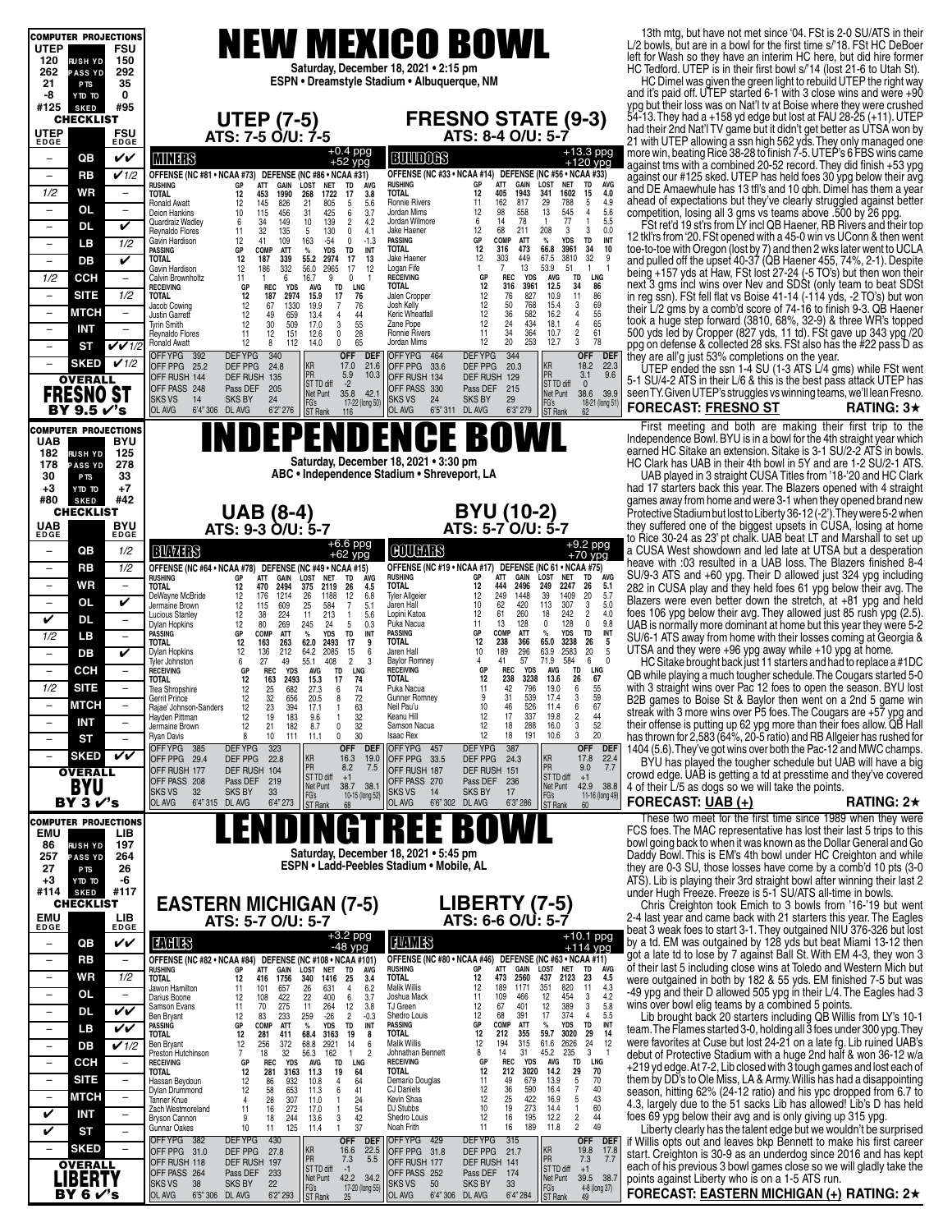| <b>COMPUTER PROJECTIONS</b>                                       |                                  | <b>NEW MEXICO BOWL</b>                                                                                                                                                                                                                                                                                                           | 13th mtg, but have not met since '04. FSt is 2-0 SU/ATS in their<br>L/2 bowls, but are in a bowl for the first time s/'18. FSt HC DeBoer        |
|-------------------------------------------------------------------|----------------------------------|----------------------------------------------------------------------------------------------------------------------------------------------------------------------------------------------------------------------------------------------------------------------------------------------------------------------------------|-------------------------------------------------------------------------------------------------------------------------------------------------|
| <b>UTEP</b><br>120<br><b>RUSH YD</b>                              | FSU<br>150                       |                                                                                                                                                                                                                                                                                                                                  | left for Wash so they have an interim HC here, but did hire former                                                                              |
| 262<br><b>PASS YD</b>                                             | 292                              | Saturday, December 18, 2021 . 2:15 pm<br>ESPN • Dreamstyle Stadium • Albuquerque, NM                                                                                                                                                                                                                                             | HC Tedford. UTEP is in their first bowl s/'14 (lost 21-6 to Utah St).<br>HC Dimel was given the green light to rebuild UTEP the right way       |
| 21<br>P <sub>TS</sub><br>-8<br>OT CTY                             | 35<br>0                          |                                                                                                                                                                                                                                                                                                                                  | and it's paid off. UTEP started 6-1 with 3 close wins and were +90                                                                              |
| #125<br><b>SKED</b><br><b>CHECKLIST</b>                           | #95                              | <b>FRESNO STATE (9-3)</b>                                                                                                                                                                                                                                                                                                        | ypg but their loss was on Nat'l tv at Boise where they were crushed<br>54-13. They had a +158 yd edge but lost at FAU 28-25 (+11). UTEP         |
| <b>UTEP</b>                                                       | FSU                              | <b>UTEP (7-5)</b><br>ATS: 7-5 O/U: 7-5<br>ATS: 8-4 O/U: 5-7                                                                                                                                                                                                                                                                      | had their 2nd Nat'l TV game but it didn't get better as UTSA won by                                                                             |
| <b>EDGE</b>                                                       | <b>EDGE</b>                      | $+0.4$ ppg                                                                                                                                                                                                                                                                                                                       | 21 with UTEP allowing a ssn high 562 yds. They only managed one<br>more win, beating Rice 38-28 to finish 7-5. UTEP's 6 FBS wins came           |
| QB<br>$\overline{\phantom{m}}$                                    | VV                               | +13.3 ppg<br>+120 ypg<br><b>BUTTOGS</b><br><b>MINERS</b><br>$+52$ ypg<br>OFFENSE (NC #33 • NCAA #14) DEFENSE (NC #56 • NCAA #33)                                                                                                                                                                                                 | against tms with a combined 20-52 record. They did finish +53 ypg                                                                               |
| RB<br>$\overline{\phantom{m}}$<br>1/2<br>WR                       | V1/2<br>$\overline{\phantom{a}}$ | OFFENSE (NC #81 • NCAA #73) DEFENSE (NC #86 • NCAA #31)<br>TD<br><b>AVG</b><br><b>RUSHING</b><br>GP<br>ATT<br><b>GAIN<br/>1943</b><br>LOST<br><b>NET</b><br><b>RUSHING</b><br>ATT<br>GAIN<br>LOST<br><b>NET</b><br>TD<br><b>ÁVG</b><br>GP<br>12<br>15<br>405<br>341<br>1602<br>4.0<br>12<br><b>TOTAL</b><br><b>TOTAL</b>         | against our #125 sked. UTEP has held foes 30 ypg below their avg<br>and DE Amaewhule has 13 tfl's and 10 qbh. Dimel has them a year             |
| <b>OL</b><br>$\overline{\phantom{m}}$                             | $\qquad \qquad -$                | 453<br>1990<br>268<br>1722<br>17<br>3.8<br>162<br>$\frac{29}{13}$<br>$\,$ 5 $\,$<br>4.9<br>Ronnie Rivers<br>11<br>817<br>788<br>12<br>145<br>826<br>805<br>5<br>5.6<br>Ronald Awatt<br>21<br>$\overline{4}$<br>558<br>545<br>5.6<br>12<br>98<br>31<br>Jordan Mims<br>Deion Hankins                                               | ahead of expectations but they've clearly struggled against better                                                                              |
| DL<br>$\overline{\phantom{m}}$                                    | V                                | 115<br>456<br>425<br>6<br>3.7<br>10<br>78<br>6<br>14<br>$\mathbf{1}$<br>5.5<br>77<br>34<br>149<br>10<br>139<br>$\overline{2}$<br>4.2<br>Jordan Wilmore<br>$\mathbf{1}$<br>Quardraiz Wadley<br>6<br>$\mathbf 3$<br>0.0<br>12<br>68<br>208<br>32<br>211<br>3<br>11<br>5<br>$^{\circ}$<br>4.1<br>Jake Haener                        | competition, losing all 3 gms vs teams above .500 by 26 ppg.<br>FSt ret'd 19 st'rs from LY incl QB Haener, RB Rivers and their top              |
| LВ<br>$\overline{\phantom{m}}$                                    | 1/2                              | 135<br>130<br>Reynaldo Flores<br>TD<br>INT<br>12<br>41<br>109<br>163<br>$-54$<br>$^{\circ}$<br>$-1.3$<br><b>PASSING</b><br>GP<br><b>COMP</b><br>ATT<br>$\%$<br><b>YDS</b><br>Gavin Hardison<br>34<br>12<br>10<br>TOTAL<br>316<br>473<br>66.8<br>3961<br>COMP<br>TD<br>PASSING<br>GP                                              | 12 tkl'rs from '20. FSt opened with a 45-0 win vs UConn & then went<br>toe-to-toe with Oregon (lost by 7) and then 2 wks later went to UCLA     |
| DB                                                                | V                                | ATT<br>$\%$<br><b>YDS</b><br>INT<br>32<br>449<br>3810<br>55.2<br>12<br>67.5<br>9<br><b>TOTAL</b><br>12<br>187<br>339<br>2974<br>17<br>13<br>Jake Haener<br>303<br>13<br>$\overline{7}$<br>53.9<br>$\mathbf{1}$<br>12<br>186<br>332<br>56.0<br>2965<br>17<br>12<br>Logan Fife<br>1<br>51<br>Gavin Hardison                        | and pulled off the upset 40-37 (QB Haener 455, 74%, 2-1). Despite                                                                               |
| 1/2<br><b>CCH</b>                                                 |                                  | LNG<br>TD<br>16.7<br>9<br>$\mathbf 0$<br><b>RECEIVING</b><br>GP<br><b>REC</b><br><b>YDS</b><br>AVG<br>Calvin Brownholtz<br>11<br>$\mathbf{1}$<br>6<br>34<br>86<br>316<br>12.5<br>3961<br><b>REC</b><br><b>YDS</b><br><b>TD</b><br><b>TOTAL</b><br><b>RECEIVING</b><br>GP<br><b>AVG</b><br>LNG                                    | being +157 yds at Haw, FSt lost 27-24 (-5 TO's) but then won their<br>next 3 gms incl wins over Nev and SDSt (only team to beat SDSt            |
| <b>SITE</b><br>$\overline{\phantom{a}}$                           | 1/2                              | $\frac{12}{12}$<br>$\overline{11}$<br>86<br>76<br>827<br>10.9<br><b>TOTAL</b><br>12<br>187<br>2974<br>15.9<br>17<br>76<br>Jalen Cropper<br>12<br>50<br>69<br>768<br>15.4<br>12<br>67<br>1330<br>19.9<br>7<br>76<br>Josh Kelly<br>Jacob Cowing                                                                                    | in reg ssn). FSt fell flat vs Boise 41-14 (-114 yds, -2 TO's) but won                                                                           |
| МТСН                                                              | $\qquad \qquad -$                | $\frac{3}{4}$<br>12<br>36<br>55<br>582<br>16.2<br>12<br>49<br>659<br>13.4<br>4<br>44<br>Keric Wheatfall<br><b>Justin Garrett</b><br>65<br>12<br>24<br>$\sqrt{4}$<br>30<br>3<br>55<br>434<br>18.1<br>12<br>509<br>17.0<br>Zane Pope                                                                                               | their L/2 gms by a comb'd score of 74-16 to finish 9-3. QB Haener<br>took a huge step forward (3810, 68%, 32-9) & three WR's topped             |
| <b>INT</b><br>$\overline{\phantom{m}}$                            | $\overline{\phantom{0}}$         | Tyrin Smith<br>$\frac{2}{3}$<br>61<br>34<br>12<br>28<br>11<br>364<br>10.7<br>11<br>151<br>12.6<br>0<br><b>Ronnie Rivers</b><br><b>Reynaldo Flores</b><br>20<br>78<br>12<br>12<br>253<br>12.7<br>Jordan Mims                                                                                                                      | 500 yds led by Cropper (827 yds, 11 td). FSt gave up 343 ypg /20                                                                                |
| ST<br>$\overline{\phantom{m}}$                                    | $V$ $V$ 1/2                      | 8<br>112<br>0<br>65<br>Ronald Awatt<br>14.0<br>340<br>344<br><b>OFF</b><br>OFFYPG 392<br><b>DEFYPG</b><br><b>OFF</b><br><b>DEF</b><br>OFFYPG 464<br><b>DEFYPG</b><br>DEF                                                                                                                                                         | ppg on defense & collected 28 sks. FSt also has the #22 pass D as<br>they are all'g just 53% completions on the year.                           |
| <b>SKED</b><br><b>OVERALL</b>                                     | V1/2                             | KR<br>KR<br>18.2<br>22.3<br>17.0<br>21.6<br>OFF PPG 25.2<br>DEF PPG<br>24.8<br>OFF PPG 33.6<br>DEF PPG<br>20.3<br>PR<br>PR<br>9.6<br>3.1<br>5.9<br>10.3<br>OFF RUSH 134<br>OFF RUSH 144<br>DEF RUSH 135<br>DEF RUSH 129                                                                                                          | UTEP ended the ssn 1-4 SU (1-3 ATS L/4 gms) while FSt went<br>5-1 SU/4-2 ATS in their L/6 & this is the best pass attack UTEP has               |
| <b>FRESNO ST</b>                                                  |                                  | ST TD diff<br>$-2$<br>ST TD diff<br>$\overline{0}$<br>OFF PASS 248<br>Pass DEF<br>205<br>OFF PASS 330<br>Pass DEF 215<br>35.8 42.1<br>38.6 39.9<br>Net Punt<br>Net Punt<br><b>SKS VS</b>                                                                                                                                         | seen TY. Given UTEP's struggles vs winning teams, we'll lean Fresno.                                                                            |
| BY 9.5 √'s                                                        |                                  | 14<br><b>SKS BY</b><br>24<br><b>SKS VS</b><br>24<br><b>SKS BY</b><br>29<br>FG's<br>FG's<br>17-22 (long 50)<br>18-21 (long 51)<br>OL AVG<br>6'4" 306 DL AVG<br><b>OL AVG</b><br>6'5" 311 DL AVG<br>6'3" 279<br>6'2''276<br>ST Rank<br>ST Rank<br>62<br>116                                                                        | <b>FORECAST: FRESNO ST</b><br><b>RATING: 3<math>\star</math></b>                                                                                |
| <b>COMPUTER PROJECTIONS</b>                                       |                                  |                                                                                                                                                                                                                                                                                                                                  | First meeting and both are making their first trip to the                                                                                       |
| <b>UAB</b><br>182<br><b>RUSH YD</b>                               | <b>BYU</b><br>125                | INDEPENDENCE BOWL                                                                                                                                                                                                                                                                                                                | Independence Bowl. BYU is in a bowl for the 4th straight year which<br>earned HC Sitake an extension. Sitake is 3-1 SU/2-2 ATS in bowls.        |
| 178<br><b>PASS YD</b>                                             | 278                              | Saturday, December 18, 2021 . 3:30 pm<br>ABC . Independence Stadium . Shreveport, LA                                                                                                                                                                                                                                             | HC Clark has UAB in their 4th bowl in 5Y and are 1-2 SU/2-1 ATS.                                                                                |
| 30<br>P <sub>TS</sub><br>$+3$<br>YTD TO                           | 33<br>$+7$                       |                                                                                                                                                                                                                                                                                                                                  | UAB played in 3 straight CUSA Titles from '18-'20 and HC Clark<br>had 17 starters back this year. The Blazers opened with 4 straight            |
| #80<br><b>SKED</b><br><b>CHECKLIST</b>                            | #42                              |                                                                                                                                                                                                                                                                                                                                  | games away from home and were 3-1 when they opened brand new                                                                                    |
| UAB                                                               | <b>BYU</b>                       | <b>BYU (10-2)</b><br><b>UAB</b> (8-4)<br>ATS: 9-3 0/U: 5-7<br>ATS: 5-7 O/U: 5-7                                                                                                                                                                                                                                                  | Protective Stadium but lost to Liberty 36-12 (-2'). They were 5-2 when<br>they suffered one of the biggest upsets in CUSA, losing at home       |
| EDGE                                                              | EDGE                             | $+6.6$ ppg<br>$+62$ ypg<br>$+9.2$ ppg<br>+70 ypg<br><b>COUCHES</b>                                                                                                                                                                                                                                                               | to Rice 30-24 as 23' pt chalk. UAB beat LT and Marshall to set up<br>a CUSA West showdown and led late at UTSA but a desperation                |
| QB<br>$\overline{\phantom{a}}$<br>RB<br>$\overline{\phantom{m}}$  | 1/2<br>1/2                       | BUVITS<br>OFFENSE (NC #64 • NCAA #78) DEFENSE (NC #49 • NCAA #15)<br>OFFENSE (NC #19 • NCAA #17) DEFENSE (NC 61 • NCAA #75)                                                                                                                                                                                                      | heave with :03 resulted in a UAB loss. The Blazers finished 8-4                                                                                 |
| WR<br>$\overline{\phantom{a}}$                                    | $\overline{\phantom{m}}$         | GAIN<br><b>LOST</b><br><b>AVG</b><br><b>RUSHING</b><br>GP<br>ATT<br><b>NET</b><br>TD<br>ATT<br>GAIN<br>LOST<br><b>NET</b><br>rushing<br>GP<br>TD<br>AVG<br>12<br>TOTAL<br>444<br>2496<br>249<br>2247<br>26<br>5.1<br><b>TOTAL</b><br>2494<br>2119<br>12<br>470<br>375<br>26<br>4.5                                               | SU/9-3 ATS and +60 ypg. Their D allowed just 324 ypg including<br>282 in CUSA play and they held foes 61 ypg below their avg. The               |
| <b>OL</b><br>$\overline{\phantom{m}}$                             | V                                | <b>Tyler Allgeier</b><br>12<br>249<br>1448<br>39<br>1409<br>20<br>5.7<br>26<br>1188<br>12<br>6.8<br>DeWayne McBride<br>12<br>176<br>1214<br>5.0<br>$\overline{7}$<br>Jaren Hall<br>10<br>62<br>420<br>113<br>307<br>3<br>12<br>584<br>5.1<br>115<br>609<br>25<br>Jermaine Brown                                                  | Blazers were even better down the stretch, at +81 ypg and held                                                                                  |
| V<br>DL                                                           | $\qquad \qquad -$                | 18<br>$\overline{2}$<br>12<br>61<br>260<br>242<br>4.0<br>213<br>5.6<br>Lopini Katoa<br>12<br>38<br>224<br>11<br>$\overline{1}$<br><b>Lucious Stanley</b><br>11<br>13<br>128<br>0<br>128<br>$\mathbf 0$<br>9.8<br>12<br>80<br>24<br>5<br>0.3<br>Puka Nacua<br>269<br>245<br>Dylan Hopkins                                         | foes 106 ypg below their avg. They allowed just 85 rush ypg (2.5)<br>UAB is normally more dominant at home but this year they were 5-2          |
| 1/2<br>LВ                                                         | $\qquad \qquad -$                | TD<br>26<br>INT<br>PASSING<br>GP<br>COMP<br><b>ATT</b><br>$\%$<br><b>YDS</b><br>COMP<br>ATT<br>TD<br>INT<br><b>PASSING</b><br>GP<br>$\%$<br><b>YDS</b><br>TOTAL<br>12<br>238<br>366<br>65.0<br>3238<br><b>TOTAL</b><br>163<br>263<br>62.0<br>17<br>12<br>2493<br>9                                                               | SU/6-1 ATS away from home with their losses coming at Georgia &                                                                                 |
| DB<br>$\overline{\phantom{a}}$                                    | V                                | $\begin{array}{c} 5 \\ 5 \end{array}$<br>20<br>189<br>296<br>63.9<br>2583<br>2085<br>Jaren Hall<br>10<br>12<br>136<br>212<br>15<br>Dylan Hopkins<br>64.2<br>6<br>57<br>71.9<br>584<br>6<br>$\mathbf{0}$<br>408<br>$\overline{2}$<br><b>Baylor Romney</b><br>4<br>41<br>6<br>27<br>49<br>55.1<br>3<br>Tyler Johnston              | UTSA and they were $+96$ ypg away while $+10$ ypg at home.<br>HC Sitake brought back just 11 starters and had to replace a #1DC                 |
| CCH<br>$\overline{\phantom{0}}$                                   |                                  | <b>LNG</b><br><b>REC</b><br><b>YDS</b><br>TD<br>LNG<br><b>RECEIVING</b><br><b>REC</b><br><b>YDS</b><br>AVG<br><b>TD</b><br><b>RECEIVING</b><br>GP<br>AVG<br>GP<br>12<br>163<br>17<br><b>TOTAL</b><br>12<br>238<br>3238<br>13.6<br>26<br>2493<br>15.3<br>74<br><b>TOTAL</b>                                                       | QB while playing a much tougher schedule. The Cougars started 5-0                                                                               |
| 1/2<br><b>SITE</b>                                                |                                  | $\begin{array}{c} \textbf{67} \\ \textbf{55} \end{array}$<br>12<br>682<br>74<br>11<br>42<br>796<br>19.0<br>6<br>Trea Shropshire<br>25<br>27.3<br>6<br>Puka Nacua<br>3<br>59<br>12<br>72<br>9<br>31<br>17.4<br>Gerrit Prince<br>32<br>656<br>8<br>Gunner Romnev<br>539<br>20.5                                                    | with 3 straight wins over Pac 12 foes to open the season. BYU lost<br>B2B games to Boise St & Baylor then went on a 2nd 5 game win              |
| <b>MTCH</b><br>$\overline{\phantom{m}}$                           | -                                | 23<br>Neil Pau'u<br>10<br>46<br>526<br>$67$<br>$44$<br>$52$<br>Rajae' Johnson-Sanders<br>12<br>394<br>17.1<br>63<br>114<br>ĥ<br>1.<br>17<br>12<br>32<br>12<br>337<br>19.8<br>Hayden Pittman<br>19<br>183<br>9.6<br>Keanu Hill<br>$\mathbf{1}$                                                                                    | streak with 3 more wins over P5 foes. The Cougars are +57 ypg and                                                                               |
| INT<br><b>ST</b>                                                  |                                  | $\frac{2}{3}$<br>12<br>32<br>12<br>18<br>288<br>21<br>182<br>8.7<br>0<br>Samson Nacua<br>16.0<br>Jermaine Brown<br>$20\,$<br>30<br>12<br>18<br>191<br>10<br>0<br><b>Isaac Rex</b><br>10.6<br><b>Ryan Davis</b><br>8<br>111<br>11.1                                                                                               | their offense is putting up 62 ypg more than their foes allow. QB Hall<br>has thrown for 2,583 (64%, 20-5 ratio) and RB Allgeier has rushed for |
| <b>SKED</b><br>$\overline{\phantom{m}}$                           | VŪ                               | OFF YPG 385<br><b>DEFYPG</b><br>323<br><b>OFF</b><br>OFF YPG 457<br><b>DEFYPG</b><br>387<br><b>OFF</b><br>DEF<br><b>DEF</b><br>KR<br>16.3<br>19.0<br>KR<br>17.8<br>22.4<br>OFF PPG 29.4<br>22.8                                                                                                                                  | 1404 (5.6). They've got wins over both the Pac-12 and MWC champs.                                                                               |
| <b>OVERALL</b>                                                    |                                  | DEF PPG<br>OFF PPG 33.5<br>DEF PPG<br>24.3<br>PR<br>PR<br>8.2<br>9.0<br>7.7<br>7.5<br>OFF RUSH 177<br>DEF RUSH 104<br>OFF RUSH 187<br>DEF RUSH 151<br>ST TD diff<br>ST TD diff<br>$+1$<br>$+1$                                                                                                                                   | BYU has played the tougher schedule but UAB will have a big<br>crowd edge. UAB is getting a td at presstime and they've covered                 |
| BYU                                                               |                                  | OFF PASS 208<br>Pass DEF<br>219<br>OFF PASS 270<br>Pass DEF<br>236<br>Net Punt<br>38.7 38.1<br>Net Punt<br>42.9 38.8<br><b>SKSVS</b><br>32<br><b>SKS BY</b><br>33<br><b>SKS VS</b><br>14<br><b>SKS BY</b><br>17<br>FG's                                                                                                          | 4 of their L/5 as dogs so we will take the points.                                                                                              |
| BY $3V's$                                                         |                                  | FG's<br>ST Rank<br>11-16 (long 49)<br>10-15 (long 52)<br>OL AVG<br>6'4" 315 DL AVG<br>6'4" 273<br>OL AVG<br>6'6" 302<br>DL AVG<br>6'3" 286<br>68<br><b>ST Rank</b><br>60                                                                                                                                                         | <b>FORECAST: UAB (+)</b><br>RATING: $2\star$                                                                                                    |
| <b>COMPUTER PROJECTIONS</b><br>EMU                                | LIB                              | Ť                                                                                                                                                                                                                                                                                                                                | These two meet for the first time since 1989 when they were<br>FCS foes. The MAC representative has lost their last 5 trips to this             |
| 86<br><b>RUSH YD</b>                                              | 197                              | Saturday, December 18, 2021 • 5:45 pm                                                                                                                                                                                                                                                                                            | bowl going back to when it was known as the Dollar General and Go                                                                               |
| 257<br><b>PASS YD</b><br>27<br>P <sub>TS</sub>                    | 264<br>26                        | ESPN • Ladd-Peebles Stadium • Mobile, AL                                                                                                                                                                                                                                                                                         | Daddy Bowl. This is EM's 4th bowl under HC Creighton and while<br>they are 0-3 SU, those losses have come by a comb'd 10 pts (3-0               |
| $+3$<br>OT OTY                                                    | -6<br>#117                       |                                                                                                                                                                                                                                                                                                                                  | ATS). Lib is playing their 3rd straight bowl after winning their last 2                                                                         |
| #114<br><b>SKED</b><br><b>CHECKLIST</b>                           |                                  | <b>LIBERTY (7-5)</b><br><b>EASTERN MICHIGAN (7-5)</b>                                                                                                                                                                                                                                                                            | under Hugh Freeze. Freeze is 5-1 SU/ATS all-time in bowls.<br>Chris Creighton took Emich to 3 bowls from '16-'19 but went                       |
| EMU<br>EDGE                                                       | $LIB$<br>EDGE                    | ATS: 5-7 O/U: 5-7<br>ATS: 6-6 O/U: 5-7                                                                                                                                                                                                                                                                                           | 2-4 last year and came back with 21 starters this year. The Eagles<br>beat 3 weak foes to start 3-1. They outgained NIU 376-326 but lost        |
| QB<br>$\overline{\phantom{0}}$                                    | VV                               | +3.2 ppg<br>-48 ypg<br>+10.1 ppg<br>+114 ypg<br><b>TUNITS</b><br><b>TANS</b>                                                                                                                                                                                                                                                     | by a td. EM was outgained by 128 yds but beat Miami 13-12 then                                                                                  |
| RB<br>$\overline{\phantom{m}}$                                    | $\qquad \qquad -$                | OFFENSE (NC #80 · NCAA #46) DEFENSE (NC #63 · NCAA #11)<br>OFFENSE (NC #82 . NCAA #84) DEFENSE (NC #108 . NCAA #101)<br><b>LOST</b><br>TD<br>ÁVG<br><b>RUSHING</b><br>GP<br>ATT<br>GAIN<br><b>NET</b>                                                                                                                            | got a late td to lose by 7 against Ball St. With EM 4-3, they won 3<br>of their last 5 including close wins at Toledo and Western Mich but      |
| WR<br>$\overline{\phantom{a}}$                                    | 1/2                              | RUSHING<br>ATT<br>GAIN<br>LOST<br><b>NET</b><br>TD<br>GР<br><b>AVG</b><br>TOTAL<br>12<br>473<br>2560<br>437<br>2123<br>23<br>4.5<br><b>TOTAL</b><br>340<br>1416<br>3.4<br>12<br>1756<br>25<br>416<br><b>Malik Willis</b><br>12<br>351<br>11<br>189<br>1171                                                                       | were outgained in both by 182 & 55 yds. EM finished 7-5 but was                                                                                 |
| OL<br>$\overline{\phantom{m}}$                                    | $\overline{\phantom{a}}$         | $^{4.3}_{4.2}$<br>26<br>$\overline{4}$<br>6.2<br>820<br>631<br>11<br>101<br>657<br>Jawon Hamilton<br>11<br>109<br>466<br>12<br>454<br>3<br>22<br>400<br>Joshua Mack<br>108<br>422<br>6<br>3.7<br>12<br>Darius Boone<br>3<br>67<br>401<br>12<br>389<br>5.8<br>TJ Green                                                            | -49 ypg and their D allowed 505 ypg in their L/4. The Eagles had 3<br>wins over bowl elig teams by a combined 5 points.                         |
| DL<br>$\overline{\phantom{a}}$                                    | VV                               | 12<br>12<br>264<br>3.8<br>70<br>275<br>11<br>11<br>Samson Evans<br>$\overline{2}$<br>12<br>391<br>17<br>374<br>4<br>5.5<br>12<br>83<br>233<br>259<br>$-26$<br>Shedro Louis<br>68<br>$-0.3$<br>Ben Bryant<br>PASSING<br>GP<br>COMP<br>ATT<br>%<br><b>YDS</b><br>TD<br>INT<br>TD<br>INT<br>GP<br>COMP<br>ATT<br>$\%$<br><b>YDS</b> | Lib brought back 20 starters including QB Willis from LY's 10-1                                                                                 |
| LВ                                                                | VV                               | <b>PASSING</b><br>12<br>29<br>TOTAL<br>212<br>355<br>59.7<br>3020<br>14<br>TOTAL<br>68.4<br>12<br>281<br>411<br>3163<br>19<br>8<br>12<br>315<br>61.6<br>2626<br>24<br>12<br>12<br><b>Malik Willis</b><br>194<br>256<br>372<br>2921<br>14<br>68.8<br>6                                                                            | team. The Flames started 3-0, holding all 3 foes under 300 ypg. They<br>were favorites at Cuse but lost 24-21 on a late fg. Lib ruined UAB's    |
| DB<br>$\overline{\phantom{a}}$<br>ССН<br>$\overline{\phantom{a}}$ | V1/2                             | Ben Bryant<br>3<br>$\overline{7}$<br>8<br>14<br>31<br>45.2<br>235<br>162<br>Johnathan Bennett<br>18<br>32<br>56.3<br>$\mathbf{1}$<br>$\overline{2}$<br>Preston Hutchinson<br>LNG<br><b>REC</b><br><b>YDS</b><br>TD<br>LNG<br><b>RECEIVING</b><br>GP<br><b>REC</b><br>YDS<br>AVG<br>TD<br>GP<br>AVG<br><b>RECEIVING</b>           | debut of Protective Stadium with a huge 2nd half & won 36-12 w/a                                                                                |
| SITE                                                              | $\overline{\phantom{0}}$         | TOTAL<br>12<br>212<br>3020<br>14.2<br>29<br>70<br>12<br>281<br>3163<br>11.3<br>19<br>64<br><b>TOTAL</b><br>12<br>64<br>70<br>86<br>932<br>10.8<br>4<br>Demario Douglas<br>11<br>49<br>679<br>13.9<br>Hassan Beydoun                                                                                                              | +219 yd edge. At 7-2, Lib closed with 3 tough games and lost each of<br>them by DD's to Ole Miss, LA & Army. Willis has had a disappointing     |
| <b>MTCH</b><br>$\overline{\phantom{a}}$                           | $\overline{\phantom{a}}$         | $\frac{5}{7}$<br>12<br>12<br>41<br>$\frac{36}{25}$<br>590<br>$\frac{40}{43}$<br>58<br>653<br>11.3<br>6<br><b>CJ Daniels</b><br>16.4<br>Dylan Drummond<br>5<br>28<br>307<br>12<br>422<br>16.9<br>11.0<br>24<br>Kevin Shaa<br>4<br>$\mathbf{1}$<br>Tanner Knue                                                                     | season, hitting 62% (24-12 ratio) and his ypc dropped from 6.7 to                                                                               |
| V<br><b>INT</b>                                                   | $\qquad \qquad -$                | 60<br>11<br>54<br>10<br>19<br>273<br>14.4<br>$\mathbf{1}$<br>16<br>272<br>17.0<br>DJ Stubbs<br>Zach Westmoreland<br>1<br>42<br>12<br>16<br>195<br>12.2<br>44<br>9<br>18<br>244<br>13.6<br>3<br>Shedro Louis<br><b>Bryson Cannon</b>                                                                                              | 4.3, largely due to the 51 sacks Lib has allowed! Lib's D has held<br>foes 69 ypg below their avg and is only giving up 315 ypg.                |
| V<br><b>ST</b>                                                    | $\qquad \qquad -$                | $\frac{2}{2}$<br>49<br>37<br>16<br>189<br>10<br>11<br>125<br>$\mathbf{1}$<br>Noah Frith<br>11<br>11.8<br><b>Gunnar Oakes</b><br>11.4<br>430<br>OFF YPG 429                                                                                                                                                                       | Liberty clearly has the talent edge but we wouldn't be surprised                                                                                |
| <b>SKED</b><br>$\overline{\phantom{m}}$                           |                                  | <b>DEFYPG</b><br><b>DEFYPG</b><br>315<br><b>OFF</b><br>OFF YPG 382<br><b>OFF</b><br><b>DEF</b><br><b>DEI</b><br>KR<br>KR<br>16.6<br>22.5<br>19.8<br>17.8<br>OFF PPG 31.0<br>DEF PPG<br>DEF PPG<br>27.8<br>OFF PPG 31.8<br>21.7<br>PR                                                                                             | if Willis opts out and leaves bkp Bennett to make his first career<br>start. Creighton is 30-9 as an underdog since 2016 and has kept           |
| <b>OVERALL</b>                                                    |                                  | PR <sub></sub><br>7.3<br>7.3<br>7.7<br>5.5<br>OFF RUSH 118<br>DEF RUSH 197<br>OFF RUSH 177<br>DEF RUSH 141<br>ST TD diff<br>ST TD diff<br>$-1$<br>$+1$<br>OFF PASS 264<br>Pass DEF<br>233<br>OFF PASS 252<br>Pass DEF<br>174                                                                                                     | each of his previous 3 bowl games close so we will gladly take the                                                                              |
| LIBERTY<br>BY 6 r's                                               |                                  | Net Punt<br>42.2 34.2<br>Net Punt<br>39.5 38.7<br><b>SKSVS</b><br>38<br><b>SKS BY</b><br>22<br><b>SKS VS</b><br>50<br>SKS BY<br>33<br>FG's<br>ST Rank<br>FG's<br>17-20 (long 55)<br>4-8 (long 37)<br>OL AVG<br>6'5" 306 DL AVG<br>6'2" 293<br>OL AVG<br>6'4" 306 DL AVG<br>6'4" 284<br><b>ST Rank</b><br>49                      | points against Liberty who is on a 1-5 ATS run.<br>FORECAST: EASTERN MICHIGAN (+) RATING: 2★                                                    |
|                                                                   |                                  |                                                                                                                                                                                                                                                                                                                                  |                                                                                                                                                 |

#### **FORECAST: FRESNO ST RATING: 3**H

#### **FORECAST: UAB (+) RATING: 2**H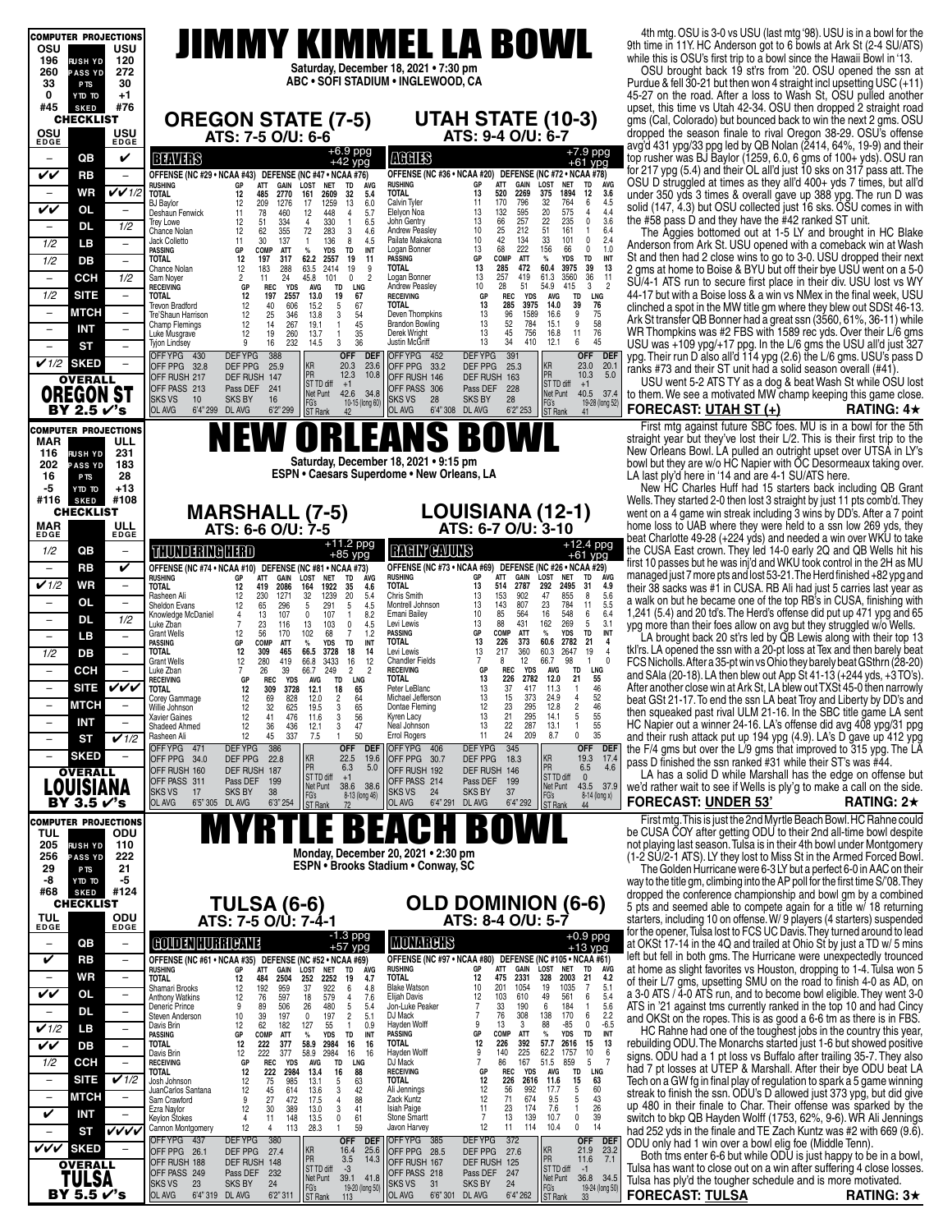|                                   | <b>COMPUTER PROJECTIONS</b>                    |                                                                                                                                                                                                                                                                                                                         | 4th mtg. OSU is 3-0 vs USU (last mtg '98). USU is in a bowl for the                                                                            |
|-----------------------------------|------------------------------------------------|-------------------------------------------------------------------------------------------------------------------------------------------------------------------------------------------------------------------------------------------------------------------------------------------------------------------------|------------------------------------------------------------------------------------------------------------------------------------------------|
| osu<br>196                        | USU<br>120<br><b>RUSH YD</b>                   | JIMMY KIMMEL LA BOWL                                                                                                                                                                                                                                                                                                    | 9th time in 11Y. HC Anderson got to 6 bowls at Ark St (2-4 SU/ATS)<br>while this is OSU's first trip to a bowl since the Hawaii Bowl in '13.   |
| 260                               | <b>PASS YD</b><br>272                          | Saturday, December 18, 2021 . 7:30 pm                                                                                                                                                                                                                                                                                   | OSU brought back 19 st'rs from '20. OSU opened the ssn at                                                                                      |
| 33                                | 30<br>P <sub>TS</sub>                          | ABC . SOFI STADIUM . INGLEWOOD, CA                                                                                                                                                                                                                                                                                      | Purdue & fell 30-21 but then won 4 straight incl upsetting USC (+11)                                                                           |
| 0<br>#45                          | $+1$<br>OT OTY<br>#76<br><b>SKED</b>           |                                                                                                                                                                                                                                                                                                                         | 45-27 on the road. After a loss to Wash St, OSU pulled another                                                                                 |
|                                   | <b>CHECKLIST</b>                               | <b>UTAH STATE (10-3)</b><br><b>OREGON STATE (7-5)</b>                                                                                                                                                                                                                                                                   | upset, this time vs Utah 42-34. OSU then dropped 2 straight road<br>gms (Cal, Colorado) but bounced back to win the next 2 gms. OSU            |
| osu                               | USU                                            | ATS: 7-5 O/U: 6-6<br>ATS: 9-4 O/U: 6-7                                                                                                                                                                                                                                                                                  | dropped the season finale to rival Oregon 38-29. OSU's offense                                                                                 |
| EDGE                              | EDGE                                           | +6.9 ppg                                                                                                                                                                                                                                                                                                                | avg'd 431 ypg/33 ppg led by QB Nolan (2414, 64%, 19-9) and their                                                                               |
| $\overline{\phantom{0}}$          | QB<br>V                                        | +7.9 ppg<br>+61 ypg<br><b>MGHIS</b><br><b>BENTER</b><br>$+42$ ypg                                                                                                                                                                                                                                                       | top rusher was BJ Baylor (1259, 6.0, 6 gms of 100+ yds). OSU ran                                                                               |
| VV                                | <b>RB</b><br>$\overline{\phantom{a}}$          | OFFENSE (NC #36 · NCAA #20) DEFENSE (NC #72 · NCAA #78)<br>OFFENSE (NC #29 . NCAA #43) DEFENSE (NC #47 . NCAA #76)<br>LOST<br><b>NET</b><br>TD<br><b>AVG</b><br>ATT<br><b>GAIN</b><br><b>LOST</b><br><b>NET</b><br><b>RUSHING</b><br>GР<br>ATT<br><b>RUSHING</b><br>GP<br>TD<br><b>AVG</b>                              | for 217 ypg (5.4) and their OL all'd just 10 sks on 317 pass att. The<br>OSU D struggled at times as they all'd 400+ yds 7 times, but all'd    |
| $\overline{\phantom{a}}$          | $V$ $V$ 1/2<br>WR                              | <b>GAIN<br/>2269</b><br>13<br>520<br>12<br><b>TOTAL</b><br>485<br>2609<br>TOTAL<br>375<br>1894<br>3.6<br>12<br>2770<br>161<br>32<br>5.4                                                                                                                                                                                 | under 350 yds 3 times & overall gave up 388 ypg. The run D was                                                                                 |
| VV                                | <b>OL</b><br>$\overline{\phantom{a}}$          | 796<br>Calvin Tyler<br>170<br>$\frac{32}{20}$<br>764<br>6<br>$4.5$<br>$4.4$<br><b>BJ Baylor</b><br>209<br>1276<br>17<br>1259<br>13<br>6.0<br>11<br>12<br>132<br>575<br>78<br>448<br>Elelyon Noa<br>13<br>$\overline{4}$<br>Deshaun Fenwick<br>11<br>460<br>12<br>4<br>5.7                                               | solid (147, 4.3) but OSU collected just 16 sks. OSU comes in with                                                                              |
| $\overline{\phantom{a}}$          | <b>DL</b><br>1/2                               | $\frac{595}{257}$<br>22<br>3.6<br>$\mathbf 0$<br>330<br>John Gentry<br>13<br>66<br>25<br>235<br>12<br>51<br>334<br>4<br>$\mathbf{1}$<br>6.5<br><b>Trey Lowe</b><br>51<br>Andrew Peasley<br>10<br>161<br>$\overline{1}$<br>6.4                                                                                           | the #58 pass D and they have the #42 ranked ST unit.                                                                                           |
| 1/2                               | LВ<br>$\overline{\phantom{a}}$                 | 62<br>355<br>72<br>283<br>12<br>3<br>4.6<br>Chance Nolan<br>33<br>42<br>2.4<br>30<br>137<br>Pailate Makakona<br>10<br>134<br>101<br>$\mathbf 0$<br>136<br>8<br>4.5<br>Jack Colletto<br>11<br>$\mathbf{1}$                                                                                                               | The Aggies bottomed out at 1-5 LY and brought in HC Blake<br>Anderson from Ark St. USU opened with a comeback win at Wash                      |
| 1/2                               | DВ<br>$\overline{\phantom{a}}$                 | 68<br>222<br>156<br>13<br>66<br>$^{\circ}$<br>1.0<br>GP<br>COMP<br>ATT<br><b>YDS</b><br>TD<br>INT<br>Logan Bonner<br>PASSING<br>%<br>COMP<br><b>ATT</b><br>$\%$<br><b>YDS</b><br>TD<br>INT<br><b>TOTAL</b><br>12<br>197<br>317<br>62.2<br>2557<br>19<br>11<br><b>PASSING</b><br>GP                                      | St and then had 2 close wins to go to 3-0. USU dropped their next                                                                              |
|                                   |                                                | 60.4<br>39<br><b>TOTAL</b><br>13<br>285<br>472<br>3975<br>13<br>12<br>183<br>288<br>63.5<br>2414<br>19<br>9<br>Chance Nolan<br>36<br>$\overline{2}$<br>257<br>419<br>61.3<br>3560<br>11                                                                                                                                 | 2 gms at home to Boise & BYU but off their bye USU went on a 5-0                                                                               |
| $\overline{\phantom{0}}$          | <b>CCH</b><br>1/2                              | 24<br>45.8<br>Logan Bonner<br>13<br>2<br>11<br>101<br>0<br>Sam Noyer<br>$\overline{2}$<br>Andrew Peasley<br>10<br>28<br>51<br>54.9<br>415<br>3<br>GP<br><b>REC</b><br><b>YDS</b><br><b>AVG</b><br>TD<br>LNG<br><b>RECEIVING</b>                                                                                         | SŬ/4-1 ATS run to secure first place in their div. USU lost vs WY                                                                              |
| 1/2                               | <b>SITE</b><br>$\qquad \qquad -$               | 19<br>67<br><b>TD</b><br><b>LNG</b><br>TOTAL<br>12<br>197<br>2557<br>13.0<br><b>RECEIVING</b><br>GP<br><b>REC</b><br><b>YDS</b><br><b>AVG</b><br>39<br>$5\phantom{.0}$<br>67<br><b>TOTAL</b><br>13<br>285<br>3975<br>14.0<br>76<br><b>Trevon Bradford</b><br>12<br>40<br>606<br>15.2                                    | 44-17 but with a Boise loss & a win vs NMex in the final week, USU<br>clinched a spot in the MW title gm where they blew out SDSt 46-13.       |
| $\overline{\phantom{m}}$          | МТСН<br>$\qquad \qquad -$                      | 12<br>25<br>346<br>54<br>13<br>96<br>1589<br>16.6<br>9<br>75<br>13.8<br>3<br>Deven Thompkins<br>Tre'Shaun Harrison<br>9<br>267<br>45<br>13<br>52<br>784<br>15.1<br>12<br>14<br>19.1<br><b>Brandon Bowling</b><br>$\overline{1}$                                                                                         | Ark St transfer QB Bonner had a great ssn (3560, 61%, 36-11) while                                                                             |
| $\overline{\phantom{a}}$          | <b>INT</b><br>-                                | 58<br>76<br><b>Champ Flemings</b><br>11<br>35<br>Derek Wright<br>13<br>45<br>756<br>16.8<br>12<br>19<br>260<br>13.7<br>Luke Musgrave<br>$\overline{1}$                                                                                                                                                                  | WR Thompkins was #2 FBS with 1589 rec yds. Over their L/6 gms                                                                                  |
| $\overline{\phantom{0}}$          | <b>ST</b><br>$\overline{\phantom{0}}$          | 45<br>36<br>Justin McĞriff<br>13<br>34<br>410<br>12.1<br>6<br>9<br>16<br>232<br>14.5<br>3<br><b>Tyjon Lindsey</b><br>OFF DEF<br>391<br>OFFYPG 430<br><b>DEFYPG</b><br>388<br>OFFYPG 452<br><b>DEFYPG</b>                                                                                                                | USU was +109 ypg/+17 ppg. In the L/6 gms the USU all'd just 327                                                                                |
| $\sqrt{1/2}$ sked                 |                                                | <b>OFF DEF</b><br>23.0 20.1<br>KR<br>KR<br>20.3<br>OFF PPG 32.8<br>DEF PPG<br>23.6<br>OFF PPG 33.2<br>DEF PPG<br>25.9<br>25.3                                                                                                                                                                                           | ypg. Their run D'also all'd 114 ypg (2.6) the L/6 gms. USU's pass D<br>ranks #73 and their ST unit had a solid season overall (#41).           |
|                                   | <b>OVERALL</b>                                 | PR<br>5.0<br>PR<br>12.3<br>10.3<br>10.8<br>OFF RUSH 217<br>DEF RUSH 147<br>OFF RUSH 146<br>DEF RUSH 163<br>ST TD diff<br>ST TD diff<br>$+1$<br>$+1$                                                                                                                                                                     | USU went 5-2 ATS TY as a dog & beat Wash St while OSU lost                                                                                     |
|                                   | <b>OREGON ST</b>                               | OFF PASS 213<br>Pass DEF<br>241<br>OFF PASS 306<br>Pass DEF<br>228<br>40.5 37.4<br>42.6 34.8<br>Net Punt<br>Net Punt<br><b>SKS VS</b><br>10<br><b>SKS BY</b><br>16<br>SKS VS<br>28<br><b>SKS BY</b><br>28<br>FG's<br>FG's<br>19-28 (long 52)                                                                            | to them. We see a motivated MW champ keeping this game close.                                                                                  |
|                                   | BY 2.5 √'s                                     | 10-15 (long 60)<br>OL AVG<br>6'4" 299 DL AVG<br>6'2" 299<br>OL AVG<br>6'4" 308<br>DL AVG<br>6'2" 253<br><b>ST</b> Rank<br>ST Rank<br>41<br>42                                                                                                                                                                           | <b>FORECAST: UTAH ST (+)</b><br>RATING: $4\star$                                                                                               |
|                                   | <b>COMPUTER PROJECTIONS</b>                    |                                                                                                                                                                                                                                                                                                                         | First mtg against future SBC foes. MU is in a bowl for the 5th                                                                                 |
| MAR                               | ULL                                            | EANS BOWL<br>NEW ORLI                                                                                                                                                                                                                                                                                                   | straight year but they've lost their L/2. This is their first trip to the                                                                      |
| 116<br>202                        | 231<br><b>RUSH YD</b><br>183<br><b>PASS YD</b> | Saturday, December 18, 2021 . 9:15 pm                                                                                                                                                                                                                                                                                   | New Orleans Bowl. LA pulled an outright upset over UTSA in LY's<br>bowl but they are w/o HC Napier with OC Desormeaux taking over.             |
| 16                                | 28<br>P <sub>TS</sub>                          | <b>ESPN • Caesars Superdome • New Orleans, LA</b>                                                                                                                                                                                                                                                                       | LA last ply'd here in '14 and are 4-1 SU/ATS here.                                                                                             |
| -5                                | +13<br>OT OTY                                  |                                                                                                                                                                                                                                                                                                                         | New HC Charles Huff had 15 starters back including QB Grant                                                                                    |
| #116                              | #108<br><b>SKED</b><br><b>CHECKLIST</b>        | <b>LOUISIANA (12-1)</b>                                                                                                                                                                                                                                                                                                 | Wells. They started 2-0 then lost 3 straight by just 11 pts comb'd. They                                                                       |
| MAR                               | ULL                                            | <b>MARSHALL (7-5)</b><br>ATS: 6-7 O/U: 3-10<br>ATS: 6-6 O/U: 7-5                                                                                                                                                                                                                                                        | went on a 4 game win streak including 3 wins by DD's. After a 7 point<br>home loss to UAB where they were held to a ssn low 269 yds, they      |
| <b>EDGE</b>                       | <b>EDGE</b>                                    | $+12.4$ ppg                                                                                                                                                                                                                                                                                                             | beat Charlotte 49-28 (+224 yds) and needed a win over WKU to take                                                                              |
| 1/2                               | QB<br>$\overline{\phantom{m}}$                 | +11.2 ppg<br>+85 ypg<br><b>RACHY GAULTS</b><br>THUNDERINGHERD<br>$+61$ ypg                                                                                                                                                                                                                                              | the CUSA East crown. They led 14-0 early 2Q and QB Wells hit his                                                                               |
| $\qquad \qquad -$                 | <b>RB</b><br>V                                 | OFFENSE (NC #74 · NCAA #10) DEFENSE (NC #81 · NCAA #73)<br>OFFENSE (NC #73 • NCAA #69) DEFENSE (NC #26 • NCAA #29)<br>GAIN<br>ATT<br><b>LOST</b><br>TD<br>ÁVG                                                                                                                                                           | first 10 passes but he was inj'd and WKU took control in the 2H as MU<br>managed just 7 more pts and lost 53-21. The Herd finished +82 ypg and |
| $\checkmark$ 1/2                  | <b>WR</b><br>$\qquad \qquad -$                 | <b>RUSHING</b><br>GР<br><b>NET</b><br>RUSHING<br>ATT<br>GAIN<br>LOST<br><b>NET</b><br>TD<br><b>AVG</b><br>GP<br>514<br>2787<br>292<br>2495<br>TOTAL<br>13<br>31<br>4.9<br>1922<br><b>TOTAL</b><br>12<br>2086<br>164<br>35<br>4.6<br>419                                                                                 | their 38 sacks was #1 in CUSA. RB Ali had just 5 carries last year as                                                                          |
| $\overline{\phantom{m}}$          | <b>OL</b><br>$\overline{\phantom{a}}$          | 153<br>Chris Smith<br>13<br>902<br>47<br>855<br>8<br>5.6<br>1271<br>32<br>1239<br>20<br>5.4<br>Rasheen Ali<br>12<br>230<br>143<br>807<br>23<br>784<br>11<br>5.5<br>65<br>13<br>291<br>Montrell Johnson<br>12<br>296<br>5<br>4.5<br>Sheldon Evans<br>5                                                                   | a walk on but he became one of the top RB's in CUSA, finishing with                                                                            |
| $\overline{\phantom{m}}$          | <b>DL</b><br>1/2                               | 16<br>548<br>6.4<br>10<br>85<br>564<br>6<br>13<br>107<br>8.2<br><b>Emani Bailey</b><br>Knowledge McDaniel<br>107<br>$\overline{4}$<br>$\mathbf{0}$<br>$\mathbf{1}$<br>88<br>431<br>162<br>269<br>$5\phantom{.0}$<br>3.1<br>13<br>Levi Lewis                                                                             | 1,241 (5.4) and 20 td's. The Herd's offense did put up 471 ypg and 65                                                                          |
| $\overline{\phantom{a}}$          | LB.<br>$\overline{\phantom{m}}$                | 23<br>13<br>103<br>0<br>4.5<br>Luke Zban<br>7<br>116<br>TD<br>56<br>68<br><b>PASSING</b><br>GP<br>COMP<br>ATT<br>$\%$<br><b>YDS</b><br>INT<br>12<br>102<br>1.2<br>7<br><b>Grant Wells</b><br>170                                                                                                                        | ypg more than their foes allow on avg but they struggled w/o Wells.<br>LA brought back 20 st'rs led by QB Lewis along with their top 13        |
| 1/2                               | DB<br>$\overline{\phantom{a}}$                 | 373<br>21<br><b>TOTAL</b><br>13<br>226<br>60.6<br>2782<br>4<br>INT<br>PASSING<br>GP<br>COMP<br><b>ATT</b><br>$\%$<br>YDS<br>TD<br>13<br>217<br>360<br>60.3<br>2647<br>19<br>$\overline{4}$<br>Levi Lewis<br>12<br>309<br>465<br>66.5<br>18<br><b>TOTAL</b><br>3728<br>14                                                | tkl'rs. LA opened the ssn with a 20-pt loss at Tex and then barely beat                                                                        |
| $\qquad \qquad -$                 | <b>CCH</b>                                     | $\overline{7}$<br>12<br>66.7<br>98<br>$\mathbf{1}$<br>$\Omega$<br><b>Chandler Fields</b><br>8<br>12<br>280<br>66.8<br>3433<br>16<br>12<br><b>Grant Wells</b><br>419<br>26<br>39<br>$\overline{2}$<br>REC<br>TD<br>LNG<br>249<br><b>RECEIVING</b><br>GP<br><b>YDS</b><br>AVG<br>66.7<br>$\overline{2}$<br>Luke Zban<br>7 | FCS Nicholls. After a 35-pt win vs Ohio they barely beat GSthrn (28-20)                                                                        |
|                                   |                                                | 21<br>55<br>GP<br><b>REC</b><br><b>TOTAL</b><br>13<br>226<br>2782<br>12.0<br><b>YDS</b><br>TD<br><b>RECEIVING</b><br>AVG<br>LNG                                                                                                                                                                                         | and SAIa (20-18). LA then blew out App St 41-13 (+244 yds, +3 TO's)                                                                            |
| $\qquad \qquad -$                 | VVV<br><b>SITE</b>                             | 46<br>12<br>65<br>Peter LeBlanc<br>13<br>37<br>417<br>11.3<br><b>TOTAL</b><br>309<br>3728<br>12.1<br>18<br>$\mathbf{1}$<br>373<br>52<br>$\overline{c}$<br>Michael Jefferson<br>13<br>15<br>24.9<br>$\overline{4}$<br>12<br>69<br>828<br>64<br>12.0<br>Corey Gammage                                                     | After another close win at Ark St, LA blew out TXSt 45-0 then narrowly<br>beat GSt 21-17. To end the ssn LA beat Troy and Liberty by DD's and  |
|                                   | <b>MTCH</b>                                    | 65<br>46<br>55<br>55<br>35<br>12<br>32<br>625<br>Dontae Fleming<br>12<br>23<br>295<br>12.8<br>Nillie Johnson<br>19.5<br>3<br>41<br>56<br>5<br>12<br>3<br>13<br>21<br>295<br>14.1<br>476<br>Kyren Lacy<br><b>Xavier Gaines</b><br>11.6                                                                                   | then squeaked past rival ULM 21-16. In the SBC title game LA sent                                                                              |
| $\overline{a}$                    | <b>INT</b>                                     | 287<br>13.1<br>$\mathbf{1}$<br>12<br>36<br>436<br>3<br>47<br>Neal Johnson<br>13<br>22<br>Shadeed Ahmed<br>12.1<br>50<br>0<br>12<br>7.5<br><b>Errol Rogers</b><br>11<br>24<br>209<br>8.7<br>45<br>337<br>Rasheen Ali<br>-1                                                                                               | HC Napier out a winner 24-16. LA's offense did avg 408 ypg/31 ppg                                                                              |
| $\overline{\phantom{a}}$          | $\checkmark$ 1/2<br>ST                         | <b>DEFYPG</b><br>386<br>OFF YPG 406<br>345<br>OFF YPG 471<br><b>OFF</b><br><b>DEF</b><br><b>DEFYPG</b><br><b>OFF</b><br><b>DEF</b>                                                                                                                                                                                      | and their rush attack put up 194 ypg (4.9). LA's D gave up 412 ypg<br>the F/4 gms but over the L/9 gms that improved to 315 ypg. The LA        |
| $\overline{\phantom{0}}$          | <b>SKED</b><br>$\overline{\phantom{0}}$        | KR<br>17.4<br>22.5<br>19.6<br>ΚR<br>19.3<br>OFF PPG 34.0<br>DEF PPG<br>22.8<br>OFF PPG 30.7<br>DEF PPG<br>18.3<br>PR<br>PR                                                                                                                                                                                              | pass D finished the ssn ranked #31 while their ST's was #44.                                                                                   |
|                                   | <b>OVERALL</b>                                 | 4.6<br>6.3<br>5.0<br>6.5<br>OFF RUSH 192<br>DEF RUSH 146<br>OFF RUSH 160<br>DEF RUSH<br>187<br>ST TD diff<br>$+1$<br>ST TD diff<br>$\mathbf{0}$<br>OFF PASS 311<br>Pass DEF<br>199<br>OFF PASS 214<br>Pass DEF<br>199                                                                                                   | LA has a solid D while Marshall has the edge on offense but                                                                                    |
|                                   | LOUISIANA                                      | 43.5 37.9<br>Net Punt<br>38.6 38.6<br>Net Punt<br><b>SKS VS</b><br><b>SKS BY</b><br>38<br>37<br>17<br>24<br><b>SKS BY</b><br>SKS VS<br>8-13 (long 46)<br>FG's<br>8-14 (long x)                                                                                                                                          | we'd rather wait to see if Wells is ply'g to make a call on the side.                                                                          |
|                                   | BY 3.5 √'s                                     | FG's<br>ST Rank<br>OL AVG<br>6'5" 305 DL AVG<br>6'3" 254<br>OL AVG<br>6'4''291<br>DL AVG<br>6'4" 292<br>ST Rank<br>72<br>44                                                                                                                                                                                             | <b>FORECAST: UNDER 53'</b><br>RATING: $2\star$                                                                                                 |
|                                   | <b>COMPUTER PROJECTIONS</b>                    |                                                                                                                                                                                                                                                                                                                         | First mtg. This is just the 2nd Myrtle Beach Bowl. HC Rahne could                                                                              |
| TUL<br>205                        | ODU<br>110<br><b>RUSH YD</b>                   |                                                                                                                                                                                                                                                                                                                         | be CUSA COY after getting ODU to their 2nd all-time bowl despite<br>not playing last season. Tulsa is in their 4th bowl under Montgomery       |
| 256                               | 222<br><b>PASS YD</b>                          | Monday, December 20, 2021 . 2:30 pm                                                                                                                                                                                                                                                                                     | (1-2 SU/2-1 ATS). LY they lost to Miss St in the Armed Forced Bowl.                                                                            |
| 29                                | 21<br>P <sub>TS</sub>                          | <b>ESPN • Brooks Stadium • Conway, SC</b>                                                                                                                                                                                                                                                                               | The Golden Hurricane were 6-3 LY but a perfect 6-0 in AAC on their                                                                             |
| -8<br>#68                         | -5<br>OT OTY<br>#124<br><b>SKED</b>            |                                                                                                                                                                                                                                                                                                                         | way to the title gm, climbing into the AP poll for the first time S/'08. They<br>dropped the conference championship and bowl gm by a combined |
|                                   | <b>CHECKLIST</b>                               | <b>OLD DOMINION (6-6)</b><br><b>TULSA (6-6)</b><br>ATS: 7-5 O/U: 7-4-1                                                                                                                                                                                                                                                  | 5 pts and seemed able to compete again for a title w/ 18 returning                                                                             |
| <b>TUL</b><br>EDGE                | ODU<br>EDGE                                    | ATS: 8-4 O/U: 5-7                                                                                                                                                                                                                                                                                                       | starters, including 10 on offense. W/ 9 players (4 starters) suspended                                                                         |
|                                   | QB                                             | $-1.3$ ppg<br>$+57$ ypg<br>$+0.9$ ppg<br>COLORING HOLDER<br><b>MONARGHS</b>                                                                                                                                                                                                                                             | for the opener, Tulsa lost to FCS UC Davis. They turned around to lead                                                                         |
| $\qquad \qquad -$                 | $\qquad \qquad -$                              | $+13$ ypg                                                                                                                                                                                                                                                                                                               | at OKSt 17-14 in the 4Q and trailed at Ohio St by just a TD w/ 5 mins<br>left but fell in both gms. The Hurricane were unexpectedly trounced   |
| V                                 | RB<br>$\overline{\phantom{a}}$                 | OFFENSE (NC #97 . NCAA #80) DEFENSE (NC #105 . NCAA #61)<br>OFFENSE (NC #61 • NCAA #35) DEFENSE (NC #52 • NCAA #69)<br><b>GAIN</b><br><b>LOST</b><br><b>RUSHING</b><br>GР<br>ATT<br><b>NET</b><br>TD<br>AVG<br>RUSHING<br>GP<br>ATT<br>GAIN<br>LOST<br><b>NET</b><br>TD<br>AVG                                          | at home as slight favorites vs Houston, dropping to 1-4. Tulsa won 5                                                                           |
| $\overline{\phantom{a}}$          | WR<br>$\overline{\phantom{0}}$                 | <b>TOTAL</b><br>2331<br>2003<br>12<br>475<br>328<br>21<br>4.2<br>2504<br><b>TOTAL</b><br>12<br>484<br>252<br>2252<br>4.7<br>19<br>1054<br><b>Blake Watson</b><br>10<br>201<br>19<br>1035<br>$\overline{7}$<br>5.1<br>959<br>922<br>37<br>Shamari Brooks<br>12<br>6<br>4.8                                               | of their L/7 gms, upsetting SMU on the road to finish 4-0 as AD, on                                                                            |
| VV                                | <b>OL</b><br>$\overline{\phantom{a}}$          | 192<br>76<br>579<br>49<br>561<br>5.4<br>12<br>103<br>610<br>6<br>12<br>597<br><b>Elijah Davis</b><br>7.6<br><b>Anthony Watkins</b><br>18<br>4<br>190<br>6<br>5.6<br>480<br>$5\phantom{.0}$<br>7<br>33<br>184<br>Jon-Luke Peaker<br>1<br>9<br>89<br>506<br>26<br>Deneric Prince<br>5.4                                   | a 3-0 ATS / 4-0 ATS run, and to become bowl eligible. They went 3-0<br>ATS in '21 against tms currently ranked in the top 10 and had Cincy     |
| $\qquad \qquad -$                 | <b>DL</b><br>$\overline{\phantom{m}}$          | 76<br>308<br>138<br>170<br>2.2<br>39<br>DJ Mack<br>6<br>197<br>55<br>10<br>197<br>$\overline{c}$<br>Steven Anderson<br>0<br>5.1                                                                                                                                                                                         | and OKSt on the ropes. This is as good a 6-6 tm as there is in FBS.                                                                            |
| $\mathbf{v}$ 1/2                  | LB                                             | 62<br>88<br>$\mathbf 0$<br>$-6.5$<br>Hayden Wolff<br>13<br>3<br>-85<br>182<br>127<br>9<br>12<br>$\mathbf{1}$<br>Davis Brin<br>0.9<br>$\%$<br>INT<br><b>PASSING</b><br>COMP<br>ATT<br><b>YDS</b><br>TD<br>GР<br>GP<br>PASSING<br>COMP<br>ATT<br>$\%$<br>YDS<br>TD<br>INT                                                 | HC Rahne had one of the toughest jobs in the country this year.                                                                                |
| $\overline{\mathsf{v}\mathsf{v}}$ | DB<br>$\overline{\phantom{m}}$                 | 392<br>57.7<br>15<br>13<br><b>TOTAL</b><br>12<br>226<br>2616<br>222<br>58.9<br>12<br>377<br>2984<br><b>TOTAL</b><br>16<br>16<br>58.9<br>Hayden Wolff<br>9<br>140<br>225<br>62.2<br>1757<br>10<br>6<br>222<br>377<br>2984<br>16<br>Davis Brin<br>16                                                                      | rebuilding ODU. The Monarchs started just 1-6 but showed positive                                                                              |
| 1/2                               | <b>CCH</b><br>$\overline{\phantom{a}}$         | $\frac{12}{GP}$<br>$\overline{7}$<br>5<br><b>REC</b><br>DJ Mack<br>86<br>167<br>51.5<br>859<br>-7<br><b>YDS</b><br>AVG<br>TD<br>LNG<br><b>RECEIVING</b>                                                                                                                                                                 | signs. ODU had a 1 pt loss vs Buffalo after trailing 35-7. They also<br>had 7 pt losses at UTEP & Marshall. After their bye ODU beat LA        |
| $\overline{\phantom{a}}$          | V1/2<br><b>SITE</b>                            | LNG<br>222<br>2984<br>REC<br>AVG<br>TD<br>TOTAL<br>12<br>13.4<br>16<br>88<br><b>RECEIVING</b><br>GP<br><b>YDS</b><br>15<br>12<br>75<br>985<br>5<br>63<br><b>TOTAL</b><br>12<br>226<br>2616<br>11.6<br>63<br>13.1<br>Josh Johnson                                                                                        | Tech on a GW fg in final play of regulation to spark a 5 game winning                                                                          |
| $\overline{\phantom{a}}$          | МТСН<br>$\overline{\phantom{m}}$               | 60<br>12<br>42<br>12<br>992<br>17.7<br>5<br>45<br>614<br>13.6<br>3<br>Ali Jennings<br>56<br>JuanCarlos Santana<br>71<br>43<br>9<br>27<br>88<br>12<br>674<br>9.5<br>5<br>472<br>17.5<br>Zack Kuntz<br>Sam Crawford<br>4                                                                                                  | streak to finish the ssn. ODU's D allowed just 373 ypg, but did give                                                                           |
| V                                 | INT                                            | 26<br>7.6<br>12<br>30<br>389<br>41<br><b>Isiah Paige</b><br>11<br>23<br>174<br>1<br>13.0<br>3<br>Ezra Naylor                                                                                                                                                                                                            | up 480 in their finale to Char. Their offense was sparked by the                                                                               |
|                                   | vvvv<br>ST                                     | 39<br>148<br>$\mathbf 0$<br>61<br>Stone Smartt<br>13<br>139<br>10.7<br>0<br>13.5<br>7<br>Keylon Stokes<br>4<br>11<br>12<br>$\pmb{0}$<br>14<br>12<br>113<br>59<br>11<br>114<br>10.4<br>28.3<br>Javon Harvey<br>Cannon Montgomery<br>4<br>$\mathbf{1}$                                                                    | switch to bkp QB Hayden Wolff (1753, 62%, 9-6). WR Ali Jennings<br>had 252 yds in the finale and TE Zach Kuntz was #2 with 669 (9.6).          |
| <b>VVV SKED</b>                   |                                                | <b>DEFYPG</b><br>380<br><b>DEFYPG</b><br>372<br>OFF YPG 437<br><b>OFF</b><br>OFF YPG 385<br><b>OFF</b><br><b>DEF</b><br>DEF                                                                                                                                                                                             | ODU only had 1 win over a bowl elig foe (Middle Tenn).                                                                                         |
|                                   | <b>OVERALL</b>                                 | KR<br>23.2<br>25.6<br>ΚR<br>21.9<br>DEF PPG<br>27.4<br>16.4<br>OFF PPG 28.5<br>DEF PPG<br>27.6<br>OFF PPG 26.1<br>PR<br>11.6<br>7.1<br>3.5<br>14.3<br>PR<br>OFF RUSH 167<br>OFF RUSH 188<br>DEF RUSH 148<br>DEF RUSH 125                                                                                                | Both tms enter 6-6 but while ODU is just happy to be in a bowl,                                                                                |
|                                   | TULSA                                          | ST TD diff<br>$-3$<br>ST TD diff<br>$-1$<br>OFF PASS 249<br>Pass DEF 232<br>OFF PASS 218<br>Pass DEF 247<br>Net Punt<br>39.1 41.8<br>Net Punt<br>36.8 34.5                                                                                                                                                              | Tulsa has want to close out on a win after suffering 4 close losses.<br>Tulsa has ply'd the tougher schedule and is more motivated.            |
|                                   | BY 5.5 r⁄'s                                    | <b>SKS VS</b><br>23<br><b>SKS BY</b><br>24<br><b>SKS VS</b><br>31<br><b>SKS BY</b><br>24<br>FG's<br>ST Rank<br>FG's<br>19-20 (long 50)<br>19-24 (long 50)<br>OL AVG<br>6'4" 319 DL AVG<br>6'2" 311<br>OL AVG<br>6'6''301<br>DL AVG<br>6'4" 262<br>ST Rank<br>33                                                         | <b>FORECAST: TULSA</b><br>RATING: $3\star$                                                                                                     |
|                                   |                                                |                                                                                                                                                                                                                                                                                                                         |                                                                                                                                                |

#### **FORECAST: UNDER 53' RATING: 2**H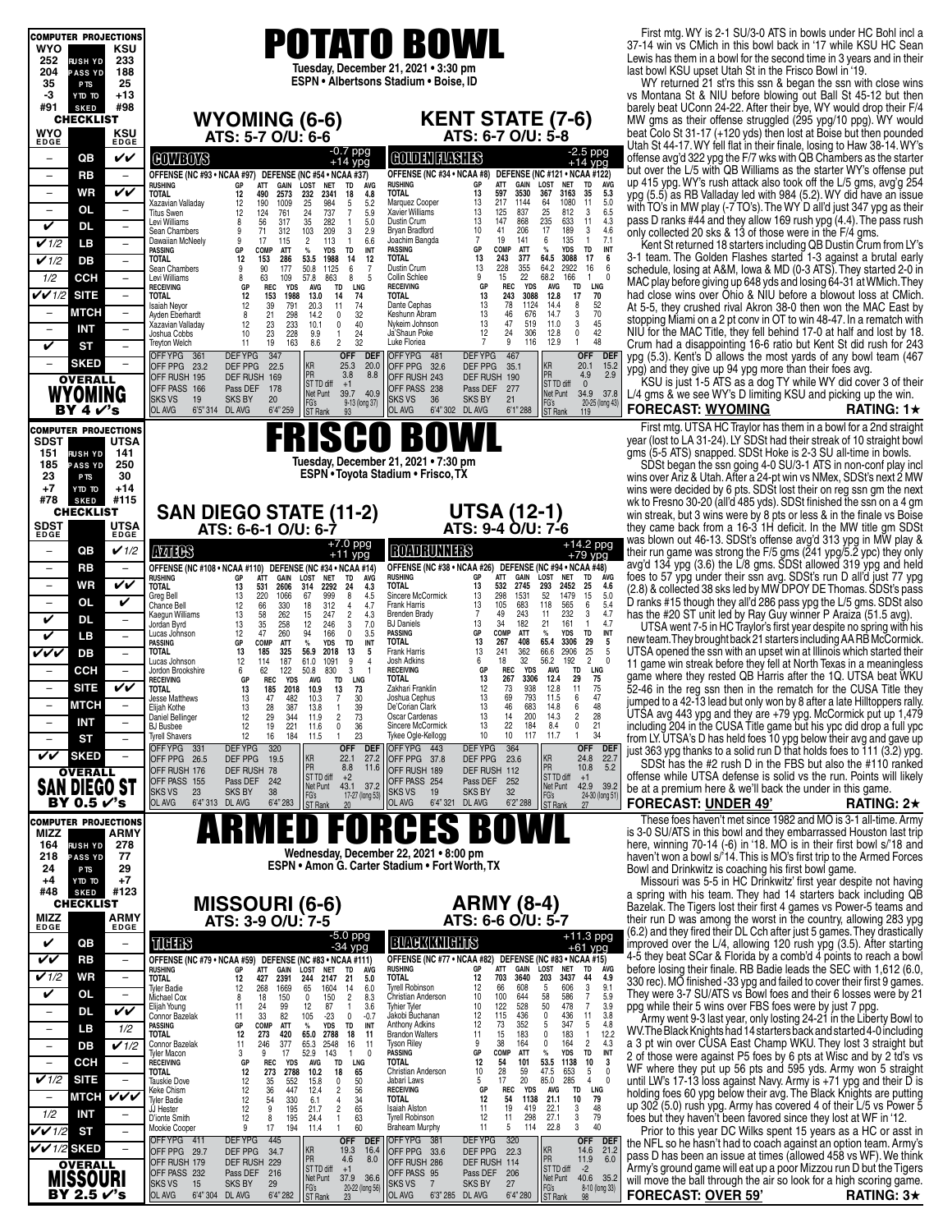| <b>COMPUTER PROJECTIONS</b>                                                                           |                                                                                                                                                                                                                                                                       | First mtg. WY is 2-1 SU/3-0 ATS in bowls under HC Bohl incl a                                                                                                                                             |
|-------------------------------------------------------------------------------------------------------|-----------------------------------------------------------------------------------------------------------------------------------------------------------------------------------------------------------------------------------------------------------------------|-----------------------------------------------------------------------------------------------------------------------------------------------------------------------------------------------------------|
| WYO<br>KSU                                                                                            | <b>POTATO BOWL</b>                                                                                                                                                                                                                                                    | 37-14 win vs CMich in this bowl back in '17 while KSU HC Sean<br>Lewis has them in a bowl for the second time in 3 years and in their                                                                     |
| 252<br>233<br><b>RUSH YD</b><br>188<br>204<br><b>PASS YD</b>                                          | Tuesday, December 21, 2021 . 3:30 pm                                                                                                                                                                                                                                  | last bowl KSU upset Utah St in the Frisco Bowl in '19.                                                                                                                                                    |
| 25<br>35<br>P <sub>TS</sub>                                                                           | ESPN • Albertsons Stadium • Boise, ID                                                                                                                                                                                                                                 | WY returned 21 st'rs this ssn & began the ssn with close wins                                                                                                                                             |
| -3<br>$+13$<br>OT OTY<br>#91<br>#98<br><b>SKED</b>                                                    |                                                                                                                                                                                                                                                                       | vs Montana St & NIU before blowing out Ball St 45-12 but then<br>barely beat UConn 24-22. After their bye, WY would drop their F/4                                                                        |
| <b>CHECKLIST</b>                                                                                      | <b>KENT STATE (7-6)</b><br><b>WYOMING (6-6)</b>                                                                                                                                                                                                                       | MW gms as their offense struggled (295 ypg/10 ppg). WY would                                                                                                                                              |
| WYO<br>KSU<br><b>EDGE</b><br><b>EDGE</b>                                                              | ATS: 6-7 O/U: 5-8<br>ATS: 5-7 O/U: 6-6                                                                                                                                                                                                                                | beat Colo St 31-17 (+120 yds) then lost at Boise but then pounded                                                                                                                                         |
| QB<br>VV<br>$\overline{\phantom{m}}$                                                                  | $-0.7$ ppg<br><b>COLORNIANSHES</b><br><b>COVIEOVS</b><br>$+14$ ypg                                                                                                                                                                                                    | Utah St 44-17. WY fell flat in their finale, losing to Haw 38-14. WY's<br>$-2.5$ ppg<br>offense avg'd 322 ypg the F/7 wks with QB Chambers as the starter<br>$+14$ ypg                                    |
| RB<br>$\overline{\phantom{a}}$<br>$\overline{\phantom{m}}$                                            | OFFENSE (NC #34 . NCAA #8) DEFENSE (NC #121 . NCAA #122)<br>OFFENSE (NC #93 • NCAA #97) DEFENSE (NC #54 • NCAA #37)                                                                                                                                                   | but over the L/5 with QB Williams as the starter WY's offense put                                                                                                                                         |
| VV<br>WR<br>$\overline{\phantom{m}}$                                                                  | ATT<br>LOST<br><b>RUSHING</b><br>GP<br>GAIN<br><b>RUSHING</b><br>GP<br>ATT<br>GAIN<br>LOST<br><b>NET</b><br>TD AVG<br>3530<br>13<br>597<br>367<br>TOTAL<br>12<br>490<br>2573<br>232<br>2341<br>4.8<br>TOTAL.<br>18                                                    | up 415 ypg. WY's rush attack also took off the L/5 gms, avg'g 254<br><b>NET</b><br>TD<br>AVG<br>5.3<br>3163<br>35<br>ypg (5.5) as RB Valladay led with 984 (5.2). WY did have an issue                    |
| OL<br>$\overline{\phantom{m}}$<br>$\overline{\phantom{a}}$                                            | 217<br>64<br>1144<br>190<br>1009<br>25<br>984<br>5<br>5.2<br>Marquez Cooper<br>13<br>Xazavian Valladay<br>12<br>25<br>13<br>837<br>5.9<br>125<br>12<br>124<br>761<br>24<br>737<br>7<br>Xavier Williams<br><b>Titus Swen</b>                                           | 11<br>5.0<br>1080<br>with TO's in MW play (-7 TO's). The WY D all'd just 347 ypg as their<br>812<br>6.5<br>3                                                                                              |
| V<br>DL<br>$\overline{\phantom{a}}$                                                                   | 235<br>13<br>868<br>35<br>5.0<br>147<br>56<br>317<br>282<br>$\mathbf{1}$<br>Dustin Crum<br>Levi Williams<br>8<br>17<br>206<br>10<br>71<br>312<br>103<br>209<br>3<br>2.9<br>Bryan Bradford<br>41<br>Sean Chambers<br>9                                                 | pass D ranks #44 and they allow 169 rush ypg (4.4). The pass rush<br>633<br>11<br>4.3<br>189<br>3<br>4.6<br>only collected 20 sks & 13 of those were in the F/4 gms.                                      |
| $\checkmark$ 1/2<br>LВ<br>$\overline{\phantom{a}}$                                                    | 6<br>6.6<br>$\overline{7}$<br>19<br>141<br>17<br>115<br>$\overline{2}$<br>113<br>$\mathbf{1}$<br>Joachim Bangda<br>Dawaiian McNeely<br>9<br>GP<br>COMP<br><b>YDS</b><br><b>TD</b><br>INT<br><b>PASSING</b><br>COMP<br>ATT<br>$\%$<br>PASSING<br>GP<br><b>ATT</b><br>% | 7.1<br>135<br>$\mathbf{1}$<br>Kent St returned 18 starters including QB Dustin Crum from LY's<br>INT<br>TD<br><b>YDS</b>                                                                                  |
| $\checkmark$ 1/2<br>DB<br>$\overline{\phantom{a}}$                                                    | 13<br>64.5<br>TOTAL<br>243<br>377<br><b>TOTAL</b><br>12<br>153<br>286<br>53.5<br>1988<br>14<br>12<br>13<br>228<br>355<br>64.2<br>9<br>90<br>50.8<br>1125<br>6<br>$\overline{7}$<br>Dustin Crum<br>Sean Chambers<br>177                                                | 3-1 team. The Golden Flashes started 1-3 against a brutal early<br>3088<br>17<br>6<br>2922<br>16<br>6                                                                                                     |
| 1/2<br><b>CCH</b><br>$\overline{\phantom{m}}$                                                         | 9<br>22<br>68.2<br>8<br>Collin Schlee<br>15<br>8<br>63<br>109<br>57.8<br>863<br>5<br>Levi Williams<br><b>REC</b><br><b>TD</b><br>LNG<br><b>RECEIVING</b><br>GP<br><b>REC</b><br><b>YDS</b><br>AVG<br><b>RECEIVING</b><br>GP<br><b>YDS</b><br><b>AVG</b>               | schedule, losing at A&M, lowa & MD (0-3 ATS). They started 2-0 in<br>166<br>$\mathbf{1}$<br>-0<br>MAC play before giving up 648 yds and losing 64-31 at WMich. They<br>LNG<br>TD                          |
| $V$ $V$ 1/2<br><b>SITE</b><br>$\overline{\phantom{a}}$                                                | 3088<br>13<br>243<br>12.8<br><b>TOTAL</b><br>12<br>153<br>1988<br>13.0<br>14<br>74<br>TOTAL.<br>13<br>78<br>1124<br>12<br>39<br>20.3<br>11<br>74<br>Dante Cephas<br>14.4                                                                                              | had close wins over Ohio & NIU before a blowout loss at CMich.<br>17<br>70<br>52<br>8                                                                                                                     |
| <b>MTCH</b><br>$\overline{\phantom{a}}$                                                               | 791<br>Isaiah Neyor<br>13<br>46<br>676<br>32<br>8<br>21<br>298<br>14.2<br>$\mathbf 0$<br>Keshunn Abram<br>14.7<br>Ayden Eberhardt                                                                                                                                     | At 5-5, they crushed rival Akron 38-0 then won the MAC East by<br>3<br>70<br>stopping Miami on a 2 pt conv in OT to win 48-47. In a rematch with                                                          |
| <b>INT</b><br>$\overline{\phantom{a}}$<br>$\overline{\phantom{a}}$                                    | 13<br>47<br>519<br>11.0<br>12<br>23<br>233<br>10.1<br>$\mathbf 0$<br>40<br>Nykeim Johnson<br>Xazavian Valladay<br>306<br>12<br>24<br>12.8<br>10 <sup>10</sup><br>23<br>228<br>9.9<br>$\mathbf{1}$<br>24<br>Ja'Shaun Poke<br>Joshua Cobbs                              | 3<br>45<br>NIU for the MAC Title, they fell behind 17-0 at half and lost by 18.<br>42<br>0                                                                                                                |
| V<br><b>ST</b><br>$\overline{\phantom{m}}$                                                            | 32<br>7<br>9<br>116<br>12.9<br>11<br>19<br>163<br>8.6<br>2<br>Luke Floriea<br><b>Treyton Welch</b><br><b>DEFYPG</b><br>347<br><b>DEFYPG</b><br>OFFYPG 361<br><b>OFF</b><br><b>DEF</b><br>OFFYPG 481<br>467                                                            | 48<br>$\mathbf{1}$<br>Crum had a disappointing 16-6 ratio but Kent St did rush for 243<br><b>OFF</b><br><b>DEF</b><br>ypg (5.3). Kent's D allows the most yards of any bowl team (467)                    |
| <b>SKED</b>                                                                                           | KR<br>25.3<br>KR<br>20.0<br>OFF PPG 23.2<br>DEF PPG<br>OFF PPG 32.6<br>DEF PPG<br>22.5<br>35.1<br>PR<br>PR<br>3.8<br>8.8<br>OFF RUSH 195<br>DEF RUSH 169<br>OFF RUSH 243                                                                                              | 20.1<br>15.2<br>ypg) and they give up 94 ypg more than their foes avg.<br>2.9<br>4.9                                                                                                                      |
| <b>OVERALL</b><br><b>WYOMING</b>                                                                      | DEF RUSH 190<br>ST TD diff<br>ST TD diff<br>$+1$<br>OFF PASS 166<br>178<br>OFF PASS 238<br>Pass DEF<br>Pass DEF<br>277<br>Net Punt<br>39.7 40.9<br>Net Punt                                                                                                           | KSU is just 1-5 ATS as a dog TY while WY did cover 3 of their<br>$\mathbf{0}$<br>34.9 37.8<br>L/4 gms & we see WY's D limiting KSU and picking up the win.                                                |
| BY 4 $V$ 's                                                                                           | <b>SKS VS</b><br>19<br><b>SKS BY</b><br>20<br><b>SKS VS</b><br>36<br><b>SKS BY</b><br>21<br>FG's<br>ST Rank<br>FG's<br>9-13 (long 37)<br>6'5" 314 DL AVG<br>6'1" 288<br>OL AVG<br>6'4" 259<br>OL AVG<br>6'4" 302 DL AVG<br><b>ST Rank</b><br>93                       | 20-25 (long 43)<br><b>FORECAST: WYOMING</b><br>RATING: 1 $\star$<br>119                                                                                                                                   |
| <b>COMPUTER PROJECTIONS</b>                                                                           |                                                                                                                                                                                                                                                                       | First mtg. UTSA HC Traylor has them in a bowl for a 2nd straight                                                                                                                                          |
| <b>SDST</b><br><b>UTSA</b>                                                                            | ISCI<br>0 BOWL                                                                                                                                                                                                                                                        | year (lost to LA 31-24). LY SDSt had their streak of 10 straight bowl                                                                                                                                     |
| 151<br>141<br><b>RUSH YD</b><br>185<br>250<br><b>PASS YD</b>                                          | Tuesday, December 21, 2021 . 7:30 pm                                                                                                                                                                                                                                  | gms (5-5 ATS) snapped. SDSt Hoke is 2-3 SU all-time in bowls.<br>SDSt began the ssn going 4-0 SU/3-1 ATS in non-conf play incl                                                                            |
| 30<br>23<br>P <sub>TS</sub>                                                                           | ESPN . Toyota Stadium . Frisco, TX                                                                                                                                                                                                                                    | wins over Ariz & Utah. After a 24-pt win vs NMex, SDSt's next 2 MW                                                                                                                                        |
| $+7$<br>$+14$<br>OT OTY<br>#78<br>#115<br><b>SKED</b>                                                 |                                                                                                                                                                                                                                                                       | wins were decided by 6 pts. SDSt lost their on reg ssn gm the next<br>wk to Fresno 30-20 (all'd 485 yds). SDSt finished the ssn on a 4 gm                                                                 |
| <b>CHECKLIST</b>                                                                                      | <b>UTSA (12-1)</b><br><b>SAN DIEGO STATE (11-2)</b>                                                                                                                                                                                                                   | win streak, but 3 wins were by 8 pts or less & in the finale vs Boise                                                                                                                                     |
| <b>SDST</b><br><b>UTSA</b><br><b>EDGE</b><br><b>EDGE</b>                                              | ATS: 9-4 O/U: 7-6<br>ATS: 6-6-1 O/U: 6-7                                                                                                                                                                                                                              | they came back from a 16-3 1H deficit. In the MW title gm SDSt<br>was blown out 46-13. SDSt's offense avg'd 313 ypg in MW play &                                                                          |
| $\checkmark$ 1/2<br>QB<br>$\qquad \qquad -$                                                           | $+7.0$ ppg<br><b>ROADRUNNERS</b><br><b>MIB</b><br>$+11$ ypg                                                                                                                                                                                                           | $+14.2$ ppg<br>their run game was strong the F/5 gms (241 ypg/5.2 ypc) they only<br>$+79$ ypg                                                                                                             |
| RB<br>$\qquad \qquad -$<br>$\overline{\phantom{m}}$                                                   | OFFENSE (NC #38 • NCAA #26) DEFENSE (NC #94 • NCAA #48)<br>OFFENSE (NC #108 . NCAA #110) DEFENSE (NC #34 . NCAA #14)<br><b>RUSHING</b><br><b>ATT</b><br>GAIN<br>LOST<br>GP<br><b>RUSHING</b><br>GAIN<br><b>NET</b><br>AVG<br>GP<br>ATT<br>LOST<br>TD                  | avg'd 134 ypg (3.6) the L/8 gms. SDSt allowed 319 ypg and held<br>ÁVG<br>foes to 57 ypg under their ssn avg. SDSt's run D all'd just 77 ypg<br><b>NET</b><br>TD                                           |
| WR<br>VV<br>$\overline{\phantom{a}}$                                                                  | TOTAL<br>13<br>532<br>2745<br>293<br>531<br>2606<br>2292<br>4.3<br>TOTAL<br>314<br>24<br>13<br>Sincere McCormick<br>298<br>1531<br>52<br>220<br>999<br>8<br>4.5<br>13<br>1066<br>67<br>Greg Bell<br>13                                                                | 4.6<br>2452<br>25<br>(2.8) & collected 38 sks led by MW DPOY DE Thomas. SDSt's pass<br>15<br>1479<br>5.0                                                                                                  |
| OL<br>V<br>$\overline{\phantom{a}}$                                                                   | 13<br>105<br>683<br>118<br>66<br>18<br>312<br>4.7<br>Frank Harris<br>12<br>330<br>$\overline{4}$<br>Chance Bell<br>$\overline{7}$<br>49<br>243<br>11<br>13<br>58<br>262<br>$\overline{c}$<br>4.3<br><b>Brenden Brady</b><br>15<br>247<br>Kaegun Williams              | D ranks #15 though they all'd 286 pass ypg the L/5 gms. SDSt also<br>5.4<br>565<br>6<br>4.7<br>232<br>3<br>has the #20 ST unit led by Ray Guy winner P Araiza (51.5 avg).                                 |
| V<br>DL<br>$\overline{\phantom{a}}$                                                                   | 13<br>35<br>34<br>182<br>21<br>13<br>258<br>12<br>246<br>3<br>7.0<br><b>BJ Daniels</b><br>Jordan Byrd<br>47<br>$\%$<br>12<br>260<br>94<br>166<br>$\mathbf 0$<br>3.5<br>PASSING<br>GP<br>COMP<br>ATT                                                                   | 161<br>$\mathbf{1}$<br>4.7<br>UTSA went 7-5 in HC Traylor's first year despite no spring with his<br><b>TD</b><br>INT<br><b>YDS</b>                                                                       |
| V<br>LВ<br>$\overline{\phantom{a}}$                                                                   | Lucas Johnson<br>TOTAL<br>13<br>267<br>408<br>65.4<br>$\%$<br>GP<br>COMP<br>ATT<br><b>YDS</b><br>TD<br>INT<br>PASSING<br>13<br>241<br>362<br>66.6<br>5<br>Frank Harris                                                                                                | new team. They brought back 21 starters including AA RB McCormick.<br>3306<br>29<br>5<br>25<br>2906<br>-5                                                                                                 |
| vvv<br>DB<br>$\overline{\phantom{a}}$                                                                 | 185<br>325<br>2018<br>13<br>TOTAL<br>13<br>56.9<br>18<br>32<br>56.2<br>12<br>187<br>9<br>Josh Adkins<br>6<br>114<br>61.0<br>1091<br>$\overline{4}$<br>Lucas Johnson<br><b>REC</b><br><b>RECEIVING</b><br>GP<br><b>YDS</b><br><b>AVG</b><br>$\overline{1}$             | UTSA opened the ssn with an upset win at Illinois which started their<br>$\overline{2}$<br>192<br>$\mathbf{0}$<br>11 game win streak before they fell at North Texas in a meaningless<br><b>TD</b><br>LNG |
| CCH<br>$\overline{\phantom{a}}$<br>$\overline{\phantom{0}}$<br><b>SITE</b><br>VV<br>$\qquad \qquad -$ | 6<br>62<br>122<br>50.8<br>830<br>3<br>Jordon Brookshire<br>TOTAL<br>13<br>267<br>3306<br>12.4<br>GP<br><b>REC</b><br><b>YDS</b><br><b>TD</b><br>LNG<br>AVG<br><b>RECEIVING</b><br>Zakhari Franklin<br>12<br>73<br>938<br>12.8                                         | game where they rested QB Harris after the 1Q. UTSA beat WKU<br>29<br>75<br>11<br>75                                                                                                                      |
| мтсн                                                                                                  | <b>TOTAL</b><br>13<br>185<br>2018<br>10.9<br>13<br>73<br>$\overline{7}$<br>30<br>13<br>69<br>793<br>Jesse Matthews<br>13<br>47<br>482<br>10.3<br>Joshua Cephus<br>11.5                                                                                                | 52-46 in the reg ssn then in the rematch for the CUSA Title they<br>6<br>47<br>jumped to a 42-13 lead but only won by 8 after a late Hilltoppers rally.                                                   |
| <b>INT</b><br>$\overline{\phantom{m}}$<br>$\overline{\phantom{0}}$                                    | 13<br>46<br>683<br>28<br>De'Corian Clark<br>13<br>387<br>14.8<br>≞iijan Kotne<br>13.8<br>39<br>12<br>29<br>344<br>73<br>13<br>14<br>200<br>14.3<br>2<br>Oscar Cardenas<br>Daniel Bellinger<br>11.9                                                                    | $\begin{array}{c} 48 \\ 28 \end{array}$<br>$\frac{6}{2}$<br>UTSA avg 443 ypg and they are +79 ypg. McCormick put up 1,479                                                                                 |
| SТ<br>$\overline{\phantom{a}}$                                                                        | 22<br>12<br>221<br>$\pmb{0}$<br>13<br>184<br>8.4<br>19<br>36<br>Sincere McCormick<br><b>BJ</b> Busbee<br>11.6<br>23<br>10<br>10<br>117<br>12<br>16<br>184<br>$\mathbf{1}$<br>Tykee Ogle-Kellogg<br>11.7<br>11.5<br><b>Tyrell Shavers</b>                              | including 204 in the CUSA Title game but his ypc did drop a full ypc<br>0<br>21<br>34<br>$\mathbf{1}$<br>from LY. UTSA's D has held foes 10 ypg below their avg and gave up                               |
| VV<br><b>SKED</b>                                                                                     | <b>DEFYPG</b><br><b>DEFYPG</b><br>OFFYPG 331<br>320<br>OFFYPG 443<br>364<br><b>OFF</b><br><b>DEF</b><br>KR<br>22.1<br>27.2<br>OFF PPG 26.5<br>DEF PPG<br>OFF PPG 37.8<br>DEF PPG<br>23.6<br>19.5                                                                      | <b>OFF</b><br>DEF<br>just 363 ypg thanks to a solid run D that holds foes to 111 (3.2) ypg.<br>24.8                                                                                                       |
| <b>OVERALL</b>                                                                                        | KR<br>PR<br>PR<br>8.8<br>11.6<br>OFF RUSH 176<br>DEF RUSH 78<br>OFF RUSH 189<br>DEF RUSH 112<br>ST TD diff<br>ST TD diff<br>$+2$                                                                                                                                      | $\frac{22.7}{5.2}$<br>SDSt has the #2 rush D in the FBS but also the #110 ranked<br>10.8<br>offense while UTSA defense is solid vs the run. Points will likely<br>$+1$                                    |
| ego st<br><b>SAN DI</b>                                                                               | OFF PASS 254<br>OFF PASS 155<br>Pass DEF<br>Pass DEF<br>252<br>242<br>Net Punt<br>43.1<br>37.2<br>Net Punt<br>FG's<br>ST Rank<br><b>SKS VS</b><br><b>SKS BY</b><br><b>SKS BY</b><br>32<br>23<br>38<br>19<br><b>SKS VS</b><br>17-27 (long 53)                          | 42.9<br>39.2<br>be at a premium here & we'll back the under in this game.<br>24-30 (long 51                                                                                                               |
| BY 0.5 r′'s                                                                                           | FG's<br>ST Rank<br>OL AVG<br>6'4" 313 DL AVG<br>6'4" 283<br>OL AVG<br>6'4" 321 DL AVG<br>6'2" 288<br>20                                                                                                                                                               | <b>FORECAST: UNDER 49'</b><br>RATING: $2\star$<br>27                                                                                                                                                      |
| <b>COMPUTER PROJECTIONS</b><br>MIZZ<br>ARMY                                                           | RCES<br>D                                                                                                                                                                                                                                                             | These foes haven't met since 1982 and MO is 3-1 all-time. Army<br>is 3-0 SU/ATS in this bowl and they embarrassed Houston last trip                                                                       |
| 278<br>164<br><b>RUSHYD</b>                                                                           | Wednesday, December 22, 2021 . 8:00 pm                                                                                                                                                                                                                                | here, winning 70-14 (-6) in '18. MO is in their first bowl s/'18 and                                                                                                                                      |
| 77<br>218<br><b>PASS YD</b><br>29<br>24<br>P <sub>TS</sub>                                            | ESPN • Amon G. Carter Stadium • Fort Worth, TX                                                                                                                                                                                                                        | haven't won a bowl s/'14. This is MO's first trip to the Armed Forces<br>Bowl and Drinkwitz is coaching his first bowl game.                                                                              |
| $+7$<br>$+4$<br>OT OTY<br>#123                                                                        |                                                                                                                                                                                                                                                                       | Missouri was 5-5 in HC Drinkwitz' first year despite not having                                                                                                                                           |
| #48<br><b>SKED</b><br><b>CHECKLIST</b>                                                                | <b>ARMY (8-4)</b><br><b>MISSOURI (6-6)</b>                                                                                                                                                                                                                            | a spring with his team. They had 14 starters back including QB<br>Bazelak. The Tigers lost their first 4 games vs Power-5 teams and                                                                       |
| MIZZ<br>ARMY<br><b>EDGE</b><br>EDGE                                                                   | ATS: 6-6 O/U: 5-7<br>ATS: 3-9 O/U: 7-5                                                                                                                                                                                                                                | their run D was among the worst in the country, allowing 283 ypg                                                                                                                                          |
| V<br>QB<br>$\overline{\phantom{a}}$                                                                   | -5.0 ppg<br>-34 ypg<br><b>BUGKKNIGHTS</b><br>TICHES                                                                                                                                                                                                                   | (6.2) and they fired their DL Cch after just 5 games. They drastically<br>$+11.3$ ppg<br>improved over the L/4, allowing 120 rush ypg (3.5). After starting<br>$+61$ ypg                                  |
| VV<br>RB<br>$\overline{\phantom{a}}$                                                                  | OFFENSE (NC #77 · NCAA #82) DEFENSE (NC #83 · NCAA #15)<br>OFFENSE (NC #79 • NCAA #59) DEFENSE (NC #83 • NCAA #111)                                                                                                                                                   | 4-5 they beat SCar & Florida by a comb'd 4 points to reach a bowl                                                                                                                                         |
| V1/2<br><b>WR</b><br>$\overline{\phantom{a}}$                                                         | <b>RUSHING</b><br>ATT<br>GAIN<br>LOST<br>GP<br><b>RUSHING</b><br>GP<br>ATT<br>GAIN<br>LOST<br>NET<br>TD<br><b>AVG</b><br><b>TOTAL</b><br>12<br>703<br>3640<br>203<br>2391<br>5.0<br>TOTAL<br>12<br>427<br>244<br>2147<br>21                                           | before losing their finale. RB Badie leads the SEC with 1,612 (6.0.<br><b>NET</b><br>TD<br><b>AVG</b><br>3437<br>44<br>4.9<br>330 rec). MO finished -33 ypg and failed to cover their first 9 games.      |
| V<br>OL<br>$\overline{\phantom{a}}$                                                                   | 12<br>66<br>608<br>5<br>Tyrell Robinson<br>268<br>1669<br>1604<br>6.0<br><b>Tyler Badie</b><br>12<br>65<br>14<br>58<br>10<br>100<br>644<br>$\overline{c}$<br>8.3<br>Christian Anderson<br>150<br>0<br>150<br>Michael Cox<br>8<br>18                                   | 3<br>$\frac{9.1}{5.9}$<br>606<br>They were 3-7 SU/ATS vs Bowl foes and their 6 losses were by 21<br>586<br>7                                                                                              |
| VV<br>$\overline{\phantom{a}}$<br>DL                                                                  | 50<br>10<br>122<br>528<br>12<br>87<br>Tyhier Tyler<br>24<br>99<br>3.6<br>11<br>$\overline{1}$<br>Elijah Young<br>12<br>115<br>436<br>0<br>33<br>82<br>105<br>$-23$<br>$-0.7$<br>Jakobi Buchanan<br>0<br>Connor Bazelak<br>11                                          | 3.9<br>478<br>$\overline{7}$<br>ppg while their 5 wins over FBS foes were by just 7 ppg.<br>3.8<br>436<br>11<br>Army went 9-3 last year, only losting 24-21 in the Liberty Bowl to                        |
| 1/2<br>LВ<br>$\overline{\phantom{a}}$                                                                 | 352<br>12<br>73<br>5<br>Anthony Adkins<br>GP<br>COMP<br>ATT<br>$\%$<br>YDS<br>TD<br>INT<br>PASSING<br>11<br>15<br>183<br>0<br>12<br>18<br><b>Brandon Walters</b><br><b>TOTAL</b><br>273<br>420<br>65.0<br>2788<br>11                                                  | 347<br>5<br>4.8<br>WV. The Black Knights had 14 starters back and started 4-0 including<br>183<br>12.2<br>$\mathbf{1}$                                                                                    |
| $\overline{V}$ 1/2<br>$\overline{\phantom{a}}$<br>DВ                                                  | 9<br>38<br>164<br>0<br>377<br>Tyson Riley<br>11<br>246<br>65.3<br>2548<br>16<br>11<br>Connor Bazelak<br>$\%$<br>17<br>52.9<br>143<br>PASSING<br>GP<br>COMP<br>ATT<br>3<br>$\mathbf 0$<br>9<br>$\mathbf{1}$<br>Tyler Macon                                             | 164<br>2<br>4.3<br>a 3 pt win over CUSA East Champ WKU. They lost 3 straight but<br><b>YDS</b><br>INT<br>TD<br>2 of those were against P5 foes by 6 pts at Wisc and by 2 td's vs                          |
| CCH<br>$\overline{\phantom{m}}$<br>$\overline{\phantom{0}}$                                           | TOTAL<br>12<br>54<br>101<br>53.5<br>GP<br><b>REC</b><br>YDS<br>AVG<br>TD<br>LNG<br><b>RECEIVING</b><br>10<br>28<br>59<br>47.5<br>TOTAL<br>12<br>273<br>2788<br>10.2<br>18<br>65<br>Christian Anderson                                                                 | 1138<br>10<br>3<br>WF where they put up 56 pts and 595 yds. Army won 5 straight<br>653<br>5<br>$\Omega$                                                                                                   |
| $\checkmark$ 1/2<br><b>SITE</b>                                                                       | 20<br>$\mathbf 0$<br>50<br>5<br>17<br>85.0<br>12<br>35<br>552<br>15.8<br>Jabari Laws<br><b>Tauskie Dove</b><br>12<br>447<br>$\overline{\mathbf{c}}$<br>56<br>36<br>12.4<br><b>RECEIVING</b><br>GP<br><b>REC</b><br><b>YDS</b><br><b>AVG</b><br>Keke Chism             | 285<br>$\overline{4}$<br>$\mathbf{0}$<br>until LW's 17-13 loss against Navy. Army is +71 ypg and their D is<br>LNG<br><b>TD</b><br>holding foes 60 ypg below their avg. The Black Knights are putting     |
| VVV<br>МТСН<br>٠<br>1/2<br>INT<br>$\qquad \qquad -$                                                   | 12<br>330<br>34<br>12<br>54<br>1138<br>21.1<br>54<br>6.1<br>4<br>TOTAL<br>Tyler Badie<br>195<br>$\overline{\mathbf{c}}$<br>65<br>11<br>19<br>419<br>22.1<br>12<br>9<br>21.7<br><b>Isaiah Alston</b><br>JJ Hester                                                      | 10<br>79<br>up 302 (5.0) rush ypg. Army has covered 4 of their L/5 vs Power 5<br>3<br>48                                                                                                                  |
| $VV$ 1/2<br>ST<br>$\overline{\phantom{a}}$                                                            | 27.1<br>195<br>$\mathbf{1}$<br>63<br>12<br>11<br>298<br>12<br>8<br>24.4<br><b>Tyrell Robinson</b><br>D'ionte Smith<br>194<br>60<br>11<br>5<br>114<br>22.8<br>9<br>17<br>11.4<br>$\mathbf{1}$<br><b>Braheam Murphy</b><br>Mookie Cooper                                | 3<br>79<br>foes but they haven't been favored since they lost at WF in '12.<br>3<br>40<br>Prior to this year DC Wilks spent 15 years as a HC or asst in                                                   |
| $\checkmark$ /2 sked                                                                                  | <b>DEFYPG</b><br><b>DEFYPG</b><br>320<br>445<br>OFFYPG 381<br>OFFYPG 411<br><b>OFF</b><br><b>DEF</b><br>KR<br>KR<br>19.3<br>16.4<br>DEF PPG<br>OFF PPG 33.6<br>DEF PPG<br>OFF PPG 29.7<br>34.7<br>22.3                                                                | <b>DEF</b><br><b>OFF</b><br>the NFL so he hasn't had to coach against an option team. Army's<br>14.6<br>21.2                                                                                              |
| <b>OVERALL</b>                                                                                        | PR<br>PR<br>8.0<br>4.6<br>OFF RUSH 179<br>DEF RUSH 229<br>OFF RUSH 286<br>DEF RUSH 114<br>ST TD diff<br>ST TD diff<br>$+1$                                                                                                                                            | pass D has been an issue at times (allowed 458 vs WF). We think<br>11.9<br>6.0<br>Army's ground game will eat up a poor Mizzou run D but the Tigers<br>$-2$                                               |
| MISSOURI                                                                                              | OFF PASS 232<br>Pass DEF<br>OFF PASS 95<br>Pass DEF 206<br>216<br>Net Punt<br>37.9 36.6<br>Net Punt<br><b>SKS VS</b><br><b>SKS BY</b><br>29<br><b>SKS VS</b><br>$\overline{7}$<br><b>SKS BY</b><br>27<br>15<br>20-22 (long 56)                                        | 40.6 35.2<br>will move the ball through the air so look for a high scoring game.<br>8-10 (long 33)                                                                                                        |
| BY 2.5 r′'s                                                                                           | FG's<br>ST Rank<br>FG's<br>ST Rank<br>OL AVG<br>6'4" 304 DL AVG<br>6'4" 282<br>OL AVG<br>6'3" 285 DL AVG<br>6'4" 280                                                                                                                                                  | <b>FORECAST: OVER 59'</b><br>RATING: $3\star$<br>98                                                                                                                                                       |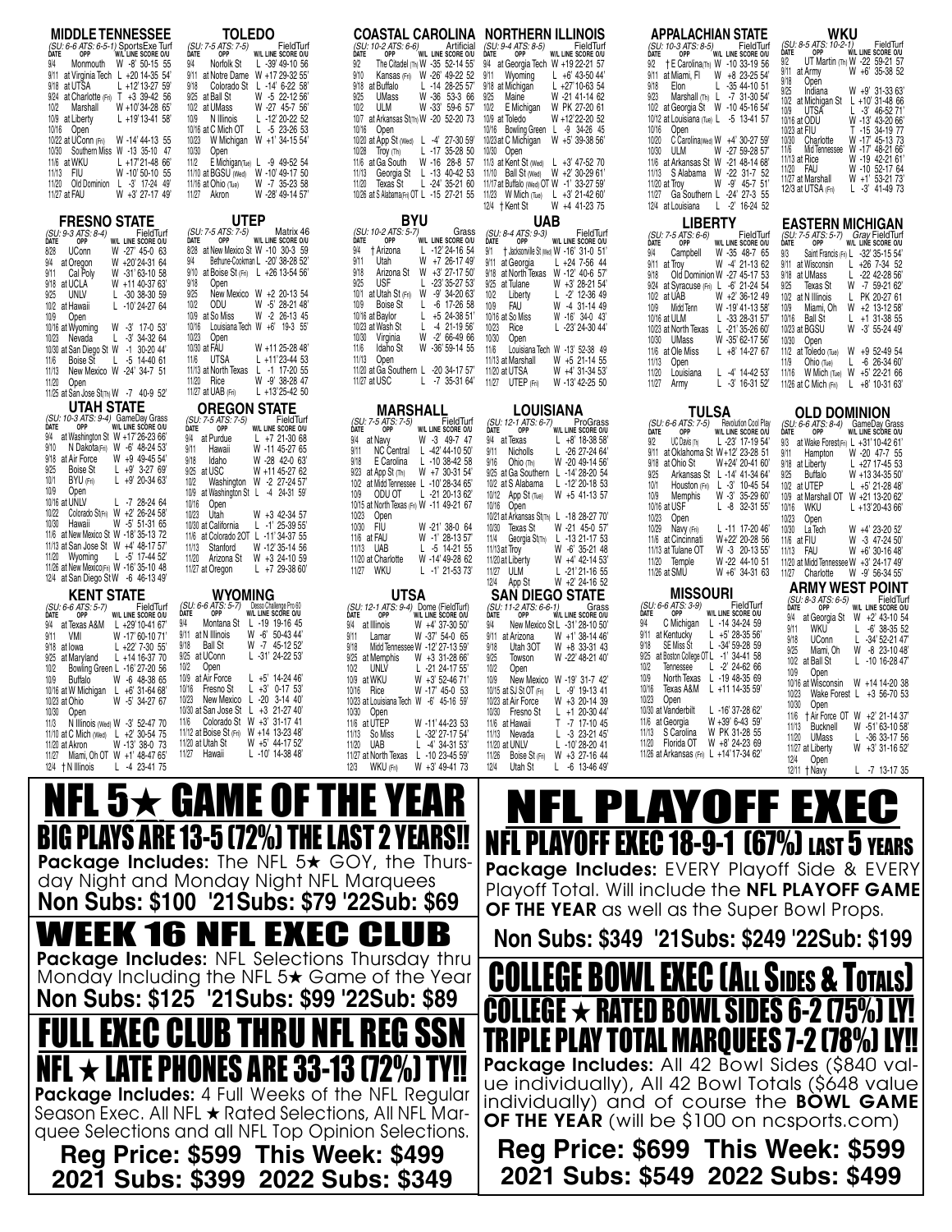| <b>MIDDLE TENNESSEE</b><br>(SU: 6-6 ATS: 6-5-1) SportsExe Turf<br>DATE OPP WIL LINE SCORE O/U<br>DATE                                               | <b>TOLEDO</b><br>FieldTurf<br>(SU: 7-5 ATS: 7-5)<br><b>DATE</b><br>OPP<br>W/L LINE SCORE O/U                                                                   | <b>COASTAL CAROLINA NORTHERN ILLINOIS</b><br>Artificial<br>(SU: 10-2 ATS: 6-6)<br>OPP<br>W/L LINE SCORE O/U<br>DATE                                                 | (SU: 9-4 ATS: 8-5)<br>FieldTurf<br>DATE<br>OPP<br>W/L LINE SCORE O/U                                                                                          | <b>APPALACHIAN STATE</b><br>FieldTurf<br>(SU: 10-3 ATS: 8-5)<br><b>DATE</b><br>OPP<br>W/L LINE SCORE O/U                                                 | WKU<br>(SU: 8-5 ATS: 10-2-1)<br>FieldTurf<br>W/L LINE SCORE O/U<br><b>DATE</b><br>OPP<br>9/2<br>UT Martin (Th) W -22 59-21 57                     |
|-----------------------------------------------------------------------------------------------------------------------------------------------------|----------------------------------------------------------------------------------------------------------------------------------------------------------------|---------------------------------------------------------------------------------------------------------------------------------------------------------------------|---------------------------------------------------------------------------------------------------------------------------------------------------------------|----------------------------------------------------------------------------------------------------------------------------------------------------------|---------------------------------------------------------------------------------------------------------------------------------------------------|
| 9/4<br>Monmouth W -8' 50-15 55<br>9/11 at Virginia Tech L +20 14-35 54'<br>L +12'13-27 59'<br>9/18 at UTSA<br>9/24 at Charlotte (Fri) T +3 39-42 56 | 9/4<br>Norfolk St<br>L -39' 49-10 56<br>9/11 at Notre Dame W +17 29-32 55'<br>9/18<br>Colorado St L -14' 6-22 58<br>W -5 22-12 56<br>9/25 at Ball St           | The Citadel (Th) W -35 52-14 55'<br>9/2<br>Kansas (Fri) W -26' 49-22 52<br>9/10<br>9/18<br>$L - 14$ 28-25 57<br>at Buffalo<br>W -36 53-3 66<br>9/25<br><b>UMass</b> | 9/4 at Georgia Tech W +19 22-21 57<br>9/11 Wyoming<br>$L + 6'$ 43-50 44'<br>9/18 at Michigan<br>$L +27'10-6354$<br>9/25<br>Maine<br>W -21 41-14 62            | † E Carolina(Th) W -10 33-19 56<br>9/2<br>at Miami, FI W +8 23-25 54<br>9/11<br>9/18<br>Elon<br>$L - 3544 - 1051$<br>9/23<br>Marshall (Th) L -7 31-30 54 | W +6' 35-38 52<br>9/11 at Army<br>9/18<br>Open<br>9/25<br>W +9' 31-33 63'<br>Indiana                                                              |
| W +10'34-28 65'<br>10/2<br>Marshall<br>$L + 19'13 - 4158'$<br>10/9 at Liberty<br>10/16<br>Open                                                      | 10/2 at UMass<br>W -27 45-7 56<br>N Illinois<br>$L - 12' 20 - 2252$<br>10/9<br>10/16 at C Mich OT<br>$L -523-2653$                                             | W -33' 59-6 57'<br>10/2<br><b>ULM</b><br>at Arkansas St(Th) W -20 52-20 73 10/9 at Toledo<br>10/7<br>10/16<br>Open                                                  | 10/2<br>E Michigan<br>W PK 27-20 61<br>W +12'22-20 52<br>10/16 Bowling Green L -9 34-26 45                                                                    | 10/2 at Georgia St W -10 45-16 54'<br>10/12 at Louisiana (Tue) L -5 13-41 57<br>10/16<br>Open                                                            | 10/2 at Michigan St L +10' 31-48 66<br>10/9<br>UTSA<br>$L - 3'$ 46-5271<br>W -13' 43-20 66'<br>10/16 at ODU<br>T -15 34-19 77<br>10/23 at FIU     |
| W -14' 44-13 55<br>10/22 at UConn (Fri)<br>10/30<br>Southern Miss W -13 35-10 47<br>11/6 at WKU<br>$L + 17'21 - 4866'$                              | W Michigan W +1' 34-15 54<br>10/23<br>10/30<br>Open<br>11/2<br>E Michigan(Tue) $L -9$ 49-52 54                                                                 | 10/20 at App St (Wed) L -4' 27-30 59'<br>10/28<br>$L - 17$ 35-28 50<br>Troy (Th)<br>W -16 28-8 57<br>11/6 at Ga South                                               | 10/23 at C Michigan<br>W +5' 39-38 56'<br>10/30 Open<br>11/3 at Kent St (Wed) L +3' 47-52 70                                                                  | C Carolina(Wed) W +4' 30-27 59'<br>10/20<br>W -27 59-28 57<br>10/30<br>ULM<br>11/6 at Arkansas St W -21 48-14 68                                         | W -17' 45-13 73<br>10/30<br>Charlotte<br>Mid Tennessee W -17' 48-21 66'<br>11/6<br>W -19 42-21 61<br>11/13 at Rice<br>W -10 52-17 64<br>11/20 FAU |
| W -10' 50-10 55<br>11/13<br>FIU<br>11/20<br>Old Dominion L -3' 17-24 49'<br>11/27 at FAU<br>W +3' 27-17 49'                                         | 11/10 at BGSU (Wed) W -10' 49-17 50<br>W -7 35-23 58<br>11/16 at Ohio $Tue$<br>11/27 Akron<br>W -28' 49-14 57'                                                 | 11/13<br>11/20<br>Texas St<br>10/26 at S Alabama(Fri) OT L -15 27-21 55 11/23 W Mich (Tue) L +3' 21-42 60'                                                          | Georgia St L -13 40-42 53 11/10 Ball St (Wed) W +2' 30-29 61'<br>L -24' 35-21 60 11/17 at Buffalo (Wed) OT W -1' 33-27 59'<br>W +4 41-23 75<br>12/4 † Kent St | 11/13 S Alabama W -22 31-7 52<br>11/20 at Troy<br>W -9' 45-7 51<br>11/27 Ga Southern L -24' 27-3 55<br>L -2' 16-24 52<br>12/4 at Louisiana               | W +1' 53-21 73'<br>11/27 at Marshall<br>12/3 at UTSA (Fri)<br>$L - 3'$ 41-49 73                                                                   |
| <b>FRESNO STATE</b><br>FieldTurf<br>(SU: 9-3 ATS: 8-4)                                                                                              | <b>UTEP</b><br>(SU: 7-5 ATS: 7-5)<br>Matrix 46                                                                                                                 | <b>BYU</b><br>(SU: 10-2 ATS: 5-7)<br>Grass                                                                                                                          | <b>UAB</b><br>(SU: 8-4 ATS: 9-3)<br>FieldTurf                                                                                                                 | <b>LIBERTY</b><br>FieldTurf<br>(SU: 7-5 ATS: 6-6)                                                                                                        | <b>EASTERN MICHIGAN</b><br>(SU: 7-5 ATS: 5-7) Gray FieldTurf                                                                                      |
| <b>DATE</b><br>OPP<br>W/L LINE SCORE O/U<br>W -27' 45-0 63<br><b>UConn</b><br>8/28<br>9/4 at Oregon<br>W +20'24-31 64                               | W/L LINE SCORE O/U<br>DATE<br>OPP<br>8/28 at New Mexico St W -10 30-3 59<br>Bethune-Cookman L -20' 38-28 52'<br>9/4                                            | W/L LINE SCORE O/U<br>DATE<br>OPP<br>9/4<br>$L - 12' 24 - 1654$<br>† Arizona<br>W +7 26-17 49'<br>9/11<br>Utah                                                      | DATE<br>OPP<br>W/L LINE SCORE O/U<br>9/1 + Jacksonville St (Wed) W -16' 31-0 51'<br>9/11 at Georgia<br>$L + 24$ 7-56 44                                       | DATE<br>W/L LINE SCORE O/U<br>OPP<br>W -35 48-7 65<br>9/4<br>Campbell<br>9/11 at Troy<br>W -4' 21-13 62                                                  | OPP<br>W/L LINE SCORE O/U<br>DATE<br>9/3<br>Saint Francis (Fri) L -32' 35-15 54'<br>9/11 at Wisconsin<br>$L + 267 - 3452$                         |
| W -31'63-10 58<br>9/11<br>Cal Poly<br>9/18 at UCLA<br>W +11 40-37 63'<br>UNLV<br>9/25<br>$L - 3038 - 3059$                                          | 9/10 at Boise St (Fri) L +26 13-54 56<br>Open<br>9/18<br>New Mexico W +2 20-13 54<br>9/25                                                                      | 9/18<br>Arizona St W +3' 27-17 50'<br><b>USF</b><br>9/25<br>$L - 23' 35 - 2753'$<br>at Utah St (Fri) W -9' 34-20 63'<br>10/1                                        | 9/18 at North Texas W -12' 40-6 57<br>9/25 at Tulane<br>W +3' 28-21 54'<br>10/2<br>Liberty<br>$L - 2'$ 12-36 49                                               | Old Dominion W -27 45-17 53<br>9/24 at Syracuse (Fri) L -6' 21-24 54<br>10/2 at UAB<br>W +2' 36-12 49                                                    | 9/18 at UMass<br>$L - 2242 - 2856$<br>W -7 59-21 62<br>9/25<br>Texas St<br>10/2 at N Illinois<br>L PK 20-27 61                                    |
| $L - 10' 24 - 2764$<br>10/2 at Hawaii<br>Open<br>10/9<br>W -3' 17-0 53'<br>10/16 at Wyoming<br>$L - 3' 34 - 3264$<br>10/23                          | 10/2<br>ODU<br>W -5' 28-21 48'<br>10/9 at So Miss<br>W -2 26-13 45<br>Louisiana Tech W +6' 19-3 55'<br>10/16<br>10/23<br>Open                                  | 10/9<br><b>Boise St</b><br>$L -6$ 17-26 58<br>$L + 524-3851'$<br>10/16 at Baylor<br>10/23 at Wash St<br>$L$ -4 21-19 56<br>10/30<br>Virginia<br>W -2' 66-49 66      | FAU<br>10/9<br>W -4 31-14 49<br>10/16 at So Miss<br>W -16' 34-0 43'<br>10/23<br>$L - 23' 24 - 3044'$<br>Rice<br>10/30<br>Open                                 | W -19' 41-13 58'<br>10/9<br>Midd Tenn<br>10/16 at ULM<br>$L - 3328 - 3157$<br>10/23 at North Texas L -21' 35-26 60'                                      | 10/9<br>Miami, Oh W +2 13-12 58'<br>10/16 Ball St<br>$L + 1$ 31-38 55<br>10/23 at BGSU<br>W -3' 55-24 49'                                         |
| Nevada<br>10/30 at San Diego St W -1 30-20 44<br>Boise St<br>L -5 14-40 61<br>11/6<br>New Mexico W -24' 34-7 51<br>11/13                            | 10/30 at FAU<br>W +11 25-28 48<br>$L + 11'23 - 4453$<br>UTSA<br>11/6<br>11/13 at North Texas L -1 17-20 55                                                     | Idaho St<br>W -36'59-14 55<br>11/6<br>11/13<br>Open<br>11/20 at Ga Southern L -20 34-17 57'                                                                         | 11/6<br>Louisiana Tech W -13' 52-38 49<br>11/13 at Marshall<br>W +5 21-14 55<br>11/20 at UTSA<br>W +4' 31-34 53'                                              | W -35' 62-17 56'<br>10/30 UMass<br>11/6 at Ole Miss<br>$L + 8'$ 14-27 67<br>11/13<br>Open                                                                | 10/30<br>Open<br>11/2 at Toledo (Tue) W +9 52-49 54<br>$L -626-3460$<br>11/9<br>Ohio (Tue)                                                        |
| 11/20<br>Open<br>11/25 at San Jose St(Th) W -7 40-9 52                                                                                              | 11/20 Rice<br>W -9' 38-28 47<br>$L + 13'25 - 4250$<br>11/27 at UAB (Fri)                                                                                       | 11/27 at USC<br>$L - 7$ 35-31 64'                                                                                                                                   | 11/27 UTEP (Fri)<br>W -13' 42-25 50                                                                                                                           | L -4' 14-42 53'<br>11/20<br>Louisiana<br>11/27<br>$L - 3'$ 16-31 52<br>Army                                                                              | 11/16 W Mich (Tue) W +5' 22-21 66<br>11/26 at C Mich (Fri)<br>$L + 8' 10 - 3163'$                                                                 |
| <b>UTAH STATE</b><br>SU: 10-3 ATS: 9-4) GameDay Grass<br>DATE OPP WIL LINE SCORE OIU<br>DATE                                                        | <b>OREGON STATE</b><br>FieldTurf<br>(SU: 7-5 ATS: 7-5)<br>W/L LINE SCORE O/U<br>DATE<br>OPP                                                                    | <b>MARSHALL</b><br>(SU: 7-5 ATS: 7-5)<br>FieldTurf<br>DATE<br>W/L LINE SCORE O/U<br>OPP                                                                             | <b>LOUISIANA</b><br>(SU: 12-1 ATS: 6-7)<br>ProGrass<br>DATE<br>OPP                                                                                            | <b>TULSA</b><br>(SU: 6-6 ATS: 7-5)<br>Revolution Cool Play                                                                                               | <b>OLD DOMINION</b><br>(SU: 6-6 ATS: 8-4) GameDay Grass                                                                                           |
| 9/4 at Washington St W +17'26-23 66'<br>N Dakota(Fri) W -6' 48-24 53'<br>9/10                                                                       | $L + 721-3068$<br>9/4 at Purdue<br>9/11<br>Hawaii<br>W -11 45-27 65                                                                                            | 9/4<br>W -3 49-7 47<br>at Navy<br>9/11<br>L -42' 44-10 50'<br><b>NC Central</b>                                                                                     | W/L LINE SCORE O/U<br>9/4 at Texas<br>$L + 8'$ 18-38 58                                                                                                       | W/L LINE SCORE O/U<br>DATE<br>OPP<br>9/2<br>UC Davis (Th)<br>L-23' 17-19 54'                                                                             | DATE<br>OPP<br>W/L LINE SCORE O/U<br>9/3<br>at Wake Forest(Fri) L +31'10-42 61'                                                                   |
|                                                                                                                                                     |                                                                                                                                                                |                                                                                                                                                                     | 9/11<br>Nicholls<br>$L - 26$ 27-24 64                                                                                                                         | at Oklahoma St W+12' 23-28 51<br>9/11                                                                                                                    | W -20 47-7 55<br>9/11<br>Hampton                                                                                                                  |
| 9/18 at Air Force<br>W +9 49-45 54<br><b>Boise St</b><br>$L +9'$ 3-27 69<br>9/25<br>$L +9' 20-3463'$<br>10/1<br>BYU (Fri)                           | 9/18<br>Idaho<br>W -28 42-0 63<br>9/25 at USC<br>W +11 45-27 62                                                                                                | $L - 1038 - 4258$<br>9/18<br>E Carolina<br>9/23 at App St (Th)<br>W +7 30-31 54                                                                                     | Ohio (Th)<br>9/16<br>W -20 49-14 56<br>9/25 at Ga Southern L -14' 28-20 54                                                                                    | 9/18<br>at Ohio St<br>W+24' 20-41 60'<br>Arkansas St L -14' 41-34 64'<br>9/25                                                                            | 9/18 at Liberty<br>L +27 17-45 53<br>9/25<br>Buffalo<br>W +13 34-35 50                                                                            |
| 10/9<br>Open<br>10/16 at UNLV<br>$L - 728-2464$                                                                                                     | 10/2<br>Washington W -2 27-24 57<br>10/9 at Washington St L -4 24-31 59<br>10/16<br>Open                                                                       | 10/2 at Midd Tennessee L -10' 28-34 65'<br>10/9<br>ODU OT<br>L -21 20-13 62'<br>10/15 at North Texas (Fri) W -11 49-21 67                                           | 10/2 at S Alabama L -12' 20-18 53<br>$10/12$ App St (Tue)<br>W +5 41-13 57<br>10/16 Open                                                                      | $L - 3'$ 10-45 54<br>10/1<br>Houston (Fri)<br>W -3' 35-29 60'<br>10/9<br>Memphis<br>10/16 at USF<br>$L - 8$ 32-31 55                                     | 10/2 at UTEP<br>$L + 5' 21 - 2848'$<br>10/9 at Marshall OT W +21 13-20 62'<br>wku<br>10/16<br>$L + 13'20 - 4366'$                                 |
| Colorado StrFri) W +2' 26-24 58'<br>10/22<br>10/30<br>Hawaii<br>W -5' 51-31 65<br>11/6 at New Mexico St W -18' 35-13 72                             | 10/23 Utah<br>W +3 42-34 57<br>10/30 at California<br>L $-1'$ 25-39 55<br>11/6 at Colorado 20T L -11' 34-37 55                                                 | 10/23<br>Open<br>10/30<br>FIU<br>W -21' 38-0 64<br>11/6 at FAU<br>W -1' 28-13 57                                                                                    | 10/21 at Arkansas St(Th) L -18 28-27 70<br>10/30 Texas St<br>W -21 45-0 57<br>11/4<br>Georgia St <sub>(Th)</sub> L -13 21-17 53                               | 10/23<br>Open<br>10/29<br>Navy (Fri)<br>L-11 17-20 46'<br>11/6 at Cincinnati<br>W+22' 20-28 56                                                           | 10/23<br>Open<br>W +4' 23-20 52'<br>10/30<br>La Tech<br>W -3 47-24 50'<br>11/6 at FIU                                                             |
| 11/13 at San Jose St W +4' 48-17 57<br>11/20 Wyoming<br>L -5' 17-44 52'<br>11/26 at New Mexico(Fri) W -16' 35-10 48                                 | 11/13<br>Stanford<br>W -12' 35-14 56<br>W +3 24-10 59<br>11/20<br>Arizona St<br>$L + 729-3860'$<br>11/27 at Oregon                                             | 11/13<br>UAB<br>$L - 5$ 14-21 55<br>W -14' 49-28 62<br>11/20 at Charlotte<br>wku<br>$L - 1' 21 - 5373'$<br>11/27                                                    | W -6' 35-21 48<br>11/13 at Troy<br>11/20 at Liberty<br>W +4' 42-14 53'<br>11/27 ULM<br>$L - 21'21 - 1655$                                                     | W -3 20-13 55<br>11/13 at Tulane OT<br>11/20 Temple<br>W-22 44-10 51<br>11/26 at SMU<br>$W + 6'$ 34-31 63                                                | 11/13 FAU<br>W +6' 30-16 48'<br>11/20 at Midd Tennessee W +3' 24-17 49'<br>11/27 Charlotte<br>W -9' 56-34 55'                                     |
| 12/4 at San Diego St W -6 46-13 49<br><b>KENT STATE</b>                                                                                             | <b>WYOMING</b>                                                                                                                                                 | <b>UTSA</b>                                                                                                                                                         | W +2' 24-16 52<br>12/4 App St<br><b>SAN DIEGO STATE</b>                                                                                                       | <b>MISSOURI</b><br>FieldTurf                                                                                                                             | <b>ARMY WEST POINT</b><br>(SU: 8-3 ATS: 6-5)<br>FieldTurl                                                                                         |
| FieldTurf<br>(SU: 6-6 ATS: 5-7)<br>W/L LINE SCORE O/U<br>DATE<br>OPP<br>L +29'10-41 67'<br>9/4 at Texas A&M<br>9/11<br>VMI<br>W -17' 60-10 71'      | (SU: 6-6 ATS: 5-7)<br>Desso Challenge Pro 60<br>W/L LINE SCORE O/U<br>DATE<br>OPP<br>9/4<br>Montana St L -19 19-16 45<br>W -6' 50-43 44'<br>9/11 at N Illinois | (SU: 12-1 ATS: 9-4) Dome (FieldTurf)<br>W/L LINE SCORE O/U<br>DATE<br>OPP<br>W +4' 37-30 50'<br>9/4 at Illinois<br>9/11<br>W -37' 54-0 65<br>Lamar                  | (SU: 11-2 ATS: 6-6-1)<br>Grass<br>OPP<br>W/L LINE SCORE O/U<br>DATE<br>9/4<br>New Mexico St L -31' 28-10 50'<br>9/11 at Arizona<br>$W + 1'$ 38-14 46          | (SU: 6-6 ATS: 3-9)<br>W/L LINE SCORE O/U<br>DATE<br>OPP<br>9/4<br>C Michigan L -14 34-24 59<br>$L + 5' 28 - 3556'$<br>9/11 at Kentucky                   | <b>DATE</b><br>OPP<br>W/L LINE SCORE O/U<br>9/4 at Georgia St W +2' 43-10 54<br>9/11<br>wku<br>$L - 6'$ 38-35 52                                  |
| $L + 22'$ 7-30 55'<br>9/18 at lowa<br>$L + 1416-3770$<br>9/25 at Maryland<br>10/2<br>Bowling Green L -16' 27-20 56                                  | 9/18<br>Ball St<br>W -7 45-12 52<br>9/25 at UConn<br>$L - 31' 24 - 2253'$<br>10/2<br>Open                                                                      | Midd Tennessee W -12' 27-13 59'<br>9/18<br>W +3 31-28 66<br>9/25 at Memphis<br>10/2<br>UNLV<br>$L - 2124 - 1755$                                                    | 9/18<br>Utah 30T<br>W +8 33-31 43<br>W -22' 48-21 40'<br>9/25<br>Towson<br>10/2<br>Open                                                                       | SE Miss St<br>9/18<br>$L - 34' 59 - 2859$<br>9/25 at Boston College OT L -1' 34-41 58<br>10/2<br>$L -2' 24-6266$<br>Tennessee                            | -34' 52-21 47'<br>9/18<br><b>UConn</b><br>L.<br>W -8 23-10 48<br>9/25<br>Miami, Oh<br>10/2 at Ball St<br>$L - 1016 - 2847$                        |
| 10/9<br>Buffalo<br>W -6 48-38 65<br>10/16 at W Michigan L +6' 31-64 68'                                                                             | 10/9 at Air Force<br>L $+5'$ 14-24 46<br>10/16 Fresno St<br>L +3' 0-17 53'                                                                                     | 10/9 at WKU<br>W +3' 52-46 71'<br>10/16 Rice<br>W -17' 45-0 53                                                                                                      | 10/9<br>New Mexico W -19' 31-7 42'<br>10/15 at SJ St OT (Fri)<br>$L -9'$ 19-13 41                                                                             | 10/9<br>North Texas L -19 48-35 69<br>10/16 Texas A&M L +11 14-35 59'<br>10/23 Open                                                                      | 10/9<br>Open<br>10/16 at Wisconsin W +14 14-20 38<br>10/23 Wake Forest L +3 56-70 53                                                              |
| W -5' 34-27 67<br>10/23 at Ohio<br>10/30 Open<br>11/3 N Illinois (Wed) W -3' 52-47 70                                                               | 10/23 New Mexico L -20 3-14 40'<br>10/30 at San Jose St L +3 21-27 40'<br>11/6 Colorado St W +3' 31-17 41                                                      | 10/23 at Louisiana Tech W -6' 45-16 59'<br>10/30 Open<br>11/6 at UTEP<br>W -11' 44-23 53                                                                            | W +3 20-14 39<br>10/23 at Air Force<br>$L + 120 - 3044'$<br>10/30 Fresno St<br>-7 17-10 45<br>11/6 at Hawaii                                                  | L -16' 37-28 62'<br>10/30 at Vanderbilt<br>W +39' 6-43 59'<br>11/6 at Georgia                                                                            | 10/30 Open<br>11/6 + Air Force OT W +2' 21-14 37'<br>W -51'63-1058'<br>11/13 Bucknell                                                             |
| 11/10 at C Mich (Wed) L +2' 30-54 75<br>W -13' 38-0 73<br>11/20 at Akron<br>11/27 Miami, Oh OT W +1' 48-47 65'                                      | 11/12 at Boise St (Fri) W +14 13-23 48'<br>W +5' 44-17 52'<br>11/20 at Utah St<br>$L - 10' 14 - 3848'$<br>11/27 Hawaii                                         | 11/13 So Miss<br>L -32' 27-17 54'<br>11/20 UAB<br>$L - 4' 34 - 3153'$<br>11/27 at North Texas L -10 23-45 59'                                                       | $L -323-2145$<br>11/13 Nevada<br>$L - 10' 28 - 20 41$<br>11/20 at UNLV<br>Boise St (Fri) W +3 27-16 44<br>11/26                                               | 11/13 S Carolina W PK 31-28 55<br>11/20 Florida OT W +8' 24-23 69<br>11/26 at Arkansas (Fri) L +14'17-34 62'                                             | 11/20 UMass<br>$L - 3633 - 1756$<br>11/27 at Liberty<br>W +3' 31-16 52'<br>12/4 Open                                                              |
| 12/4 + N Illinois<br>$L -4$ 23-4175                                                                                                                 |                                                                                                                                                                | W +3' 49-41 73<br>12/3 WKU (Fri)                                                                                                                                    | 12/4 Utah St<br>$L - 6$ 13-46 49                                                                                                                              |                                                                                                                                                          | $12/11 +$ Navy<br>$L - 7$ 13-17 35                                                                                                                |
|                                                                                                                                                     | NFL 5 $\bigstar$ game of the yi                                                                                                                                |                                                                                                                                                                     |                                                                                                                                                               | PLAYOFF EXEC                                                                                                                                             |                                                                                                                                                   |
|                                                                                                                                                     | BIG PLAYS ARE 13-5 (72%) THE LAST 2 YEARS!!<br><b>Package Includes:</b> The NFL $5\star$ GOY, the Thurs-                                                       |                                                                                                                                                                     |                                                                                                                                                               | <b>NFL PLAYOFF EXEC 18-9-1 (67%) LAST 5 YEARS</b><br><b>Package Includes: EVERY Playoff Side &amp; EVERY</b>                                             |                                                                                                                                                   |

**Non Subs: \$100 '21Subs: \$79 '22Sub: \$69** Includes: EVERY Playoff Side & EVERY Playoff Total. Will include the NFL PLAYOFF GAME **OF THE YEAR** as well as the Super Bowl Props.

**Non Subs: \$349 '21Subs: \$249 '22Sub: \$199**



**2021 Subs: \$549 2022 Subs: \$499**

**Reg Price: \$599 This Week: \$499 2021 Subs: \$399 2022 Subs: \$349**

<u>FULL EXEC CLUB THRU NFL REG SSN</u>

WEEK 16 NFL EXEC CLUB Package Includes: NFL Selections Thursday thru Monday Including the NFL 5<sup>+</sup> Game of the Year **Non Subs: \$125 '21Subs: \$99 '22Sub: \$89**

Package Includes: 4 Full Weeks of the NFL Regular Season Exec. All NFL ★ Rated Selections, All NFL Marquee Selections and all NFL Top Opinion Selections.

TE PHONES ARE 33-13 (72%)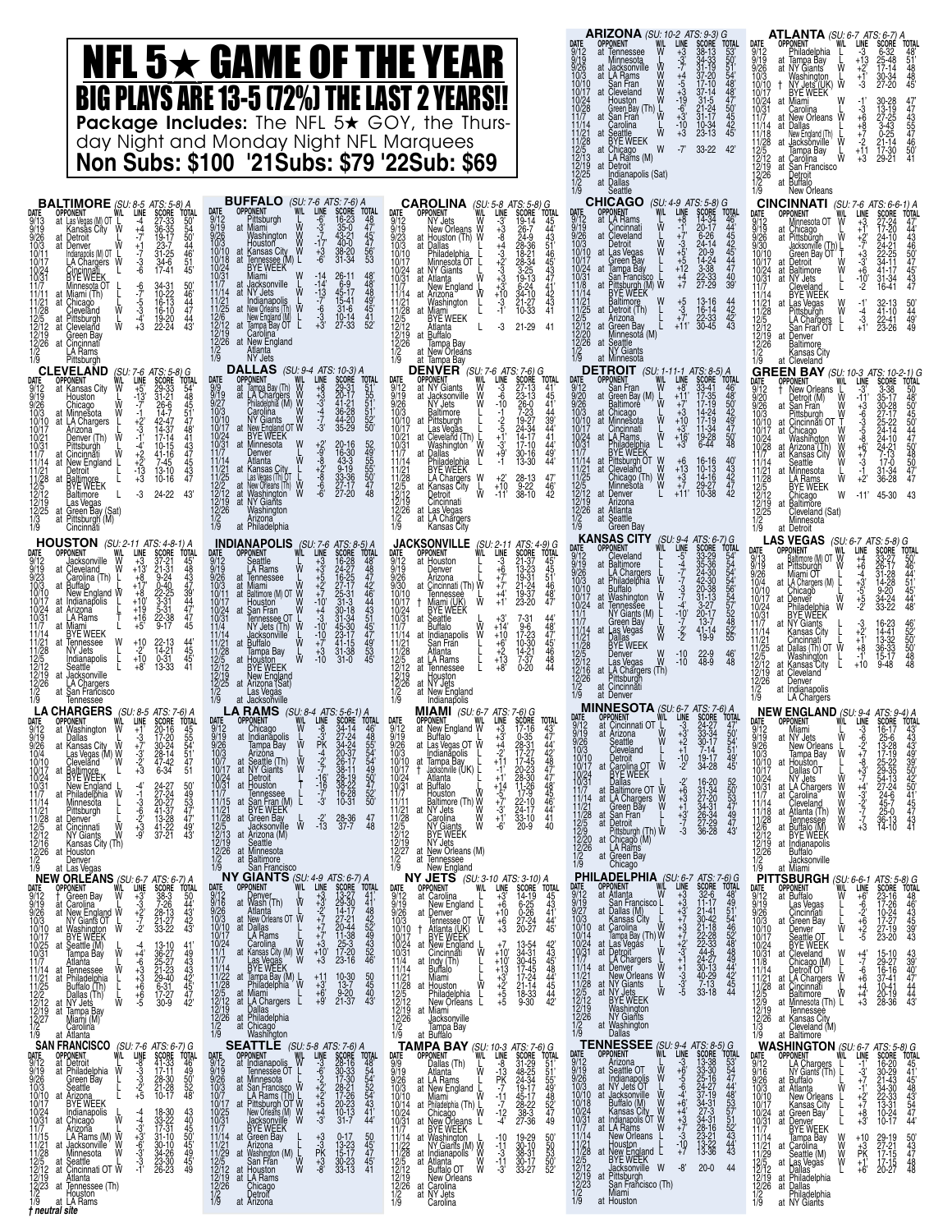|                                                                                                                                                                                                                                                                                                                                                                                                                                                                                                                                                                                                                                                                                                                                                                                                                                                                                                                  | NFL 5 $\star$ game of the year<br><b>BIG PLAYS ARE 13-5 (72%) THE LAST 2 YEARS!!</b><br>Package Includes: The NFL 5* GOY, the Thurs-<br>day Night and Monday Night NFL Marquees<br><b>Non Subs: \$100 '21Subs: \$79 '22Sub: \$69</b>                                                                                                                                                                                                                                                                                                                                                                                                                                                                                                                                                                                                                                                                                                               |                                                                                                                                                                                                                                                                                                                                                                                                                                                                                                                                                                                                                                                                                                                                                                                                                                                                                                                                                                 | ARIZONA (SU: 10-2 ATS: 9-3) G<br><b>LINE</b><br><b>SCORE</b><br><b>OPPONENT</b><br>at Tennessee<br>55051488705445<br>Minnesota<br>⋚⋛⋛<br>Jącksonville<br>at LA Rams<br>37-20<br>ಕಾತ್ತುತ್ತಾತ್ತವರು‡<br>San Fran<br>at Cleveland<br>$17-10$<br>37-14<br>$31 - 5$<br>$21 - 24$<br>$31 - 17$<br>Houston<br>Green Bay (Th) L<br>Con Fran<br>at San Frań<br>Carolina<br>$\frac{10.34}{23.13}$<br>Ŵ<br>Seattle<br>BYE WEEK<br>$-7'$<br>33-22 42'<br>W<br>at Chicago<br>LA Rams (M)<br>at Detroit<br>Indianapolis (Sat)<br>at Dallas                                                                                                                                                                                                                                                                                                                                                               | <b>ATLANTA</b> (SU: 6-7 ATS: 6-7) A<br><b>OPPONENT</b><br>SCORÉ<br>line<br>Philadelphia<br>Tampa Bay<br>NY Giants<br>9/12<br>9/19<br>9/26<br>10/3<br>10/17<br>10/24<br>10/31<br>11/7<br>48'<br>51'<br>48<br>48'<br>48<br>Ŵ<br>at<br>17-14<br>30-34<br>27-20<br>Washington<br>NY Jets (UK) W<br>BYE WEEK<br>$^{+1}_{-3}$<br>at Miami<br>4774355476501<br>$-3 + 6$<br>Carolina<br>New Orleans W<br>at<br>11/14<br>Dallas<br>at<br>$^{+7}_{-2}$<br>New England (Th)<br>Ŵ<br>$\frac{11/28}{12/5}$<br>$\frac{12/12}{12/19}$<br>$\frac{12/26}{12/26}$<br>at<br>Jacksonville<br>Tampa Bay<br>$+11$<br>$+3$<br>17-30<br>29-21<br>₩<br>Carólina<br>San Francisco<br>Detroit<br>at<br>Buffalo<br>at                                                                                                                                                                                                                                                                |
|------------------------------------------------------------------------------------------------------------------------------------------------------------------------------------------------------------------------------------------------------------------------------------------------------------------------------------------------------------------------------------------------------------------------------------------------------------------------------------------------------------------------------------------------------------------------------------------------------------------------------------------------------------------------------------------------------------------------------------------------------------------------------------------------------------------------------------------------------------------------------------------------------------------|----------------------------------------------------------------------------------------------------------------------------------------------------------------------------------------------------------------------------------------------------------------------------------------------------------------------------------------------------------------------------------------------------------------------------------------------------------------------------------------------------------------------------------------------------------------------------------------------------------------------------------------------------------------------------------------------------------------------------------------------------------------------------------------------------------------------------------------------------------------------------------------------------------------------------------------------------|-----------------------------------------------------------------------------------------------------------------------------------------------------------------------------------------------------------------------------------------------------------------------------------------------------------------------------------------------------------------------------------------------------------------------------------------------------------------------------------------------------------------------------------------------------------------------------------------------------------------------------------------------------------------------------------------------------------------------------------------------------------------------------------------------------------------------------------------------------------------------------------------------------------------------------------------------------------------|-------------------------------------------------------------------------------------------------------------------------------------------------------------------------------------------------------------------------------------------------------------------------------------------------------------------------------------------------------------------------------------------------------------------------------------------------------------------------------------------------------------------------------------------------------------------------------------------------------------------------------------------------------------------------------------------------------------------------------------------------------------------------------------------------------------------------------------------------------------------------------------------|----------------------------------------------------------------------------------------------------------------------------------------------------------------------------------------------------------------------------------------------------------------------------------------------------------------------------------------------------------------------------------------------------------------------------------------------------------------------------------------------------------------------------------------------------------------------------------------------------------------------------------------------------------------------------------------------------------------------------------------------------------------------------------------------------------------------------------------------------------------------------------------------------------------------------------------------------------|
| <b>BALTIMORE</b> (SU: 8-5 ATS: 5-8) A<br>line<br>SCORE<br>TOTAL<br>OPPONENT<br>at Las Vegas (M) OT<br>$\frac{27}{35}$<br>$\frac{33}{36}$<br>$\frac{35}{19}$<br>50<br>54<br>50<br>46<br>51<br>51<br>5<br>Ŵ<br>$\frac{9}{26}$<br>$\frac{10}{3}$<br>at Detroit<br>at Denver<br>$23 - 7$<br>31-25<br>$-7$<br>$-3$<br>$-6$<br>Indianapolis (M) OT L<br>LA Chargers W<br>10/17<br>$\frac{34-6}{17-41}$<br>10/24<br>10/31<br>11/7<br>Cincinnati<br>BYE WEEK<br>Minnesota OT<br>34-31<br>10-22<br>50'<br>46'<br>44'<br>43'<br>$-6$<br>$-7$<br>11/11<br>at Miami (Th)<br>$16-13$<br>16-10<br>19-20<br>22-24<br>$rac{1}{3}$<br>11/21<br>11/28<br>12/5<br>12/12<br>at<br>Chicago<br>Ŵ<br>Clevelănd<br>Pittsburgh<br>₩<br>Cleveland<br>at<br>12/19 Green Bay<br>12/26 at Cincinnati<br>1/2 LA Rams<br>1/9 Pittsburgh<br>Green Bay<br>Pittsburgh                                                                              | <b>BUFFALO</b> (SU: 7-6 ATS: 7-6) A<br>LINE<br>SCORE<br>OPPONENT<br>W/L<br><b>TOTAL</b><br>DATE<br>9/12<br>9/19<br>9/26<br>10/3<br>10/18<br>10/24<br>10/31<br>Pittsburgh<br>$-5.3$<br>$-7.7$<br>$-6.3$<br>48<br>47'<br>at Miami<br>45'<br>47<br>56'<br>53<br>Washington<br>Washington<br>at Kansas City<br>at Tennessee (M) L<br>BYEWEEK<br>Miami<br>$\frac{40}{38}$ -20<br>38-20<br>31-34<br>26-11<br>6-9<br>45-17<br>15-41<br>31-6<br>10-14<br>27-33<br>48<br>48<br>49<br>45<br>41<br>52<br>$-14$<br>$-13$<br>$-7$<br>$-6$<br>$-3$<br>$+3$<br>at Jacksonville<br>at NY Jets<br>Ŵ<br>$\frac{11}{121}$<br>$\frac{11}{25}$<br>$\frac{12}{6}$<br>$\frac{12}{12}$<br>$\frac{12}{12}$<br>$\frac{12}{26}$<br>indianapolis L<br>at New Orleans (Th) W<br>New England (M) L<br>at Tampa Bay OT L<br>Carolina<br>at New England<br>Atlanta<br>NY Jets                                                                                                      | CAROLINA (SU: 5-8 ATS: 5-8) G<br><b>SCORE</b><br><b>DATE</b><br>9/12<br><b>OPPONENT</b><br>W∕I<br>W<br>line<br><b>TOTAL</b><br>$19 - 14$<br>$rac{1}{2}$<br>$\frac{45}{44}$<br>NY Jets<br>9/19<br>New Orleans W<br>at Houston (Th) W<br>$\frac{43}{51}$<br>$\frac{46}{43}$<br>$\frac{43}{47}$<br>$\frac{9}{23}$<br>$\frac{10}{3}$<br>$\frac{10}{10}$<br>$\frac{10}{17}$<br>Dallas<br><mark>≠</mark> ؞ٺڂ؞ڂڞڿڂڝڂ<br>28-36<br>18-21<br>at<br>Philadelphia<br>Minnesota OT<br>28-34<br>$\frac{10/24}{10/31}$<br>$\frac{11}{7}$<br>at NY Giants<br>at Atlanta<br>19-13<br>41<br>New England 1<br>$6 - 24$<br>Ŵ<br>$\frac{42}{43}$<br>11/14<br>at Arizona<br>34-10<br>21-27<br>10-33<br>Washington<br>$\frac{11}{21}$<br>$\frac{11}{21}$<br>$\frac{12}{5}$<br>$\frac{12}{12}$<br>at<br>Miami<br><b>BYE WEEK</b><br>$21 - 29$<br>-3<br>41<br>Atlanta<br>$\frac{12/15}{12/26}$<br>$\frac{1/2}{1/9}$<br>at <u>B</u> uffalo<br>Tampa Bay<br>at New Orleans<br>at Tampa Bay | Seattle<br><b>CHICAGO</b> (SU: 4-9 ATS: 5-8) G<br>OPPONENT WIL LINE SCORE TO<br>SCORE TOTAL<br>at LA Rams<br>14-34<br>$+8$ <sub>-1</sub> '<br>$\frac{9}{19}$<br>$\frac{9}{26}$<br>$\frac{10}{3}$<br>$\frac{10}{10}$<br>Ŵ<br>$20 - 17$<br>Cincinnati<br>45445447<br>at Cleveland<br>$+3.55$<br>$+3.5$<br>$+1.47$<br>$+7$<br>$6 - 26$<br>24-14<br>Ŵ<br>at Las Vegas<br>$20-9$<br>$14-24$<br>$\frac{10/17}{10/24}$<br>$\frac{10/31}{11/8}$<br>at Green Bay<br>at Tampa Bay<br>at Tampa Bay<br>at Pittsburgh (M) W<br>BYE WEEK<br>$\frac{3.38}{22.33}$<br>22-33<br>27-29<br>$\frac{40}{39}$<br>11/14<br>W<br>$+5$<br>$+3$<br>$+7'$<br>$+11'$<br>13-16<br>16-14<br>22-33<br>30-45<br>$\frac{11}{2}$<br>$\frac{11}{2}$<br>$\frac{25}{2}$<br>Baltimore<br>at Detroit (Th)<br>$\frac{42}{42}$<br>43<br>Arizona<br>at Green Bay<br>Minnesota (M)<br>at Seattle<br>MY Giants<br>1/9<br>at Minnesota | $\frac{1}{2}$<br>New Orleans<br><b>CINCINNATI</b> (SU: 7-6 ATS: 6-6-1) A<br>OPPONENT<br>LINE<br>SCORE<br>TOTA<br>47<br>44<br>43<br>45<br>50<br>47<br>43<br>47<br>Minnesota OT<br>$\frac{9/19}{9/26}$<br>Chicago<br>17-20<br>Pittsburgh W<br>Jacksonville (Th) L<br>Green Bay OT<br>24-10<br>at<br>$+3$<br>$+6$<br>10/10<br>10/17<br>10/24<br>10/31<br>11/7<br>at Detroit<br>Baltimore<br>at<br>41-17<br>$-10'$<br>-2<br>at NY Jets<br>leveland<br>11/14<br>BYE WEEK<br>W<br>$\frac{11}{21}$<br>$\frac{11}{25}$<br>$\frac{12}{12}$<br>$\frac{12}{12}$<br>$\frac{12}{12}$<br>50'<br>44<br>49'<br>49<br>at<br>Las Vegas<br>ttsburgh<br>$-3$<br>+1<br>22-41<br>23-26<br>LA Chargers<br>San Fran OT<br>L<br>at Denver<br>$\frac{12}{2}$<br>$\frac{1}{2}$<br>$\frac{1}{2}$<br>$\frac{1}{9}$<br>Baltimore<br>Kansas City<br>at Cleveland                                                                                                                        |
| CLEVELAND (SU: 7-6 ATS: 5-8) G<br><b>OPPONENT</b><br>₩.<br>W<br>line<br>SCORE<br>TOTAL<br>at Kansas City<br>$+5/13$<br>$-7/7$<br>Houston<br>Ŵ<br>W<br>Chicago<br>26-6<br>14-7<br>at Minnesota<br>at LA Chargers<br>$\frac{+2}{3}$<br>42-47<br>14-37<br>Arizona<br>Ŵ<br>$17 - 14$<br>Denver (Th)<br>10-15<br>Pittsburgh<br>Ŵ<br>$41 - 16$<br>$+2$<br>$+2$<br>$+3$<br>$+3$<br>Cincinnati<br>11/14<br>at New England L<br>$7 - 45$<br>13-10<br>10-16<br>11/21<br>Detroit<br>Baltimore<br>- at<br><b>BYE WEEK</b><br>43'<br>24-22<br>-3<br>Baltimore<br>$\frac{12}{12}$<br>$\frac{12}{25}$ at Green Bay (Sat)<br>$\frac{1}{3}$ at Pittsburgh (M)<br>$\frac{1}{3}$ cincinnati                                                                                                                                                                                                                                         | <b>DALLAS</b> (SU: 9-4 ATS: 10-3)<br>at Tampa Bay (Th) W<br>at Tampa Bay (Th) W<br>at Tampa Bay (Th) W<br>at Tampa Bay (Th) W<br>at Tampa Bay (Th) W<br>at Discoversion W<br>Caroline W<br>3 36-28<br>3 at Bay EWEEK<br>A By EWEEK<br>Bay The Strategy<br><br><b>TOTAL</b><br>DATE<br>9/9<br>9/19<br>9/27<br>10/3<br>515551<br>5517<br>552<br>50<br>$\frac{+2}{9}$<br>20-16<br>16-30<br>52955550748<br>Denver<br>တွဲတက်တ<br>$43-3$<br>9-19<br>11/14<br>11/21<br>11/25<br>12/12<br>12/19<br>12/26<br>12/26<br>Atlanta<br>Allahia<br>Ita Kansas City<br>Las Vegas (Th) OT<br>at New Orleans (Th)<br>at Washington<br>at NY Giants<br>Washington<br>Arizona<br>33-36<br>27-17<br>27-20<br>Ŵ<br>W<br>Arizona<br>at Philadelphia                                                                                                                                                                                                                        | <b>DENVER</b> (SU: 7-6 ATS: 7-6) G<br><b>OPPONENT</b><br>at MY Giants WI. LINE SCORE TO<br>at Jacksonville W -6 22-13<br>ALC: MY Jets W -10 26-0<br>TOTAL<br>$-3 - 6 - 10$<br>$41$<br>$44$<br>$44$<br>$39$<br>$44$<br>$41$<br>23-13<br>26-0<br>7-23<br>19-27<br>9/26<br>10/3<br>10/17<br>10/17<br>10/31<br>11/7<br>NY Jets<br>Baltimore<br>at Pittsburgh<br>-2<br>24-34<br>Las Vegas<br>Cleveland (Th)<br>14-17<br>↓<br>W<br>$+\frac{1}{9}$<br>$17 - 10$<br>44'<br>49'<br>44'<br>Washington<br>30-16<br>13-30<br>at<br>Dallas<br>11/14<br>11/21<br>11/28<br>12/12<br>12/12<br>12/2<br>1/2<br>1/9<br>Philadelphia<br>BYE WEEK<br>LA Chargers<br>W<br>$+2^{+}_{+10}$<br>-11<br>28-13<br>9-22<br>38-10<br>$\frac{46}{42}$<br>at Kansas City<br>₩<br>Detroit<br>Cincinnati<br>at Las Vegas<br>at LA Chargers<br>Kansas City                                                                                                                                         | <b>DETROIT</b> (SU: 1-11-1 ATS: 8-5) A<br>LINE<br>TOTAL<br><b>OPPONENT</b><br>SCORE<br>San Fran<br>at Green Bay (M) L<br>Baltimore V<br>at Chicago<br>$\frac{9}{20}$<br>$\frac{9}{26}$<br>$\frac{10}{3}$<br>$\frac{10}{10}$<br>$+11'$<br>$+7'$<br>50'<br>49'<br>47<br>50'<br>48<br>$14 - 24$<br>$+3$<br>$+3$<br>$+3$<br>$+3$<br>$+3$<br>Ŵ<br>at Minnesota<br>Cincinnati<br>$17 - 19$<br>$11-34$<br>19-28<br>6-44<br>10/17<br>10/24<br>10/31<br>₩<br>at LA Rams<br>Philadelphia<br>BYE WEEK<br>at Pilayugh OT<br>af Pittsburgh OT W<br>at Cleveland W<br>Chicago (Th) W<br>Minnesota W<br>at Denver<br>$+6$<br>$+13$<br>$+3$<br>$+7$<br>$+11$<br>16-16<br>10-13<br>14-16<br>29-27<br>10-38<br>11/14<br>$4342$<br>$47$<br>$42$<br>$\frac{11}{25}$<br>$\frac{11}{25}$<br>$\frac{12}{5}$<br>Arizona<br>at Atlanta<br>12/26<br>at Seattle<br>Green Bay                                         | <b>GREEN BAY</b> (SU: 10-3 ATS: 10-2-1) G<br>DATE<br>9/120<br>9/26<br>9/10/17<br>10/17<br>10/28<br>11/14<br>11/14<br><b>OPPONENT</b><br>LINE<br>SCORE<br>New Orleans<br>Detroit (M)<br>548045044750485477<br>₩,<br>at<br>San Fran<br>Pittsburgh<br>at Sairrian<br>at Cincinnati OT<br>at Chicago<br>washington<br>at Arizona (Th)<br>io-code<br>Total<br>W<br>≪<br>10<br>at<br>Kansas City<br>Seattle<br>11/28<br>12/5<br>12/12<br>12/25<br>12/25<br>at<br>Minnesota<br>+2'<br>LA Rams<br>bye week<br>45-30<br>W<br>$-11'$<br>Chicago<br>at Baltimore<br>Cleveland (Sat)<br>Minnesota<br>at Detroit                                                                                                                                                                                                                                                                                                                                                      |
| <b>HOUSTON</b> (SU: 2-11 ATS: 4-8-1) A<br><b>SCORE</b><br>37-21<br>TOTAL<br>$+3$<br>+13'<br>Jacksonville<br>45484373447745<br>-31<br>Cleveland<br>Carolina (Th)<br>at Buffalo<br>$+8$<br>+17<br>$9 - 24$<br>0-40<br>New England W<br>$22 - 25$<br>$+8$<br>+10'<br>at Indianapolis<br>$\frac{3}{5}$ -31<br>5-31<br>22-38<br>9-17<br>$+19$<br>$+16$<br>$+5$<br>at<br>Arizona<br>A Rams<br>Miamı<br>at<br><b>BYE WEEK</b><br>W<br>$+10$<br>$+2$<br>$+10$<br>$+8$<br>22-13<br>14-21<br>0-31<br>13-33<br>44'<br>45'<br>45'<br>41<br>at Tennessee<br>11/21<br>NY Jets<br>Indianapolis<br>Seattle<br>12/19<br>at Jacksonville<br>12/26<br>1/2<br>1/9<br>LA Chargers<br>at San Francisco<br>Tennessee                                                                                                                                                                                                                    | <b>INDIANAPOLIS</b> <i>(SU: 7-6 ATS: 8-5) A</i><br>ATE OPPONENT WIL LINE SCORE TOTAL<br>TÓTAL<br>OPPONENT<br>Seattle<br>Date<br>Ŵ<br>48444444514575345<br>LA Rams<br>$\frac{9}{26}$<br>$\frac{10}{3}$<br>$\frac{10}{1}$<br>$\frac{10}{17}$<br>at Tennessee<br>at Miami<br>at Baltimore (M) OT W<br>at San Fran W<br>at San Fran OT W<br>$27 - 17$<br>25-31<br>$\frac{10/24}{10/31}$<br>11/4<br>at San Fran<br>Tennessee OT<br>NY Jets (Th)<br>18<br>$45-30$<br>$23-17$<br>$41-15$<br>$31-38$<br>11/14<br>Jacksonville′<br>Ŵ<br>at Buffalo<br>Tampa Bay<br>at Houston<br>BYE WEEK<br>$+72$<br>$+32$<br>-10<br>Ŵ<br>$31 - 0$<br>New England<br>at Arizona (Sat)<br>Las Vegas<br>at Jacksonville                                                                                                                                                                                                                                                      | <b>JACKSONVILLE</b> (SU: 2-11 ATS: 4-9) G<br>ATE OPPONENT WILLINE SCORE TOTAL<br>$\frac{1}{3}$<br>$+6$<br>$+7$<br>$+7$<br>$+7$<br>SCORE TÓTAL<br>21-37 45'<br><b>DATE</b><br>9/12<br>45'45'<br>546'48'<br>47'<br>at Houston<br>Denver<br>$\frac{9}{26}$<br>$\frac{9}{30}$<br>$\frac{10}{10}$<br>$\frac{10}{10}$<br>Arizona<br>at Cincinnati (Th) W<br>Tennessee<br>† Miami (UK) W<br>$21 - 24$<br>$+4$ <sup>1</sup><br>+1 <sup>'</sup><br>$\frac{79}{23}$ - $\frac{57}{20}$<br>BYE WEEK<br>Seattle<br>Buffalo<br>$\frac{10724}{10731}$<br>$+14$<br>$+14$<br>$+6$<br>$+13$<br>$+8$<br>7-31<br>9-6<br>17-23<br>10-30<br>14-21<br>7-37<br>0-20<br>at<br>487454648444<br>Ŵ<br>Indianapolis<br>11/14<br>at<br>11/28<br>11/28<br>12/19<br>12/19<br>12/26<br>1/9<br>Şan Fran<br>Atlanta<br>LA Rams<br>at<br>Tennessee<br>at<br>Houston<br>at<br>NY Jets<br>at New England<br>Indianapolis                                                                              | KANSAS CITY (SU: 9-4 ATS: 6-7) G<br><b>OPPONENT</b><br>Cleveland<br>at Baltimore<br>LA Chargers<br>at Philadelphia<br>LINE<br><b>SCORE</b><br>TOTAL<br>544444444444444455<br>$\frac{9}{19}$<br>$\frac{9}{26}$<br>$\frac{10}{3}$<br>$\frac{10}{19}$<br>Ŵ<br>Buffalo<br>20-38<br>at Washington<br>at<br>Tennessee<br>NY Giants (M)<br>$-10$ <sup>2</sup><br>$-2$ <sup>2</sup><br>$-2$ <sup>2</sup><br>$20 - 17$<br>$13 - 7$<br>Green Bay<br>Ŵ<br>W<br>at Las Vegas<br>41-14<br>19-9<br>Dallas<br>BYE WEEK<br>$^{22-9}_{48-9}$<br>$\frac{46}{48}$<br><i>Cenver</i><br>Las Vegas W<br>at LA Chargers (Th)<br>at Cincinns!<br>$-10$<br>at Cincinnati<br>$\frac{1}{2}$                                                                                                                                                                                                                          | LAS VEGAS (SU: 6-7 ATS: 5-8) G<br><b>OPPONENT</b><br>LINE<br>SCORE TOTAL<br>DATE<br>WE<br>Baltimore (M) OT W<br>† Pittsburgh W<br>Miami OT L<br>LA Charron of L<br>$9/13$<br>$9/19$<br>$9/26$<br>$10/4$<br>$10/17$<br>$10/24$<br>$10/24$<br>33-27<br>50<br>44<br>44<br>44<br>48<br>$^{+4}_{+6}$<br>at<br>31-28<br>at LA Chargers (M) L<br>$+3$<br>$-2$<br>$-2$<br>Chicago<br>$9 - 20$<br>Ŵ<br>34-24<br>33-22<br>Denver<br>at<br>W<br>Philadelphia<br>10/31<br><b>BYE WEEK</b><br>$\frac{11}{7}$<br>$\frac{11}{12}$<br>$\frac{11}{21}$<br>$-3$<br>$+2$<br>$+1$<br>4655001488<br>at<br>NY Giants<br>Kansas City<br>14-41<br>13-32<br>Cincinnati<br>$\frac{11}{25}$<br>$\frac{12}{5}$<br>$\frac{12}{12}$<br>$\frac{12}{19}$<br>Dallas (Th) OT W<br>$\frac{36}{15}$ -33<br>$+8$<br>$+1$<br>at<br>Washington<br>$9 - 48$<br>$+10$<br>at<br>Kansas City<br>at<br>Cleveland<br>$\frac{12}{2}$<br>$\frac{2}{1/9}$<br>Denver<br>at<br>Indianapolis<br>LA Chargers |
| LA CHARGERS (SU. 8-5 ATS: 7-6) A<br>H1-3-3-2-3-2-3<br>IUIA<br>W<br>$20-16$<br>$17-20$<br>$30-24$<br>$28-14$<br>at Washington<br>45554174751<br>Dallas<br>9/26<br>at Kansas City<br>Las Vegas (M) W<br>Cleveland W<br>47-42<br>6-34<br>10/17<br>at Baltimore<br>BYE WEEK<br>$\frac{10/24}{10/31}$<br>11/7<br>$-4$<br>$-3$<br>$-6$<br>$-2$<br>24-27<br>27-24<br>20-27<br>41-37<br>41-28<br>41-22<br>37-21<br>50<br>49<br>53<br>47<br>49<br>43<br>New England<br>at Philadelphia<br>Ŵ<br>11/14<br>Minnesota<br>ittsburgh<br>11/21<br>11/28<br>12/5<br>12/12<br>at<br>Denver<br>Ŵ<br>$\frac{1}{9}$<br>Cincinnati<br>at<br>NY Giants<br>$\frac{12}{12/26}$<br>Kansas City (Th)<br>at Houston<br>$\frac{172}{1/9}$<br>Denyer<br>at Las Vegas                                                                                                                                                                           | <b>LA RAMS</b> (SU: 8-4 ATS: 5-6-1) A<br>Chicago<br>Indianapolis<br>34-14<br>27-24<br>34-24<br>34-24<br>36-17<br>38-19<br>38-22<br>38-22<br>16-28<br>10-31<br>9/12<br>9/19<br>9/26<br>10/3<br>10/24<br>10/24<br>W<br>$-8$<br>PK<br>46485544955449507<br>at<br>₩<br>Tampa Bay<br>Arizona<br>$-27.7$<br>$-16.7$<br>$-7.3$<br>Ŵ<br>Seattle (Th)<br>NY Giants<br>at<br>at<br>Detroit<br>$\frac{10}{2}$ 1<br>11/7<br>Houston<br>at<br>Tennessee<br>San Fran (M)<br>BYE WEEK<br>11/15<br>11/21<br>11/28<br>12/13<br>12/19<br>12/26<br>1/2<br>1/2<br>at<br>$-2^{7}$<br>$-13$<br>28-36<br>37-7<br>at<br>$\frac{47}{48}$<br>Green Bay<br>Jacksonville<br>Ŵ<br>at<br>Arizona (M)<br>Seattle<br>Minnesota<br>at<br>at Baltimore<br>San Francisco                                                                                                                                                                                                              | MIAMI (SU: 6-7 ATS: 7-6) G<br>at New England W<br>Buffalo<br>at Lea Vession<br>9/12<br>$17 - 16$<br>0-35<br>$\frac{43}{47}$<br>$+\frac{1}{2}$ $-1$<br>9/19<br>9/26<br>10/10<br>10/17<br>10/24<br>10/31<br>11/7<br>at Las Vegas OT W<br>Indianapolis<br>at Tampa Bay<br>28-31<br>17-27<br>$\begin{array}{c} 17 - 45 \\ 20 - 23 \\ 28 - 30 \\ 11 - 26 \\ 17 - 9 \\ \end{array}$<br>Jacksonville (UK) L<br>-1<br>Ť.<br>Atlanta<br>$+1$<br>Buffalo<br>$+14$<br>$+5$<br>$+3$<br>$+3$<br>$+6$<br>at<br>Ŵ<br>Houston<br>$\frac{11}{11/21}$<br>$\frac{11}{28}$<br>Baltimore (Th) W<br>NY Jets<br>Carolina W<br>NY Giants<br>22-10<br>24-17<br>33-10<br>20-9<br>NY Jets<br>at<br>$^{41}_{40}$<br>$\begin{array}{c} 12/5 \\ 12/12 \\ 12/19 \\ 12/27 \\ 1/2 \\ 1/2 \\ 1/9 \end{array}$<br><b>BYE WEEK</b><br>NY Jets<br>New Orleans (M)<br>at<br>at<br>Tennessee<br>New England                                                                                            | <b>MINNESOTA</b> (SU: 6-7 ATS: 7-6) A<br>TE OPPONENT WILLINE SCORE TOTA<br>DATE OPPONENT<br>9/12 at Cincinnati OT<br>SCORE TOTAL<br>$\frac{9}{12}$<br>$\frac{9}{19}$<br>$\frac{9}{26}$<br>$\frac{10}{3}$<br>47'<br>50'<br>54'<br>51'<br>45'<br>$3,3,3,4$<br>$-10,2,3,4$<br>24-27<br>33-34<br>30-17<br>₩<br>at<br>Arizona<br>Seattle<br>Cleveland<br>10/10<br>10/17<br>$\frac{19-17}{34-28}$<br>Detroit<br>Ŵ<br>Carolina OT<br>BYE WEEK<br>Dallas<br>at<br>10/24<br>10/31<br>11/7/14<br>11/225<br>12/20<br>12/20<br>12/20<br>1/21<br>1/2<br>$25 - 5 - 5 = 5$<br>16-20<br>31-34<br>27-20<br>27-34<br>36-34<br>27-29<br>36-28<br>5265374743<br>i≫<br>M<br><b>Baltimore OT</b><br>at<br>LA Chargers<br>Green Bay<br>at<br>San Fran<br>Detroit<br>Detroit<br>Pittsburgh (Th) W<br>Chicago (M)<br>LA Rams<br>aț<br>at<br>at<br>at Green Bay<br>Chicago                                          | NEW ENGLAND (SU: 9-4 ATS: 9-4) A<br>DAII<br>OPPONENT<br>W/L<br>LINE<br>$9/12$<br>$9/19$<br>$9/26$<br>$10/3$<br>$10/10$<br>$10/17$<br>$16 - 17$<br>Miami<br>at NY Jets<br>$-3$<br>Ŵ<br>$\frac{25-6}{13-28}$<br>13-28<br>17-19<br>New Orleans<br>Ŵ<br>Tampa Bay<br>$\frac{25}{29}$ - $\frac{22}{35}$<br>$\frac{54}{27}$ -24<br>27-24<br>Houston<br>Dallas OT<br>at<br>≋≋≋≋<br>10/24<br>10/31<br>11/7<br>11/14<br>Y Jets<br>LA Chargers<br>Carolina<br>Cleveland<br>at<br>$24-6$<br>$45-7$<br>$25-0$<br>$36-13$<br>$14-10$<br>at<br>$\frac{11}{12}$<br>$\frac{11}{26}$<br>$\frac{12}{12}$<br>$\frac{12}{12}$<br>$\frac{12}{26}$<br>at Atlanta (Th)<br>Tennessee<br>Buffalo (M)<br>BYE WEEK<br>Ŵ<br>at<br>at Indianapolis<br>Buffalo <sup>-</sup><br>$\frac{172}{1/9}$<br>Jacksonville<br>at Miami                                                                                                                                                           |
| WEW ORLEANS (SU: 6-7 ATS: 6-7) A<br>ATE OPPONENT WILLINE SCORE TOTAL<br>9/12 T Green Bay W +2' 38-3 50,<br>SCORE TOTAL<br>DATE<br>9/12<br>Green Bay<br>Carolina<br>$+3.5$<br>50<br>443<br>43<br>43<br>$\frac{9}{10}$<br>$\frac{9}{20}$<br>$\frac{10}{3}$<br>7-26<br>28-13<br>21-27<br>33-22<br>at New England W<br>NY Giants OT<br>Ŵ<br>10/10<br>at Washington<br>BYE WEEK<br>10/17<br>13-10<br>36-27<br>25-27<br>21-23<br>29-40<br>at Seattle (M)<br>$+4.5$<br>$+6.3$<br>$+6.5$<br>10/25<br>10/ <u>3</u> 1<br>Ŵ<br>49<br>43<br>42<br>42<br>42<br>Tampa Bay<br>11/7<br>Atlanta<br>Ŵ<br>11/14<br>lennessee<br>$\frac{11}{25}$<br>$\frac{11}{25}$<br>$\frac{12}{2}$<br>Philadelphia<br>Buffalo (Th)<br>at<br>$\frac{6}{17}$ -27<br>17-27<br>30-9<br>Dallas (Th)<br>$^{+6}_{-5}$<br>Ŵ<br>12/12<br>12/19<br>12/27<br>at NY Jets<br>at<br>Tampa Bay<br>Miami (M)<br>1/2<br>Carolina<br>$1/\overline{9}$<br>at Atlanta | <b>NY GIANTS</b> (SU: 4-9 ATS: 6-7) A<br>E OPPONENT WILL LINE SCORE TOTAL<br>12 Denver L +3 13-27 41<br>16 at Wash (Th) W +3 29-30 41<br><b>OPPONENT</b><br>Denver<br>at Wash (Th)<br>DATE<br>9/12<br>9/16<br>9/26<br>10/3<br>10/17<br>10/24<br>11/1<br>$+3$<br>$+3$<br>$+2$<br>$+7$<br>4845294526<br>14-17<br>Atlanta<br>New Orleans OT W<br>at<br>$\frac{27-21}{20-44}$<br>11-38<br>at<br>$+7$<br>$+7$<br>$+3$<br>$+3$<br>$+3$<br>Dallas<br>LA Rams<br>Ŵ<br>Carolina<br>at Kansas City (M) W<br>Las Vegas<br>PYE WEEK<br>$25 - 3$<br>17-20<br>23-16<br>11/1<br>$\frac{11}{7}$<br>$\frac{11}{14}$<br>11/22<br>11/28<br>12/5<br>12/12<br>12/19<br>12/26<br>Tampa Bay (M) L<br>Philadelphia W<br>10-30<br>13-7<br>9-20<br>21-37<br>at<br>$+11$<br>$+3$<br>$+6$<br>$+9$<br>50<br>45<br>40<br>43<br>at Miami<br>at LA Chargers L<br>Dallas<br>at Philadelphia<br>$\frac{1}{2}$<br>$\frac{1}{2}$<br>at Chicago<br>Washington                           | <b>NY JETS</b> (SU: 3-10 ATS: 3-10) A<br>E OPPONENT WIL LINE SCORE TOTAL<br>22 at Carolina L<br>19 New England L<br>$+6$ 6-25 43<br>8 at Denver T L, $+10$ 0-26 41<br>DATE<br>9/12<br>9/26<br>9/26<br>10/10<br>10/17<br>10/24<br>10/31<br>11/4<br>$43$<br>$43$<br>$44$<br>$44$<br>$45$<br>Ŵ<br>Tennessee OT<br>Atlanta (UK)<br>BYE WEEK<br>27-24<br>20-27<br>$^{+6}_{+3}$<br>L<br>13-54<br>34-31<br>30-45<br>30-45<br>17-24<br>17-24<br>21-14<br>33<br>9-30<br>424344444444442<br>$+7$<br>at<br>New England<br>Cincinnati<br>Ŵ<br>$+10'$<br>at<br>Indy (Th)<br>Buffalo<br>ももちょう<br>$\frac{11}{11/21}$<br>Miami<br>Ŵ<br>$\frac{11}{2}$<br>$\frac{12}{5}$<br>$\frac{12}{12}$<br>$\frac{12}{12}$<br>$\frac{12}{12}$<br>at<br>Houston<br>Philadelphia<br>New Orleans<br>L.<br>at<br>Miami<br>$\frac{12}{2}$<br>$\frac{1}{2}$<br>$\frac{1}{2}$<br>$\frac{1}{9}$<br>Jacksonville<br>Tampa Bay<br>at Buffalo                                                           | <b>PHILADELPHIA</b> (SU: 6-7 ATS: 7-6) G<br>MATE OPPONENT WILLINE SCORE 1074.<br>9/12 at Alianta Willine 332-6 48<br>9/19 at Dan Francisco 1: 43 11-17 49<br>9/19 at Dallas Oly 1: 42 39-42<br>19/3 Agansas Oly 1: 42 39-42<br>19/3 Agansas Oly<br>9/12<br>9/19<br>9/27<br>10/3<br>10/14<br>10/24<br>10/31<br>11/7<br>11/14<br>$\frac{21-18}{22-28}$<br>$+3$<br>$+7$<br>$+2$<br>$-3$<br>at Carolina<br>Tampa Bay (Th) W<br>Las Vegas<br>Petroit W<br>at<br>at<br>$44-6$<br>LA Chargers<br>$+1$<br>24-27<br>30-13<br>40-29<br>7-13<br>33-18<br>↓<br>W<br>at Denver<br>New Orleans<br>at NY Giants<br>at NY Jets<br>BYE WEEK<br>Washington<br>N' Giants<br>At Monington<br>$\frac{1}{2}$<br>11/21<br>11/28<br>12/5<br>12/12<br>12/19<br>12/26<br>₩<br>$\frac{1}{2}$<br>at Washington                                                                                                        | WITTSBURGH <i>(SU: 6-6-1 ATS: 5-8) G</i><br>JATE OPPONENT WILLINE SCORE TOTAL<br>9/12 at Buffalo W +6' 2 <u>3-16</u> - <u>48</u><br>DATE 9/2020/07/10/12/2020<br>9/2020/07/10/2020<br>10/11/07/2020/2020<br>11/2020<br>12/2020<br>12/2020<br>SCORE TOTAL<br>23-16 48<br>$+6$<br>$-6$<br>$-2$<br>48454533<br>17-26<br>Las Vegas<br>10-24<br>Cincinñati<br>$^{17-27}_{27-19}_{23-20}$<br>Green Bay<br>Denver<br>at<br>$+6$<br>$+2$<br>$-5$<br>Ŵ<br>Seattle<br>BYE WEEK<br>Cleveland<br>Ľ.<br>W<br>$^{+4}_{-7}$<br>15-10<br>29-27<br>439<br>407<br>44<br>44<br>43<br>at<br>Chicago (M)<br>Detroit OT<br>$+44.50 + 0.00$<br>$\frac{16}{37}$ -16<br>37-41<br>10-41<br>Ŵ<br>LA Chargers<br>Cincinnati<br>Baltimore<br>at<br>at<br>Ŵ<br>20-19<br>28-36<br>Minnesota (Th) L<br>at<br>Tennessee<br>at Kansas City<br>Cleveland (M)<br>at Baltimore                                                                                                                |
| <b>13 AN FRANCISCO</b> (SU: 7-6 ATS: 6-7) G<br>ME OPPONENT WILL LINE SCORE TOTAL<br>9/19 at Philadelphia W -3 17-31 49<br>9/19 at Philadelphia W -3 17-11 49<br>9/26 Green Bay L -3 28-30 50<br>10/3 Seattle -3 26-28 52<br>10/19 at Adventure<br>SCORE TOTAL<br>Date<br>$\frac{9}{12}$<br>$\frac{9}{19}$<br>9/26<br>10/10<br>10/17<br><b>BYE WEEK</b><br>10/24<br>18-30<br>33-22<br>17-31<br>Indianapolis<br>44مايارتار فاردن با<br>4345505459<br>Ŵ<br>10/31<br>at Chicago<br>11/7<br>Arizona<br>LA Rams (M) W<br>Jacksonville W<br>Minnesota W<br>31-10<br>11/15<br>11/21<br>30-10<br>34-26<br>23-30<br>26-23<br>at<br>11/28<br>12/5<br>12/12<br>12/19<br>Seattle<br>at Cincinnati OT W<br>Atlanta<br>at Tennessee (Th)<br>12/23<br>$\frac{1}{2}$<br>Houston<br>LA Rams<br>at<br>t neutral site                                                                                                                | <b>SEATTLE</b> (SU: 5-8 ATS: 7-6) A<br>ے<br>مارەمارىتى ئىشىنى ئىشىنى ئى<br>$28-16$ 10TAL<br>28-16 48'<br>30-33 54<br><b>OPPONENT</b><br>W/L<br>M<br>L<br>DATE<br>$\frac{9}{12}$<br>$\frac{9}{19}$<br>at Indianapolis<br>Tennessee OT<br>48<br>54<br>55<br>55<br>43<br>44<br>44<br>9/26<br>10/3<br>10/7<br>10/17<br>10/25<br>10/31<br>at Minnesota<br>-30<br>at Willies<br>at San Francisco W<br>LA Rams (Th) L<br>at Pittsburgh OT W<br>New Orleans M) W<br>BYE WEEK<br>STOR B3V<br>28-21<br>17-26<br>20-23<br>10-13<br>31-7<br>11/7<br>0-17<br>13-23<br>15-17<br>30-23<br>33-13<br>$\frac{1}{2}$<br>11/14<br>at Green Bay<br>50,<br>45<br>45<br>41<br>$\frac{11}{21}$<br>$\frac{11}{21}$<br>$\frac{2}{5}$<br>$\frac{12}{12}$<br>$\frac{2}{12}$<br>$\frac{12}{12}$<br>Arizona<br>Washington (M) L<br>San Fran W<br>Houston W<br>at<br>San Fran<br>Houston<br>LA Rams<br>at<br>at<br>12/26<br>Chicago<br>Detroit<br>$\frac{172}{1/9}$<br>at Arizona | <b>TAMPA BAY</b> (SU: 10-3 ATS: 7-6) G<br>ATE OPPONENT WILL UNE SCORE TOTAL<br>$33.75$<br>$30.129$<br>$44.225$<br>$44.34$<br>$45.5$<br>$51$<br>$49.9$<br>$52.7$<br>$44.8$<br>$52.2$<br>$52.7$<br>$40.2$<br>$40.2$<br>$40.2$<br>DATE<br>9/9<br>9/19<br>9/26<br>10/10<br>10/14<br>10/24<br>10/31<br>11/7<br>Dallas (Th)<br>$-3.13$ K $-1.7$ $-12.4$<br>w<br>Atlanta<br>LA Rams<br>a<br>New England<br>$79 - 17$<br>$45 - 17$<br>$28 - 22$<br>$38 - 3$<br>$27 - 36$<br>at<br>at Philadelphia (Th)<br>₩<br>Chicago<br>49<br>New Orleans<br>at<br>L,<br>BÝË WEEK<br>11/14<br>11/22<br>12/5<br>12/12<br>12/26<br>1/2<br>1/9<br>1/9<br><b>Washington</b><br>$-10$<br>$-11$<br>$-3$<br>$-11$<br>$-3$<br>19-29<br>30-10<br>38-31<br>30-17<br>33-27<br>50'<br>50<br>53<br>52'<br>at<br>₩<br>W<br>NY Giants (M)<br>at Indianapolis<br>Atlanta<br>at<br>Buffalo OT<br>W<br>New Orleans<br>Carolina<br>at<br>NY Jets<br>at<br>Carolina                                       | <b>TENNESSEE</b> (SU: 9-4 ATS: 8-5) G<br>SCORE TOTAL<br>Date<br>9/12<br>Arizona<br>i<br>W<br>もちららもももののように<br>9/19<br>9/26<br>10/3<br>10/18<br>10/24<br>10/31<br>11/7<br>at Seattle OT<br>33-30<br>25-16<br>24-27<br>37-19<br>Indianapolis<br>at NY Jets OT<br>₩<br>₩<br>L IVY JES OT L<br>Butfalo (M)<br>Butfalo (M)<br>Kansas City W<br>Indianapolis OT W<br>LA Rams<br>New Orleans L<br>Houston<br>at<br>34-31<br>$\begin{array}{r} 27 - 3 \\ 34 - 31 \\ 28 - 16 \\ 23 - 21 \end{array}$<br>at<br>11/14<br>13-22<br>13-36<br>11/21<br>at New England L<br>BYE WEEK<br>Jacksonville W<br>11/28<br>12/5<br>12/12<br>12/19<br>-8'<br>$20 - 0$<br>44<br>Pittsburgh<br>at<br>12/23<br>1/2<br>San Francisco (Th)<br>Miami<br>1/9<br>at Houston                                                                                                                                                | WASHINGTON (SU: 6-7 ATS: 5-8) G<br>OPPONENT<br>Ŵ/L<br>line<br>475.9-20<br>SCORE TOTAL<br>16-20<br>30-29<br>21-43<br>21-43<br>22-33<br>43<br>31<br>331<br>54<br>31<br>10-24<br>47<br>10-17<br><b>DATE</b><br>9/12<br>LA Chargers<br>$-3'$<br>9/16<br>9/26<br>10/3<br>10/17<br>10/24<br>10/31<br>11/7<br>NY Giants (Th)<br>Buffalo<br>$\frac{17}{1}$<br>at<br>at Atlanta<br>$+2$ <sup>2</sup><br>$+7$<br>New Orleans<br>Kansas City<br>$+8$ <sub>+3</sub><br>at<br>Green Bay<br>Denver<br>at<br><b>BYE WEEK</b><br>29-19<br>27-21<br>17-15<br>17-15<br>20-27<br>50'<br>43<br>48<br>48<br>48<br>11/14<br>11/21<br>12/5<br>12/12<br>12/26<br>1/2<br>1/9<br>1/9<br>Tampa Bay<br>8<br>≫3<br>$+10$<br>$+10$<br>$+1$<br>$+1$<br>at<br>Carolina.<br>Seattle (M)<br>at<br>Las Vegas<br>$+6'$<br>Dallas<br>Philadelphia<br>at<br>.<br>Philadelphia<br>at<br>at NY Giants                                                                                            |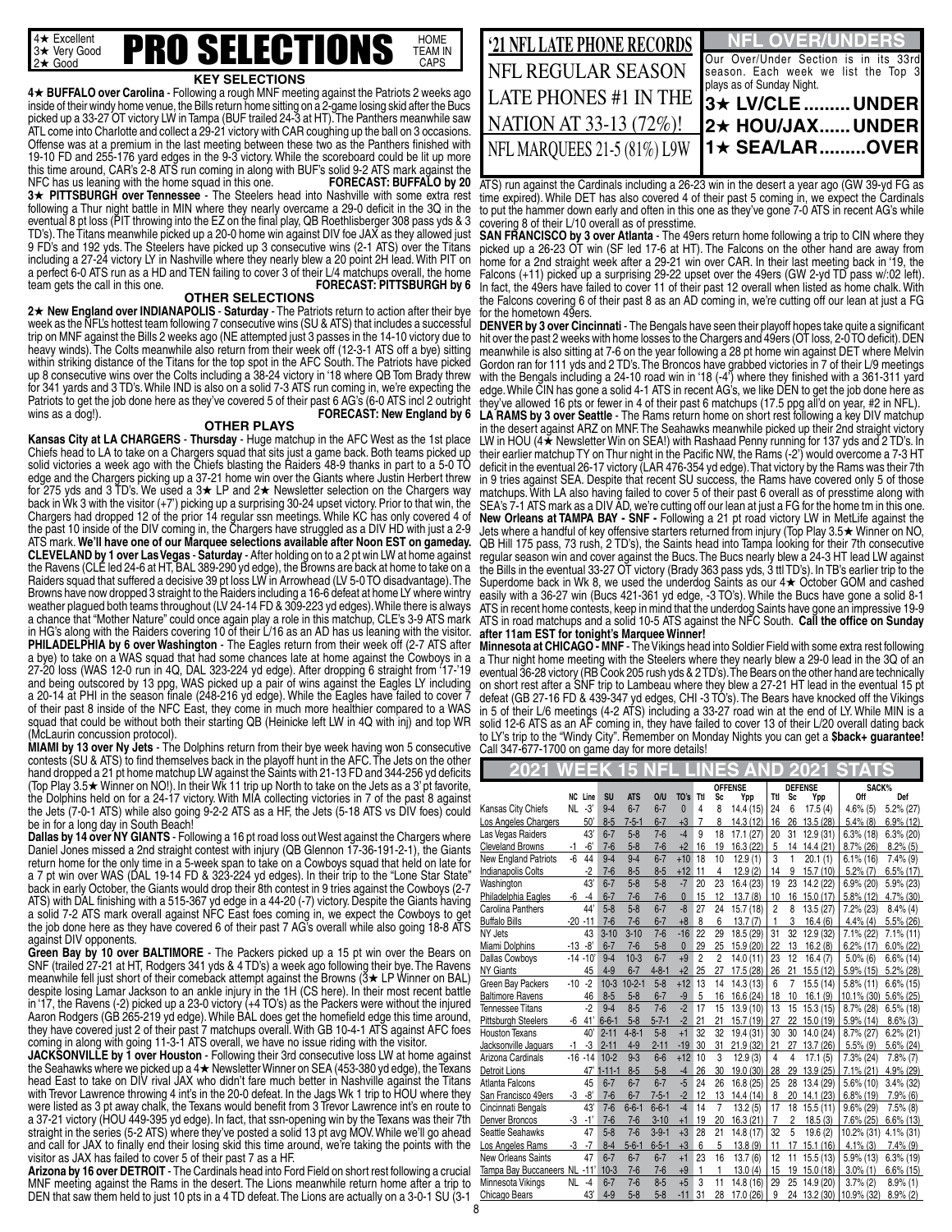

#### **KEY SELECTIONS**

**4★ BUFFALO over Carolina** - Following a rough MNF meeting against the Patriots 2 weeks ago inside of their windy home venue, the Bills return home sitting on a 2-game losing skid after the Bucs picked up a 33-27 OT victory LW in Tampa (BUF trailed 24-3 at HT). The Panthers meanwhile saw ATL come into Charlotte and collect a 29-21 victory with CAR coughing up the ball on 3 occasions. Offense was at a premium in the last meeting between these two as the Panthers finished with 19-10 FD and 255-176 yard edges in the 9-3 victory. While the scoreboard could be lit up more this time around, CAR's 2-8 ATS run coming in along with BUF's solid 9-2 ATS mark against the<br>NFC has us leaning with the home squad in this one.<br>**FORECAST: BUFFALO by 20** NFC has us leaning with the home squad in this one. **3★ PITTSBURGH over Tennessee -** The Steelers head into Nashville with some extra rest following a Thur night battle in MIN where they nearly overcame a 29-0 deficit in the 3Q in the eventual 8 pt loss (PIT throwing into the EZ on the final play, QB Roethlisberger 308 pass yds & 3 TD's). The Titans meanwhile picked up a 20-0 home win against DIV foe JAX as they allowed just 9 FD's and 192 yds. The Steelers have picked up 3 consecutive wins (2-1 ATS) over the Titans including a 27-24 victory LY in Nashville where they nearly blew a 20 point 2H lead. With PIT on a perfect 6-0 ATS run as a HD and TEN failing to cover 3 of their L/4 matchups overall, the home team gets the call in this one. **FORECAST: PITTSBURGH by 6**

#### **OTHER SELECTIONS**

2★ New England over INDIANAPOLIS - Saturday - The Patriots return to action after their bye week as the NFL's hottest team following 7 consecutive wins (SU & ATS) that includes a successful trip on MNF against the Bills 2 weeks ago (NE attempted just 3 passes in the 14-10 victory due to heavy winds). The Colts meanwhile also return from their week off (12-3-1 ATS off a bye) sitting within striking distance of the Titans for the top spot in the AFC South. The Patriots have picked up 8 consecutive wins over the Colts including a 38-24 victory in '18 where QB Tom Brady threw for 341 yards and 3 TD's. While IND is also on a solid 7-3 ATS run coming in, we're expecting the Patriots to get the job done here as they've covered 5 of their past 6 AG's (6-0 ATS incl 2 outright wins as a dog!). **FORECAST: New England by 6**

#### **OTHER PLAYS**

**Kansas City at LA CHARGERS** - **Thursday** - Huge matchup in the AFC West as the 1st place Chiefs head to LA to take on a Chargers squad that sits just a game back. Both teams picked up solid victories a week ago with the Chiefs blasting the Raiders 48-9 thanks in part to a 5-0 TO edge and the Chargers picking up a 37-21 home win over the Giants where Justin Herbert threw<br>for 275 yds and 3 TD's. We used a 3★ LP and 2★ Newsletter selection on the Chargers way back in Wk 3 with the visitor (+7') picking up a surprising 30-24 upset victory. Prior to that win, the Chargers had dropped 12 of the prior 14 regular ssn meetings. While KC has only covered 4 of the past 10 inside of the DIV coming in, the Chargers have struggled as a DIV HD with just a 2-9 ATS mark. **We'll have one of our Marquee selections available after Noon EST on gameday. CLEVELAND by 1 over Las Vegas** - **Saturday** - After holding on to a 2 pt win LW at home against the Ravens (CLE led 24-6 at HT, BAL 389-290 yd edge), the Browns are back at home to take on a Raiders squad that suffered a decisive 39 pt loss LW in Arrowhead (LV 5-0 TO disadvantage). The Browns have now dropped 3 straight to the Raiders including a 16-6 defeat at home LY where wintry weather plagued both teams throughout (LV 24-14 FD & 309-223 yd edges). While there is always a chance that "Mother Nature" could once again play a role in this matchup, CLE's 3-9 ATS mark in HG's along with the Raiders covering 10 of their L/16 as an AD has us leaning with the visitor. **PHILADELPHIA by 6 over Washington - The Eagles return from their week off (2-7 ATS after** a bye) to take on a WAS squad that had some chances late at home against the Cowboys in a 27-20 loss (WAS 12-0 run in 4Q, DAL 323-224 yd edge). After dropping 6 straight from '17-'19 and being outscored by 13 ppg, WAS picked up a pair of wins against the Eagles LY including a 20-14 at PHI in the season finale (248-216 yd edge). While the Eagles have failed to cover 7 of their past 8 inside of the NFC East, they come in much more healthier compared to a WAS squad that could be without both their starting QB (Heinicke left LW in 4Q with inj) and top WR (McLaurin concussion protocol).

**MIAMI by 13 over Ny Jets** - The Dolphins return from their bye week having won 5 consecutive contests (SU & ATS) to find themselves back in the playoff hunt in the AFC. The Jets on the other hand dropped a 21 pt home matchup LW against the Saints with 21-13 FD and 344-256 yd deficits (Top Play 3.5  $\star$  Winner on NO!). In their Wk 11 trip up North to take on the Jets as a 3' pt favorite, the Dolphins held on for a 24-17 victory. With MIA collecting victories in 7 of the past 8 against the Jets (7-0-1 ATS) while also going 9-2-2 ATS as a HF, the Jets (5-18 ATS vs DIV foes) could be in for a long day in South Beach!

Dallas by 14 over NY GIANTS - Following a 16 pt road loss out West against the Chargers where Daniel Jones missed a 2nd straight contest with injury (QB Glennon 17-36-191-2-1), the Giants return home for the only time in a 5-week span to take on a Cowboys squad that held on late for a 7 pt win over WAS (DAL 19-14 FD & 323-224 yd edges). In their trip to the "Lone Star State" back in early October, the Giants would drop their 8th contest in 9 tries against the Cowboys (2-7 ATS) with DAL finishing with a 515-367 yd edge in a 44-20 (-7) victory. Despite the Giants having a solid 7-2 ATS mark overall against NFC East foes coming in, we expect the Cowboys to get the job done here as they have covered 6 of their past 7 AG's overall while also going 18-8 ATS against DIV opponents.

**Green Bay by 10 over BALTIMORE** - The Packers picked up a 15 pt win over the Bears on SNF (trailed 27-21 at HT, Rodgers 341 yds & 4 TD's) a week ago following their bye. The Ravens meanwhile fell just short of their comeback attempt against the Browns ( $3\star$  LP Winner on BAL) despite losing Lamar Jackson to an ankle injury in the 1H (CS here). In their most recent battle in '17, the Ravens (-2) picked up a 23-0 victory (+4 TO's) as the Packers were without the injured Aaron Rodgers (GB 265-219 yd edge). While BAL does get the homefield edge this time around, they have covered just 2 of their past 7 matchups overall. With GB 10-4-1 ATS against AFC foes coming in along with going 11-3-1 ATS overall, we have no issue riding with the visitor.

**JACKSONVILLE by 1 over Houston** - Following their 3rd consecutive loss LW at home against the Seahawks where we picked up a  $4\star$  Newsletter Winner on SEA (453-380 yd edge), the Texans head East to take on DIV rival JAX who didn't fare much better in Nashville against the Titans with Trevor Lawrence throwing 4 int's in the 20-0 defeat. In the Jags Wk 1 trip to HOU where they were listed as 3 pt away chalk, the Texans would benefit from 3 Trevor Lawrence int's en route to a 37-21 victory (HOU 449-395 yd edge). In fact, that ssn-opening win by the Texans was their 7th straight in the series (5-2 ATS) where they've posted a solid 13 pt avg MOV. While we'll go ahead and call for JAX to finally end their losing skid this time around, we're taking the points with the visitor as JAX has failed to cover 5 of their past 7 as a HF.

**Arizona by 16 over DETROIT** - The Cardinals head into Ford Field on short rest following a crucial MNF meeting against the Rams in the desert. The Lions meanwhile return home after a trip to DEN that saw them held to just 10 pts in a 4 TD defeat. The Lions are actually on a 3-0-1 SU (3-1

| '21 NFL LATE PHONE RECORDS   | <b>NFL OVER/UNDERS</b>                                                                                    |
|------------------------------|-----------------------------------------------------------------------------------------------------------|
| NFL REGULAR SEASON           | Our Over/Under Section is in its 33rd<br>season. Each week we list the Top 3<br>plays as of Sunday Night. |
| <b>LATE PHONES #1 IN THE</b> | 13★ LV/CLE  UNDER                                                                                         |
| NATION AT 33-13 (72%)!       | <b>]2★ HOU/JAXUNDER</b>                                                                                   |
| NFL MAROUEES 21-5 (81%) L9W  | $ 1\star$ SEA/LAROVER                                                                                     |
|                              |                                                                                                           |

ATS) run against the Cardinals including a 26-23 win in the desert a year ago (GW 39-yd FG as time expired). While DET has also covered 4 of their past 5 coming in, we expect the Cardinals to put the hammer down early and often in this one as they've gone 7-0 ATS in recent AG's while covering 8 of their L/10 overall as of presstime.

**SAN FRANCISCO by 3 over Atlanta** - The 49ers return home following a trip to CIN where they picked up a 26-23 OT win (SF led 17-6 at HT). The Falcons on the other hand are away from home for a 2nd straight week after a 29-21 win over CAR. In their last meeting back in '19, the Falcons (+11) picked up a surprising 29-22 upset over the 49ers (GW 2-yd TD pass w/:02 left). In fact, the 49ers have failed to cover 11 of their past 12 overall when listed as home chalk. With the Falcons covering 6 of their past 8 as an AD coming in, we're cutting off our lean at just a FG for the hometown 49ers.

**DENVER by 3 over Cincinnati** - The Bengals have seen their playoff hopes take quite a significant hit over the past 2 weeks with home losses to the Chargers and 49ers (OT loss, 2-0 TO deficit). DEN meanwhile is also sitting at 7-6 on the year following a 28 pt home win against DET where Melvin Gordon ran for 111 yds and 2 TD's. The Broncos have grabbed victories in 7 of their L/9 meetings with the Bengals including a 24-10 road win in '18 (-4') where they finished with a 361-311 yard edge. While CIN has gone a solid 4-1 ATS in recent AG's, we like DEN to get the job done here as they've allowed 16 pts or fewer in 4 of their past 6 matchups (17.5 ppg all'd on year, #2 in NFL). **LA RAMS by 3 over Seattle** - The Rams return home on short rest following a key DIV matchup in the desert against ARZ on MNF. The Seahawks meanwhile picked up their 2nd straight victory LW in HOU ( $4\star$  Newsletter Win on SEA!) with Rashaad Penny running for 137 yds and 2 TD's. In their earlier matchup TY on Thur night in the Pacific NW, the Rams (-2') would overcome a 7-3 HT deficit in the eventual 26-17 victory (LAR 476-354 yd edge). That victory by the Rams was their 7th in 9 tries against SEA. Despite that recent SU success, the Rams have covered only 5 of those matchups. With LA also having failed to cover 5 of their past 6 overall as of presstime along with SEA's 7-1 ATS mark as a DIV AD, we're cutting off our lean at just a FG for the home tm in this one. **New Orleans at TAMPA BAY - SNF -** Following a 21 pt road victory LW in MetLife against the<br>Jets where a handful of key offensive starters returned from injury (Top Play 3.5★ Winner on NO, QB Hill 175 pass, 73 rush, 2 TD's), the Saints head into Tampa looking for their 7th consecutive regular season win and cover against the Bucs. The Bucs nearly blew a 24-3 HT lead LW against the Bills in the eventual 33-27 OT victory (Brady 363 pass yds, 3 ttl TD's). In TB's earlier trip to the Superdome back in Wk 8, we used the underdog Saints as our  $4\star$  October GOM and cashed easily with a 36-27 win (Bucs 421-361 yd edge, -3 TO's). While the Bucs have gone a solid 8-1 ATS in recent home contests, keep in mind that the underdog Saints have gone an impressive 19-9 ATS in road matchups and a solid 10-5 ATS against the NFC South. **Call the office on Sunday after 11am EST for tonight's Marquee Winner!**

**Minnesota at CHICAGO - MNF** - The Vikings head into Soldier Field with some extra rest following a Thur night home meeting with the Steelers where they nearly blew a 29-0 lead in the 3Q of an eventual 36-28 victory (RB Cook 205 rush yds & 2 TD's). The Bears on the other hand are technically on short rest after a SNF trip to Lambeau where they blew a 27-21 HT lead in the eventual 15 pt defeat (GB 27-16 FD & 439-347 yd edges, CHI -3 TO's). The Bears have knocked off the Vikings in 5 of their L/6 meetings (4-2 ATS) including a 33-27 road win at the end of LY. While MIN is a solid 12-6 ATS as an AF coming in, they have failed to cover 13 of their L/20 overall dating back to LY's trip to the "Windy City". Remember on Monday Nights you can get a \$back+ guarantee! Call 347-677-1700 on game day for more details!

| 202                                        |                 | E             |               |                       |                |                      |                | ÷      |                        |                |         | O                    |                            |                           |
|--------------------------------------------|-----------------|---------------|---------------|-----------------------|----------------|----------------------|----------------|--------|------------------------|----------------|---------|----------------------|----------------------------|---------------------------|
|                                            |                 |               |               |                       |                |                      |                |        | <b>OFFENSE</b>         |                |         | <b>DEFENSE</b>       | SACK%                      |                           |
|                                            | <b>NC</b><br>NL | Line<br>$-3'$ | SU<br>$9 - 4$ | <b>ATS</b><br>$6 - 7$ | O/U<br>$6 - 7$ | TO's<br>$\mathbf{0}$ | Ttl<br>4       | Sc     | Ypp                    | Ttl            | Sc      | Ypp                  | Off                        | Def                       |
| Kansas City Chiefs<br>Los Angeles Chargers |                 | 50'           | $8-5$         | $7 - 5 - 1$           | $6 - 7$        | $+3$                 | 7              | 8<br>8 | 14.4 (15)<br>14.3 (12) | 24<br>16       | 6<br>26 | 17.5(4)<br>13.5 (28) | $4.6\%$ (5)<br>$5.4\%$ (8) | 5.2% (27)<br>$6.9\%$ (12) |
| Las Vegas Raiders                          |                 | 43            | $6 - 7$       | $5 - 8$               | $7 - 6$        | $-4$                 | 9              | 18     | 17.1(27)               | 20             | 31      | 12.9(31)             | $6.3\%$ (18)               | $6.3\%$ (20)              |
| <b>Cleveland Browns</b>                    | $-1$            | $-6'$         | $7 - 6$       | $5 - 8$               | $7-6$          | $+2$                 | 16             | 19     | 16.3 (22)              | 5              | 14      | 14.4(21)             | $8.7\%$ (26)               | $8.2\%$ (5)               |
| <b>New England Patriots</b>                | $-6$            | 44            | $9 - 4$       | $9 - 4$               | $6 - 7$        | $+10$                | 18             | 10     | 12.9(1)                | 3              | 1       | 20.1(1)              | $6.1\%$ (16)               | $7.4\%$ (9)               |
| <b>Indianapolis Colts</b>                  |                 | $-2$          | $7-6$         | $8 - 5$               | $8-5$          | $+12$                | 11             | 4      | 12.9(2)                | 14             | 9       | 15.7(10)             | $5.2\%$ (7)                | $6.5\%$ (17)              |
| Washington                                 |                 | 43            | $6 - 7$       | $5 - 8$               | $5 - 8$        | $-7$                 | 20             | 23     | 16.4 (23)              | 19             | 23      | 14.2 (22)            | 6.9% (20)                  | $5.9\%$ (23)              |
| Philadelphia Eagles                        | -6              | -4            | $6 - 7$       | $7 - 6$               | $7-6$          | $\mathbf{0}$         | 15             | 12     | 13.7(8)                | 10             | 16      | 15.0 (17)            | $5.8\%$ (12)               | 4.7% (30)                 |
| Carolina Panthers                          |                 | 44'           | $5 - 8$       | $5 - 8$               | $6 - 7$        | $-8$                 | 27             | 24     | 15.7 (18)              | 2              | 8       | 13.5 (27)            | 7.2% (23)                  | $8.4\%$ (4)               |
| <b>Buffalo Bills</b>                       | $-20 - 11$      |               | $7-6$         | $7 - 6$               | $6 - 7$        | $+8$                 | 8              | 6      | 13.7(7)                | 1              | 3       | 16.4(6)              | $4.4\%$ (4)                | 5.5% (26)                 |
| NY Jets                                    |                 | 43            | $3 - 10$      | $3 - 10$              | $7-6$          | $-16$                | 22             | 29     | 18.5 (29)              | 31             | 32      | 12.9 (32)            | 7.1% (22)                  | $7.1\%$ (11)              |
| Miami Dolphins                             | $-13 - 8'$      |               | $6 - 7$       | $7 - 6$               | $5-8$          | $\mathbf{0}$         | 29             | 25     | 15.9 (20)              | 22             | 13      | 16.2(8)              | $6.2\%$ (17)               | $6.0\%$ (22)              |
| <b>Dallas Cowboys</b>                      |                 | $-14 - 10'$   | $9 - 4$       | $10-3$                | $6 - 7$        | $+9$                 | $\overline{2}$ | 2      | 14.0(11)               | 23             | 12      | 16.4(7)              | $5.0\%$ (6)                | $6.6\%$ (14)              |
| <b>NY Giants</b>                           |                 | 45            | $4 - 9$       | $6 - 7$               | $4 - 8 - 1$    | $+2$                 | 25             | 27     | 17.5 (28)              | 26             | 21      | 15.5 (12)            | 5.9% (15)                  | 5.2% (28)                 |
| Green Bay Packers                          | $-10$           | $-2$          | $10-3$        | $10-2-1$              | $5-8$          | $+12$                | 13             | 14     | 14.3 (13)              | 6              | 7       | 15.5(14)             | 5.8% (11)                  | $6.6\%$ (15)              |
| <b>Baltimore Ravens</b>                    |                 | 46            | $8 - 5$       | $5 - 8$               | $6 - 7$        | -9                   | 5              | 16     | 16.6 (24)              | 18             | 10      | 16.1(9)              | 10.1% (30)                 | 5.6% (25)                 |
| <b>Tennessee Titans</b>                    |                 | $-2$          | $9 - 4$       | $8 - 5$               | $7 - 6$        | $-2$                 | 17             | 15     | 13.9(10)               | 13             | 15      | 15.3(15)             | 8.7% (28)                  | $6.5\%$ (18)              |
| <b>Pittsburgh Steelers</b>                 | -6              | 41'           | $6 - 6 - 1$   | $5 - 8$               | $5 - 7 - 1$    | $-2$                 | 21             | 21     | 15.7 (19)              | 27             | 22      | 15.0 (19)            | $5.9\%$ (14)               | $8.6\%$ (3)               |
| <b>Houston Texans</b>                      |                 | 40'           | $2 - 11$      | $4 - 8 - 1$           | $5 - 8$        | $+1$                 | 32             | 32     | 19.4 (31)              | 30             | 30      | 14.0 (24)            | 8.7% (27)                  | $6.2\%$ (21)              |
| Jacksonville Jaquars                       | $-1$            | -3            | $2 - 11$      | $4 - 9$               | $2 - 11$       | $-19$                | 30             | 31     | 21.9 (32)              | 21             | 27      | 13.7 (26)            | $5.5\%$ (9)                | $5.6\%$ (24)              |
| Arizona Cardinals                          | $-16$           | $-14$         | $10 - 2$      | $9 - 3$               | $6 - 6$        | $+12$                | 10             | 3      | 12.9(3)                | 4              | 4       | 17.1(5)              | 7.3% (24)                  | $7.8\%$ $(7)$             |
| <b>Detroit Lions</b>                       |                 | 47            | $-11-1$       | $8 - 5$               | $5-8$          | $-4$                 | 26             | 30     | 19.0 (30)              | 28             | 29      | 13.9(25)             | $7.1\%$ (21)               | 4.9% (29)                 |
| Atlanta Falcons                            |                 | 45            | $6 - 7$       | $6 - 7$               | $6 - 7$        | $-5$                 | 24             | 26     | 16.8 (25)              | 25             | 28      | 13.4 (29)            | 5.6% (10)                  | $3.4\%$ (32)              |
| San Francisco 49ers                        | $-3$            | -8'           | $7 - 6$       | $6 - 7$               | $7 - 5 - 1$    | $-2$                 | 12             | 13     | 14.4 (14)              | 8              | 20      | 14.1(23)             | $6.8\%$ (19)               | $7.9\%$ (6)               |
| Cincinnati Bengals                         |                 | 43            | $7-6$         | $6 - 6 - 1$           | $6 - 6 - 1$    | $-4$                 | 14             | 7      | 13.2(5)                | 17             | 18      | 15.5(11)             | $9.6\%$ (29)               | $7.5\%$ (8)               |
| Denver Broncos                             | -3              | $-1'$         | $7-6$         | $7 - 6$               | $3 - 10$       | $+1$                 | 19             | 20     | 16.3(21)               | $\overline{7}$ | 2       | 18.5(3)              | 7.6% (25)                  | $6.6\%$ (13)              |
| Seattle Seahawks                           |                 | 47            | $5-8$         | $7 - 6$               | $3 - 9 - 1$    | $+3$                 | 28             | 21     | 14.8 (17)              | 32             | 5       | 19.6(2)              | 10.2% (31)                 | $4.1\%$ (31)              |
| Los Angeles Rams                           | -3              | $-7$          | $8 - 4$       | $5 - 6 - 1$           | $6 - 5 - 1$    | $+3$                 | 6              | 5      | 13.8(9)                | 11             | 17      | 15.1(16)             | $4.1\%$ (3)                | $7.4\%$ (9)               |
| <b>New Orleans Saints</b>                  |                 | 47            | $6 - 7$       | $6 - 7$               | $6 - 7$        | $+1$                 | 23             | 16     | 13.7(6)                | 12             | 11      | 15.5(13)             | 5.9% (13)                  | $6.3\%$ (19)              |
| Tampa Bay Buccaneers NL                    |                 | $-11'$        | $10-3$        | $7 - 6$               | $7 - 6$        | $+9$                 | 1              | 1      | 13.0(4)                | 15             | 19      | 15.0(18)             | $3.0\%$ (1)                | $6.6\%$ (15)              |
| Minnesota Vikings                          | NL              | $-4$          | $6 - 7$       | $7 - 6$               | $8 - 5$        | $+5$                 | 3              | 11     | 14.8 (16)              | 29             | 25      | 14.9 (20)            | $3.7\%$ (2)                | $8.9\%$ (1)               |
| Chicago Bears                              |                 | 43'           | $4 - 9$       | $5 - 8$               | $5 - 8$        | $-11$                | 31             | 28     | 17.0 (26)              | 9              |         |                      | 24 13.2 (30) 10.9% (32)    | $8.9\%$ (2)               |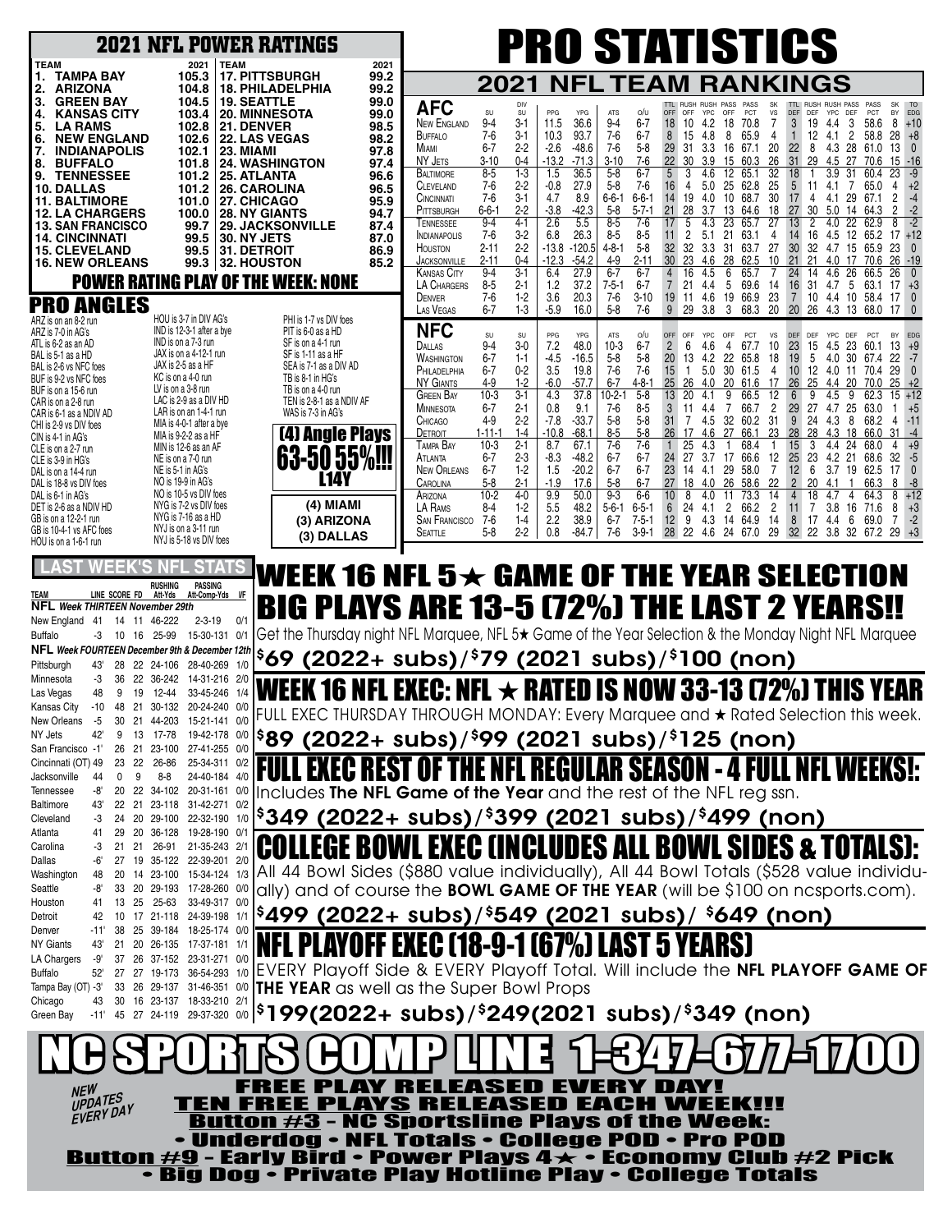| <b>2021 NFL POWER RATINGS</b>                                                                                                                                                                                                                                                                                                                                                                                                                                                                                                                                                                                                                                                                                                                                                                                                                                                                                                                                                                                                                                                                                                                                                                                                                                                                                                                                                                                                                 |                                                                                                                                                                                                                                                                                                                                                                                                                                                                                                                                                                                                                                                                                                                                                            |                                                                                                                                                                                                                                                                                                                                                                                                                                                                                                                                                                                                                                                                                                                                                                                                                                                                                                                                                                                                                                                                                                                                                                | <b>PRO STATISTICS</b>                                                                                                                                                                                                                                                                                                                                                                                                                                                                                                                                                                                                                                                                                                                                                                                                                                                                                                                                                                                                                                                                                                                                                                                                                                  |                                                                                                                                                                                                                                                                                                                                                                                                                                                                                                                                                                                                                                                                                                                                                                                                                                                                                                                                                                                                                                                                                                                                                                                                                              |
|-----------------------------------------------------------------------------------------------------------------------------------------------------------------------------------------------------------------------------------------------------------------------------------------------------------------------------------------------------------------------------------------------------------------------------------------------------------------------------------------------------------------------------------------------------------------------------------------------------------------------------------------------------------------------------------------------------------------------------------------------------------------------------------------------------------------------------------------------------------------------------------------------------------------------------------------------------------------------------------------------------------------------------------------------------------------------------------------------------------------------------------------------------------------------------------------------------------------------------------------------------------------------------------------------------------------------------------------------------------------------------------------------------------------------------------------------|------------------------------------------------------------------------------------------------------------------------------------------------------------------------------------------------------------------------------------------------------------------------------------------------------------------------------------------------------------------------------------------------------------------------------------------------------------------------------------------------------------------------------------------------------------------------------------------------------------------------------------------------------------------------------------------------------------------------------------------------------------|----------------------------------------------------------------------------------------------------------------------------------------------------------------------------------------------------------------------------------------------------------------------------------------------------------------------------------------------------------------------------------------------------------------------------------------------------------------------------------------------------------------------------------------------------------------------------------------------------------------------------------------------------------------------------------------------------------------------------------------------------------------------------------------------------------------------------------------------------------------------------------------------------------------------------------------------------------------------------------------------------------------------------------------------------------------------------------------------------------------------------------------------------------------|--------------------------------------------------------------------------------------------------------------------------------------------------------------------------------------------------------------------------------------------------------------------------------------------------------------------------------------------------------------------------------------------------------------------------------------------------------------------------------------------------------------------------------------------------------------------------------------------------------------------------------------------------------------------------------------------------------------------------------------------------------------------------------------------------------------------------------------------------------------------------------------------------------------------------------------------------------------------------------------------------------------------------------------------------------------------------------------------------------------------------------------------------------------------------------------------------------------------------------------------------------|------------------------------------------------------------------------------------------------------------------------------------------------------------------------------------------------------------------------------------------------------------------------------------------------------------------------------------------------------------------------------------------------------------------------------------------------------------------------------------------------------------------------------------------------------------------------------------------------------------------------------------------------------------------------------------------------------------------------------------------------------------------------------------------------------------------------------------------------------------------------------------------------------------------------------------------------------------------------------------------------------------------------------------------------------------------------------------------------------------------------------------------------------------------------------------------------------------------------------|
| <b>TEAM</b><br>2021<br><b>TEAM</b><br><b>TAMPA BAY</b><br>105.3<br><b>17. PITTSBURGH</b><br>1.<br>2.<br>ARIZONA<br>104.8<br><b>18. PHILADELPHIA</b><br>3.<br><b>GREEN BAY</b><br>104.5<br><b>19. SEATTLE</b><br><b>20. MINNESOTA</b><br><b>KANSAS CITY</b><br>103.4<br>4.<br>5.<br><b>LA RAMS</b><br>102.8<br><b>21. DENVER</b><br><b>22. LAS VEGAS</b><br><b>NEW ENGLAND</b><br>102.6<br>6.<br>7.<br><b>INDIANAPOLIS</b><br>102.1<br>23. MIAMI<br>8.<br><b>BUFFALO</b><br><b>24. WASHINGTON</b><br>101.8<br><b>TENNESSEE</b><br>25. ATLANTA<br>9.<br>101.2<br>26. CAROLINA<br><b>10. DALLAS</b><br>101.2<br><b>11. BALTIMORE</b><br>27. CHICAGO<br>101.0<br><b>28. NY GIANTS</b><br><b>12. LA CHARGERS</b><br>100.0<br><b>13. SAN FRANCISCO</b><br>99.7<br><b>29. JACKSONVILLE</b><br><b>14. CINCINNATI</b><br><b>30. NY JETS</b><br>99.5<br><b>15. CLEVELAND</b><br>99.5<br><b>31. DETROIT</b><br><b>16. NEW ORLEANS</b><br>99.3 32. HOUSTON<br><b>POWER RATING PLAY OF THE WEEK: NONE</b><br><b>PRO ANGLES</b><br>HOU is 3-7 in DIV AG's<br>ARZ is on an 8-2 run<br>IND is 12-3-1 after a bye<br>ARZ is 7-0 in AG's<br>IND is on a 7-3 run<br>ATL is 6-2 as an AD<br>JAX is on a 4-12-1 run<br>BAL is 5-1 as a HD<br>JAX is 2-5 as a HF<br>BAL is 2-6 vs NFC foes<br>KC is on a 4-0 run<br>BUF is 9-2 vs NFC foes<br>LV is on a 3-8 run<br>BUF is on a 15-6 run<br>LAC is 2-9 as a DIV HD<br>CAR is on a 2-8 run<br>LAR is on an 1-4-1 run | 2021<br>99.2<br>99.2<br>99.0<br><b>AFC</b><br>99.0<br><b>NEW ENGLAND</b><br>98.5<br><b>BUFFALO</b><br>98.2<br>MIAMI<br>97.8<br>NY JETS<br>97.4<br><b>BALTIMORE</b><br>96.6<br><b>CLEVELAND</b><br>96.5<br>CINCINNATI<br>95.9<br>PITTSBURGH<br>94.7<br>TENNESSEE<br>87.4<br><b>INDIANAPOLIS</b><br>87.0<br><b>HOUSTON</b><br>86.9<br><b>JACKSONVILLE</b><br>85.2<br><b>KANSAS CITY</b><br>LA CHARGERS<br>DENVER<br>LAS VEGAS<br>PHI is 1-7 vs DIV foes<br><b>NFC</b><br>PIT is 6-0 as a HD<br>SF is on a 4-1 run<br>DALLAS<br>SF is 1-11 as a HF<br><b>WASHINGTON</b><br>SEA is 7-1 as a DIV AD<br>PHILADELPHIA<br>TB is 8-1 in HG's<br>NY GIANTS<br>TB is on a 4-0 run<br><b>GREEN BAY</b><br>TEN is 2-8-1 as a NDIV AF<br>MINNESOTA<br>WAS is 7-3 in AG's | 2021<br>NFL<br>PPG<br>SU<br>SU<br>YPG<br><b>ATS</b><br>$3 - 1$<br>36.6<br>$9-4$<br>$9 - 4$<br>11.5<br>$7-6$<br>3-1<br>93.7<br>$7-6$<br>10.3<br>$2 - 2$<br>$6 - 7$<br>$-2.6$<br>$-48.6$<br>7-6<br>$-13.2$<br>$0 - 4$<br>$-71.3$<br>$3 - 10$<br>$3 - 10$<br>36.5<br>$1 - 3$<br>$5 - 8$<br>8-5<br>1.5<br>$2 - 2$<br>27.9<br>$5-8$<br>$7-6$<br>$-0.8$<br>$3 - 1$<br>$6 - 6 - 1$<br>4.7<br>8.9<br>7-6<br>$2 - 2$<br>$-3.8$<br>$6 - 6 - 1$<br>$-42.3$<br>$5-8$<br>$9 - 4$<br>$4 - 1$<br>2.6<br>5.5<br>$8 - 5$<br>$3-2$<br>$8-5$<br>$7-6$<br>6.8<br>26.3<br>$2 - 2$<br>$-120.5$<br>$2 - 11$<br>$-13.8$<br>4-8-1<br>$-12.3$<br>$-54.2$<br>$2 - 11$<br>$0-4$<br>4-9<br>$3-1$<br>6.4<br>27.9<br>$6 - 7$<br>$9-4$<br>$8 - 5$<br>1.2<br>2-1<br>37.2<br>$7 - 5 - 1$<br>3.6<br>20.3<br>$7-6$<br>$7-6$<br>$1-2$<br>$6 - 7$<br>$1-3$<br>$-5.9$<br>16.0<br>$5-8$<br>SU<br>PPG<br>SU<br>YPG<br>ATS<br>$3-0$<br>7.2<br>48.0<br>$10-3$<br>9-4<br>$-4.5$<br>$5-8$<br>$6 - 7$<br>$1 - 1$<br>$-16.5$<br>$0 - 2$<br>3.5<br>19.8<br>$7-6$<br>6-7<br>$1-2$<br>$4-9$<br>-6.0<br>$-57.7$<br>$6 - 7$<br>$10-3$<br>$3-1$<br>4.3<br>37.8<br>10-2-1<br>0.8<br>$6 - 7$<br>$2 - 1$<br>9.1<br>7-6 | <b>TEAM RANKINGS</b><br>o/u<br>OFF<br>YPC<br>OFF<br>PCT<br>VS<br>OFF<br>$6 - 7$<br>18<br>10<br>4.2<br>18<br>70.8<br>7<br>$6 - 7$<br>8<br>15<br>4.8<br>8<br>65.9<br>4<br>29<br>$5-8$<br>31<br>3.3<br>16<br>67.1<br>20<br>22<br>30<br>$7-6$<br>3.9<br>15<br>60.3<br>26<br>32<br>$6 - 7$<br>5<br>65.1<br>3<br>12<br>4.6<br>16<br>25<br>62.8<br>25<br>$7-6$<br>4<br>5.0<br>30<br>$6 - 6 - 1$<br>14<br>19<br>4.0<br>10<br>68.7<br>21<br>28<br>5-7-1<br>3.7<br>13<br>64.6<br>18<br>$7-6$<br>23<br>27<br>4.3<br>65.7<br>$8-5$<br>11<br>2<br>5.1<br>21<br>63.1<br>4<br>32<br>$5-8$<br>32<br>3.3<br>31<br>63.7<br>27<br>30<br>23<br>28<br>62.5<br>$2 - 11$<br>4.6<br>10<br>$6 - 7$<br>4<br>16<br>4.5<br>6<br>65.7<br>$\overline{7}$<br>21<br>$6 - 7$<br>5<br>69.6<br>4.4<br>14<br>19<br>23<br>$3 - 10$<br>11<br>4.6<br>19<br>66.9<br>9<br>29<br>$7-6$<br>3.8<br>3<br>68.3<br>20<br>o/u<br>OFF<br>OFF<br>PCT<br>OFF<br>YPC<br><b>VS</b><br>$\overline{2}$<br>$6 - 7$<br>6<br>4.6<br>67.7<br>10<br>4<br>20<br>$5-8$<br>13<br>4.2<br>22<br>65.8<br>18<br>$7-6$<br>15<br>5.0<br>30<br>61.5<br>4<br>1<br>25<br>$4 - 8 - 1$<br>26<br>4.0<br>20<br>61.6<br>17<br>$5-8$<br>13<br>20<br>4.1<br>9<br>66.5<br>12<br>3<br>$\overline{c}$<br>$8-5$<br>11<br>7<br>66.7<br>4.4 | DEF<br>YPC<br><b>DFF</b><br>DEF<br>PCT<br>EDG<br><b>BY</b><br>3<br>3<br>19<br>58.6<br>8<br>$+10$<br>4.4<br>2<br>$\mathbf{1}$<br>12<br>4.1<br>58.8<br>28<br>$+8$<br>28<br>22<br>8<br>13<br>4.3<br>61.0<br>$\mathbf{0}$<br>31<br>29<br>27<br>4.5<br>70.6<br>15<br>$-16$<br>3.9<br>31<br>23<br>60.4<br>18<br>5<br>11<br>7<br>65.0<br>$+2$<br>4.1<br>4<br>17<br>$\overline{2}$<br>$\overline{4}$<br>29<br>67.1<br>$-4$<br>4.1<br>$\overline{c}$<br>30<br>27<br>5.0<br>14<br>64.3<br>$\overline{2}$<br>4.0<br>22<br>62.9<br>8<br>16<br>14<br>4.5<br>12<br>65.2<br>17<br>$+12$<br>30<br>32<br>23<br>4.7<br>15<br>65.9<br>$\mathbf{0}$<br>21<br>21<br>4.0<br>17<br>70.6<br>26<br>24<br>14<br>26<br>26<br>4.6<br>66.5<br>16<br>31<br>5<br>4.7<br>63.1<br>-17<br>$+3$<br>$7^{\circ}$<br>10 <sup>°</sup><br>10<br>58.4<br>4.4<br>-17<br>$\mathbf{0}$<br><b>20</b><br>26<br>4.3<br>13<br>68.0<br>17<br><b>DFF</b><br>DEF<br>YPC<br>DEF<br>EDG<br>23<br>23<br>15<br>$+9$<br>4.5<br>60.1<br>-13<br>19<br>5<br>4.0<br>30<br>67.4<br>22<br>$-7$<br>10 <sup>1</sup><br>12<br>29<br>$\mathbf{0}$<br>4.0<br>70.4<br>11<br>25<br>25<br>26<br>4.4<br>20<br>70.0<br>9<br>4.5<br>9<br>62.3<br>15<br>$+12$<br>29<br>27<br>25<br>4.7<br>63.0<br>$+5$ |
| CAR is 6-1 as a NDIV AD<br>MIA is 4-0-1 after a bye<br>CHI is 2-9 vs DIV foes<br>MIA is 9-2-2 as a HF<br>CIN is 4-1 in AG's<br>MIN is 12-6 as an AF<br>CLE is on a 2-7 run<br>NE is on a 7-0 run<br>CLE is 3-9 in HG's<br>NE is 5-1 in AG's<br>DAL is on a 14-4 run<br>NO is 19-9 in AG's<br>DAL is 18-8 vs DIV foes<br>NO is 10-5 vs DIV foes<br>DAL is 6-1 in AG's<br>NYG is 7-2 vs DIV foes<br>DET is 2-6 as a NDIV HD<br>NYG is 7-16 as a HD<br>GB is on a 12-2-1 run<br>NYJ is on a 3-11 run<br>GB is 10-4-1 vs AFC foes<br>NYJ is 5-18 vs DIV foes<br>HOU is on a 1-6-1 run<br><b>PASSING</b><br><b>RUSHING</b><br>line score fd<br>Att-Comp-Yds I/F<br>TEAM<br>Att-Yds<br><b>NFL Week THIRTEEN November 29th</b><br>0/1<br>14 11 46-222<br>$2 - 3 - 19$<br>New England 41<br>15-30-131 0/1<br>Buffalo<br>-3<br>25-99<br>10<br>16<br>NFL Week FOURTEEN December 9th & December 12th<br>1/0<br>22<br>24-106<br>28-40-269<br>Pittsburgh<br>43'<br>28<br>-22<br>36-242 14-31-216 2/0<br>Minnesota<br>-3<br>36                                                                                                                                                                                                                                                                                                                                                                                                                              | CHICAGO<br><b>(4) Angle Plays</b><br>DETROIT<br><b>TAMPA BAY</b><br>63-50 55%!!!<br>ATLANTA<br>NEW ORLEANS<br>L14Y<br>CAROLINA<br>Arizona<br>$(4)$ MIAMI<br>LA RAMS<br><b>SAN FRANCISCO</b><br>(3) ARIZONA<br>SEATTLE<br>(3) DALLAS<br>WEEK 16 NFL 5 $\bm{\star}$ game of the year selection<br><b>BIG PLAYS ARE 13-5 (72%) THE LAST 2 YEARS!!</b><br>Get the Thursday night NFL Marquee, NFL 5* Game of the Year Selection & the Monday Night NFL Marquee<br>69 (2022+ subs)/ <sup>\$</sup> 79 (2021 subs)/ <sup>\$</sup> 100 (non)                                                                                                                                                                                                                       | $2 - 2$<br>$5 - 8$<br>$-7.8$<br>$-33.7$<br>4-9<br>$-10.8$<br>$-68.1$<br>$8-5$<br>$1 - 11 - 1$<br>$1 - 4$<br>$10-3$<br>$2 - 1$<br>8.7<br>67.1<br>$7-6$<br>$2 - 3$<br>-8.3<br>$-48.2$<br>$6 - 7$<br>6-7<br>1.5<br>$-20.2$<br>$6 - 7$<br>$6 - 7$<br>$1-2$<br>2-1<br>17.6<br>$5 - 8$<br>5-8<br>-1.9<br>$4-0$<br>9.9<br>50.0<br>$9-3$<br>$10 - 2$<br>5.5<br>48.2<br>$8-4$<br>$1-2$<br>$5 - 6 - 1$<br>2.2<br>38.9<br>$7-6$<br>$1 - 4$<br>$6 - 7$<br>$2 - 2$<br>$5-8$<br>0.8<br>$-84.7$<br>7-6                                                                                                                                                                                                                                                                                                                                                                                                                                                                                                                                                                                                                                                                        | $5-8$<br>31<br>32 60.2<br>31<br>7<br>4.5<br>$5-8$<br>26<br>27<br>23<br>17<br>4.6<br>66.1<br>$7-6$<br>25<br>4.3<br>$\mathbf{1}$<br>68.4<br>$\mathbf{1}$<br>24<br>$6 - 7$<br>27<br>3.7<br>17<br>12<br>66.6<br>23<br>$6 - 7$<br>58.0<br>14<br>4.1<br>29<br>7<br>27<br>18<br>26<br>58.6<br>22<br>$6 - 7$<br>4.0<br>$6-6$<br>10 <sup>10</sup><br>8<br>4.0<br>11<br>73.3<br>14<br>$6\phantom{1}$<br>66.2<br>$6 - 5 - 1$<br>24<br>4.1<br>2<br>2<br>12 <sup>°</sup><br>9<br>64.9<br>$7-5-1$<br>4.3 14<br>14<br>28 22 4.6 24 67.0 29<br>$3 - 9 - 1$                                                                                                                                                                                                                                                                                                                                                                                                                                                                                                                                                                                                                                                                                                             | 24<br>8<br>9<br>4.3<br>68.2<br>$-11$<br>4<br>28<br>28<br>4.3<br>18<br>66.0<br>31<br>3<br>24<br>15<br>4.4<br>68.0<br>4<br>25<br>23<br>4.2 21<br>68.6<br>32<br>-5<br>6<br>12<br>3.7<br>19<br>62.5<br>17<br>$\mathbf{0}$<br>$\overline{2}$<br>20<br>66.3<br>8<br>4.1<br>-1<br>18<br>$+12$<br>64.3<br>8<br>4.7<br>7<br>3.8<br>16<br>71.6<br>8<br>$+3$<br>11<br>8<br>17<br>$-2$<br>6<br>69.0<br>7<br>4.4<br>32 22 3.8 32 67.2 29 +3                                                                                                                                                                                                                                                                                                                                                                                                                                                                                                                                                                                                                                                                                                                                                                                               |
| 19<br>12-44<br>33-45-246<br>Las Vegas<br>48<br>9<br>-10 48 21 30-132 20-24-240 0/0<br>Kansas City<br>New Orleans<br>30 21 44-203 15-21-141 0/0<br>9 13 17-78 19-42-178 0/0<br>NY Jets<br>42'<br>27-41-255 0/0<br>San Francisco -1'<br>26<br>21<br>23-100<br>23 22 26-86 25-34-311 0/2<br>Cincinnati (OT) 49<br>24-40-184 4/0<br>Jacksonville<br>8-8<br>-44<br>0<br>- 9<br>20 22 34-102 20-31-161 0/0<br>Tennessee<br>-8'<br>21 23-118 31-42-271 0/2<br>Baltimore<br>43'<br>22<br>29-100 22-32-190 1/0<br>Cleveland<br>24 20<br>-3<br>36-128 19-28-190 0/1<br>Atlanta<br>-20<br>41<br>29<br>21 21 26-91 21-35-243 2/1<br>Carolina<br>-3<br>35-122 22-39-201 2/0<br>Dallas<br>-6'<br>27<br>19<br>14 23-100 15-34-124 1/3<br>Washington 48<br>20<br>20 29-193 17-28-260 0/0<br>Seattle<br>33<br>-8'                                                                                                                                                                                                                                                                                                                                                                                                                                                                                                                                                                                                                                              | WEEK 16 NFL EXEC: NFL $\star$ rated is now 33-13 (72%) this year<br>FULL EXEC THURSDAY THROUGH MONDAY: Every Marquee and ★ Rated Selection this week.<br><sup> \$</sup> 89 (2022+ subs)/ <sup>\$</sup> 99 (2021 subs)/ <sup>\$</sup> 125 (non)<br>Includes The NFL Game of the Year and the rest of the NFL reg ssn.<br><sup>\$</sup> 349 (2022+ subs)/ <sup>\$</sup> 399 (2021 subs)/ <sup>\$</sup> 499 (non)<br>All 44 Bowl Sides (\$880 value individually), All 44 Bowl Totals (\$528 value individu-<br>$ $ ally) and of course the <b>BOWL GAME OF THE YEAR</b> (will be \$100 on ncsports.com).                                                                                                                                                     | WL EXEC (INCLUDES A                                                                                                                                                                                                                                                                                                                                                                                                                                                                                                                                                                                                                                                                                                                                                                                                                                                                                                                                                                                                                                                                                                                                            | <b>IL SIDES &amp; T</b> I                                                                                                                                                                                                                                                                                                                                                                                                                                                                                                                                                                                                                                                                                                                                                                                                                                                                                                                                                                                                                                                                                                                                                                                                                              |                                                                                                                                                                                                                                                                                                                                                                                                                                                                                                                                                                                                                                                                                                                                                                                                                                                                                                                                                                                                                                                                                                                                                                                                                              |
| 25-63 33-49-317 0/0<br>Houston<br>41 13 25<br>17 21-118 24-39-198 1/1<br>Detroit<br>42<br>10<br>39-184 18-25-174 0/0<br>Denver<br>38<br>25<br>-11'<br>26-135 17-37-181 1/1<br>NY Giants<br>43'<br>20<br>21<br>37 26 37-152 23-31-271 0/0<br>LA Chargers -9'<br>19-173 36-54-293 1/0<br>Buffalo<br>52'<br>27<br>27<br>26 29-137 31-46-351 0/0<br>Tampa Bay (OT) -3'<br>33<br>16 23-137 18-33-210 2/1<br>Chicago<br>30<br>43<br>-11' 45 27 24-119 29-37-320 0/0<br>Green Bay<br><b>NEW</b><br><b>UPDATES</b><br>EVERY DAY<br>• unaeraoa<br>Button #9 - Early Bird • Power Plays 4 $\bigstar$ • Economy Club #2 Pick                                                                                                                                                                                                                                                                                                                                                                                                                                                                                                                                                                                                                                                                                                                                                                                                                             | <sup>\$</sup> 499 (2022+ subs)/ <sup>\$</sup> 549 (2021 subs)/ <sup>\$</sup> 649 (non)<br>EVERY Playoff Side & EVERY Playoff Total. Will include the <b>NFL PLAYOFF GAME OF</b><br><b>THE YEAR</b> as well as the Super Bowl Props<br><sup> \$</sup> 199(2022+ subs)/ <sup>\$</sup> 249(2021 subs)/ <sup>\$</sup> 349 (non)<br>G SDOM<br>59                                                                                                                                                                                                                                                                                                                                                                                                                | <b>line Plays of</b><br><b>NFL Totals • College POD •</b>                                                                                                                                                                                                                                                                                                                                                                                                                                                                                                                                                                                                                                                                                                                                                                                                                                                                                                                                                                                                                                                                                                      | Pro Pull                                                                                                                                                                                                                                                                                                                                                                                                                                                                                                                                                                                                                                                                                                                                                                                                                                                                                                                                                                                                                                                                                                                                                                                                                                               |                                                                                                                                                                                                                                                                                                                                                                                                                                                                                                                                                                                                                                                                                                                                                                                                                                                                                                                                                                                                                                                                                                                                                                                                                              |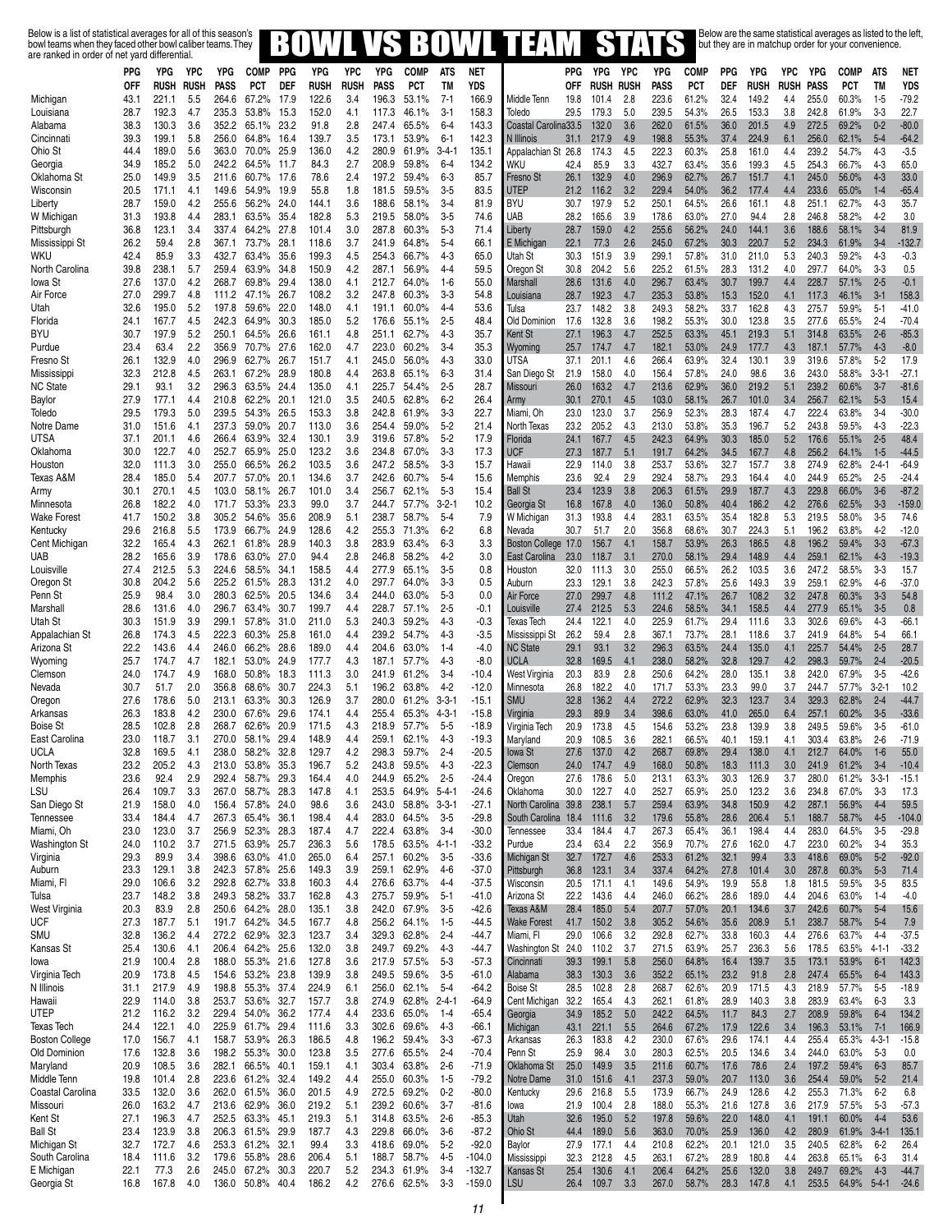Below is a list of statistical averages for all of this season's<br>bowl teams when they faced other bowl caliber teams. They **BOWLVS BOWLYS BOWLYS FILM** STATS but they are in matchup order for your convenience.

| arc ranncu in orucr or |              |                |            |                |                |                          |                |             |                |                   |                      |                |                                    |            |                |             |                |                |              |                |             |                |                |                         |                    |
|------------------------|--------------|----------------|------------|----------------|----------------|--------------------------|----------------|-------------|----------------|-------------------|----------------------|----------------|------------------------------------|------------|----------------|-------------|----------------|----------------|--------------|----------------|-------------|----------------|----------------|-------------------------|--------------------|
|                        | PPG          | YPG            | <b>YPC</b> | YPG            | <b>COMP</b>    | <b>PPG</b><br><b>DEF</b> | YPG            | <b>YPC</b>  | YPG            | <b>COMP</b>       | <b>ATS</b>           | <b>NET</b>     |                                    | <b>PPG</b> | YPG            | YPC         | YPG            | <b>COMP</b>    | PPG          | YPG            | <b>YPC</b>  | YPG            | <b>COMP</b>    | <b>ATS</b><br><b>TM</b> | <b>NET</b>         |
|                        | 0FF          | <b>RUSH</b>    | RUSH       | PASS           | <b>PCT</b>     |                          | <b>RUSH</b>    | <b>RUSH</b> | <b>PASS</b>    | PCT               | <b>TM</b><br>$7 - 1$ | YDS            |                                    | 0FF        | Rush           | <b>RUSH</b> | PASS           | <b>PCT</b>     | DEF          | <b>RUSH</b>    | <b>RUSH</b> | <b>PASS</b>    | <b>PCT</b>     |                         | <b>YDS</b>         |
| Michigan               | 43.1         | 221.1          | 5.5<br>4.7 | 264.6          | 67.2%<br>53.8% | 17.9                     | 122.6<br>152.0 | 3.4         | 196.3          | 53.1%             | $3 - 1$              | 166.9<br>158.3 | Middle Tenn<br>Toledo              | 19.8       | 101.4          | 2.8         | 223.6<br>239.5 | 61.2%          | 32.4         | 149.2          | 4.4         | 255.0<br>242.8 | 60.3%          | $1-5$                   | $-79.2$<br>22.7    |
| Louisiana              | 28.7         | 192.3          | 3.6        | 235.3<br>352.2 |                | 15.3                     |                | 4.1         | 117.3          | 46.1%             |                      | 143.3          |                                    | 29.5       | 179.3          | 5.0         |                | 54.3%          | 26.5         | 153.3          | 3.8         |                | 61.9%<br>69.2% | $3-3$<br>$0 - 2$        |                    |
| Alabama                | 38.3<br>39.3 | 130.3<br>199.1 | 5.8        | 256.0          | 65.1%<br>64.8% | 23.2                     | 91.8<br>139.7  | 2.8<br>3.5  | 247.4          | 65.5%             | $6 - 4$<br>$6 - 1$   | 142.3          | Coastal Carolina33.5<br>N Illinois | 31.1       | 132.0<br>217.9 | 3.6<br>4.9  | 262.0<br>198.8 | 61.5%<br>55.3% | 36.0<br>37.4 | 201.5<br>224.9 | 4.9<br>6.1  | 272.5<br>256.0 | 62.1%          | $5 - 4$                 | $-80.0$<br>$-64.2$ |
| Cincinnati<br>Ohio St  | 44.4         | 189.0          | 5.6        | 363.0          | 70.0%          | 16.4<br>25.9             | 136.0          | 4.2         | 173.1<br>280.9 | 53.9%<br>61.9%    | $3 - 4 - 1$          | 135.1          | Appalachian St 26.8                |            | 174.3          | 4.5         | 222.3          | 60.3%          | 25.8         | 161.0          | 4.4         | 239.2          | 54.7%          | $4 - 3$                 | $-3.5$             |
| Georgia                | 34.9         | 185.2          | 5.0        | 242.2          | 64.5%          | 11.7                     | 84.3           | 2.7         | 208.9          | 59.8%             | $6 - 4$              | 134.2          | WKU                                | 42.4       | 85.9           | 3.3         | 432.7          | 63.4%          | 35.6         | 199.3          | 4.5         | 254.3          | 66.7%          | $4 - 3$                 | 65.0               |
| Oklahoma St            | 25.0         | 149.9          | 3.5        | 211.6          | 60.7%          | 17.6                     | 78.6           | 2.4         | 197.2          | 59.4%             | $6 - 3$              | 85.7           | Fresno St                          | 26.1       | 132.9          | 4.0         | 296.9          | 62.7%          | 26.7         | 151.7          | 4.1         | 245.0          | 56.0%          | $4 - 3$                 | 33.0               |
| Wisconsin              | 20.5         | 171.1          | 4.1        | 149.6          | 54.9%          | 19.9                     | 55.8           | 1.8         | 181.5          | 59.5%             | $3-5$                | 83.5           | <b>UTEP</b>                        | 21.2       | 116.2          | 3.2         | 229.4          | 54.0%          | 36.2         | 177.4          | 4.4         | 233.6          | 65.0%          | $1 - 4$                 | $-65.4$            |
| Liberty                | 28.7         | 159.0          | 4.2        | 255.6          | 56.2%          | 24.0                     | 144.1          | 3.6         | 188.6          | 58.1%             | $3 - 4$              | 81.9           | BYU                                | 30.7       | 197.9          | 5.2         | 250.1          | 64.5%          | 26.6         | 161.1          | 4.8         | 251.1          | 62.7%          | $4-3$                   | 35.7               |
| W Michigan             | 31.3         | 193.8          | 4.4        | 283.1          | 63.5%          | 35.4                     | 182.8          | 5.3         | 219.5          | 58.0%             | $3 - 5$              | 74.6           | UAB                                | 28.2       | 165.6          | 3.9         | 178.6          | 63.0%          | 27.0         | 94.4           | 2.8         | 246.8          | 58.2%          | $4 - 2$                 | 3.0                |
| Pittsburgh             | 36.8         | 123.1          | 3.4        | 337.4          | 64.2%          | 27.8                     | 101.4          | 3.0         | 287.8          | 60.3%             | $5-3$                | 71.4           | Liberty                            | 28.7       | 159.0          | 4.2         | 255.6          | 56.2%          | 24.0         | 144.1          | 3.6         | 188.6          | 58.1%          | $3 - 4$                 | 81.9               |
| Mississippi St         | 26.2         | 59.4           | 2.8        | 367.1          | 73.7%          | 28.1                     | 118.6          | 3.7         | 241.9          | 64.8%             | $5 - 4$              | 66.1           | E Michigan                         | 22.1       | 77.3           | 2.6         | 245.0          | 67.2%          | 30.3         | 220.7          | 5.2         | 234.3          | 61.9%          | $3 - 4$                 | $-132.7$           |
| WKU                    | 42.4         | 85.9           | 3.3        | 432.7          | 63.4%          | 35.6                     | 199.3          | 4.5         | 254.3          | 66.7%             | $4 - 3$              | 65.0           | Utah St                            | 30.3       | 151.9          | 3.9         | 299.1          | 57.8%          | 31.0         | 211.0          | 5.3         | 240.3          | 59.2%          | $4-3$                   | $-0.3$             |
| North Carolina         | 39.8         | 238.1          | 5.7        | 259.4          | 63.9%          | 34.8                     | 150.9          | 4.2         | 287.1          | 56.9%             | $4 - 4$              | 59.5           | Oregon St                          | 30.8       | 204.2          | 5.6         | 225.2          | 61.5%          | 28.3         | 131.2          | 4.0         | 297.7          | 64.0%          | $3-3$                   | 0.5                |
| lowa St                | 27.6         | 137.0          | 4.2        | 268.7          | 69.8%          | 29.4                     | 138.0          | 4.1         | 212.7          | 64.0%             | $1-6$                | 55.0           | Marshall                           | 28.6       | 131.6          | 4.0         | 296.7          | 63.4%          | 30.7         | 199.7          | 4.4         | 228.7          | 57.1%          | $2 - 5$                 | $-0.1$             |
| Air Force              | 27.0         | 299.7          | 4.8        | 111.2          | 47.1%          | 26.7                     | 108.2          | 3.2         | 247.8          | 60.3%             | $3-3$                | 54.8           | Louisiana                          | 28.7       | 192.3          | 4.7         | 235.3          | 53.8%          | 15.3         | 152.0          | 4.1         | 117.3          | 46.1%          | $3 - 1$                 | 158.3              |
| Utah                   | 32.6         | 195.0          | 5.2        | 197.8          | 59.6%          | 22.0                     | 148.0          | 4.1         | 191.1          | 60.0%             | $4 - 4$              | 53.6           | Tulsa                              | 23.7       | 148.2          | 3.8         | 249.3          | 58.2%          | 33.7         | 162.8          | 4.3         | 275.7          | 59.9%          | $5 - 1$                 | $-41.0$            |
| Florida                | 24.1         | 167.7          | 4.5        | 242.3          | 64.9%          | 30.3                     | 185.0          | 5.2         | 176.6          | 55.1%             | $2 - 5$              | 48.4           | Old Dominion                       | 17.6       | 132.8          | 3.6         | 198.2          | 55.3%          | 30.0         | 123.8          | 3.5         | 277.6          | 65.5%          | $2 - 4$                 | $-70.4$            |
| BYU                    | 30.7         | 197.9          | 5.2        | 250.1          | 64.5%          | 26.6                     | 161.1          | 4.8         | 251.1          | 62.7%             | 4-3                  | 35.7           | Kent St                            | 27.1       | 196.3          | 4.7         | 252.5          | 63.3%          | 45.1         | 219.3          | 5.1         | 314.8          | 63.5%          | $2 - 6$                 | $-85.3$            |
| Purdue                 | 23.4         | 63.4           | 2.2        | 356.9          | 70.7%          | 27.6                     | 162.0          | 4.7         | 223.0          | 60.2%             | $3 - 4$              | 35.3           | Wyoming                            | 25.7       | 174.7          | 4.7         | 182.1          | 53.0%          | 24.9         | 177.7          | 4.3         | 187.1          | 57.7%          | $4 - 3$                 | $-8.0$             |
| Fresno St              | 26.1         | 132.9          | 4.0        | 296.9          | 62.7%          | 26.7                     | 151.7          | 4.1         | 245.0          | 56.0%             | $4-3$                | 33.0           | <b>UTSA</b>                        | 37.1       | 201.1          | 4.6         | 266.4          | 63.9%          | 32.4         | 130.1          | 3.9         | 319.6          | 57.8%          | $5 - 2$                 | 17.9               |
| Mississippi            | 32.3         | 212.8          | 4.5        | 263.1          | 67.2%          | 28.9                     | 180.8          | 4.4         | 263.8          | 65.1%             | $6 - 3$              | 31.4           | San Diego St                       | 21.9       | 158.0          | 4.0         | 156.4          | 57.8%          | 24.0         | 98.6           | 3.6         | 243.0          | 58.8%          | $3 - 3 - 1$             | $-27.1$            |
| <b>NC State</b>        | 29.1         | 93.1           | 3.2        | 296.3          | 63.5%          | 24.4                     | 135.0          | 4.1         | 225.7          | 54.4%             | $2 - 5$              | 28.7           | Missouri                           | 26.0       | 163.2          | 4.7         | 213.6          | 62.9%          | 36.0         | 219.2          | 5.1         | 239.2          | 60.6%          | $3 - 7$                 | $-81.6$            |
| Baylor                 | 27.9         | 177.1          | 4.4        | 210.8          | 62.2%          | 20.1                     | 121.0          | 3.5         | 240.5          | 62.8%             | $6 - 2$              | 26.4           | Army                               | 30.1       | 270.1          | 4.5         | 103.0          | 58.1%          | 26.7         | 101.0          | 3.4         | 256.7          | 62.1%          | $5 - 3$                 | 15.4               |
| Toledo                 | 29.5         | 179.3          | 5.0        | 239.5          | 54.3%          | 26.5                     | 153.3          | 3.8         | 242.8          | 61.9%             | $3-3$                | 22.7           | Miami, Oh                          | 23.0       | 123.0          | 3.7         | 256.9          | 52.3%          | 28.3         | 187.4          | 4.7         | 222.4          | 63.8%          | $3-4$                   | $-30.0$            |
| Notre Dame             | 31.0         | 151.6          | 4.1        | 237.3          | 59.0%          | 20.7                     | 113.0          | 3.6         | 254.4          | 59.0%             | $5 - 2$              | 21.4           | North Texas                        | 23.2       | 205.2          | 4.3         | 213.0          | 53.8%          | 35.3         | 196.7          | 5.2         | 243.8          | 59.5%          | $4 - 3$                 | $-22.3$            |
| <b>UTSA</b>            | 37.1         | 201.1          | 4.6        | 266.4          | 63.9%          | 32.4                     | 130.1          | 3.9         | 319.6          | 57.8%             | $5 - 2$              | 17.9           | Florida                            | 24.1       | 167.7          | 4.5         | 242.3          | 64.9%          | 30.3         | 185.0          | 5.2         | 176.6          | 55.1%          | $2 - 5$                 | 48.4               |
| Oklahoma               | 30.0         | 122.7          | 4.0        | 252.7          | 65.9%          | 25.0                     | 123.2          | 3.6         | 234.8          | 67.0%             | $3-3$                | 17.3           | <b>UCF</b>                         | 27.3       | 187.7          | 5.1         | 191.7          | 64.2%          | 34.5         | 167.7          | 4.8         | 256.2          | 64.1%          | $1-5$                   | $-44.5$            |
| Houston                | 32.0         | 111.3          | 3.0        | 255.0          | 66.5%          | 26.2                     | 103.5          | 3.6         | 247.2          | 58.5%             | $3-3$                | 15.7           | Hawaii                             | 22.9       | 114.0          | 3.8         | 253.7          | 53.6%          | 32.7         | 157.7          | 3.8         | 274.9          | 62.8%          | $2 - 4 - 1$             | $-64.9$            |
| Texas A&M              | 28.4         | 185.0          | 5.4        | 207.7          | 57.0%          | 20.1                     | 134.6          | 3.7         | 242.6          | 60.7%             | $5 - 4$              | 15.6           | Memphis                            | 23.6       | 92.4           | 2.9         | 292.4          | 58.7%          | 29.3         | 164.4          | 4.0         | 244.9          | 65.2%          | $2 - 5$                 | $-24.4$            |
| Army                   | 30.1         | 270.1          | 4.5        | 103.0          | 58.1%          | 26.7                     | 101.0          | 3.4         | 256.7          | 62.1%             | $5 - 3$              | 15.4           | <b>Ball St</b>                     | 23.4       | 123.9          | 3.8         | 206.3          | 61.5%          | 29.9         | 187.7          | 4.3         | 229.8          | 66.0%          | $3-6$                   | $-87.2$            |
| Minnesota              | 26.8         | 182.2          | 4.0        | 171.7          | 53.3%          | 23.3                     | 99.0           | 3.7         | 244.7          | 57.7%             | $3 - 2 - 1$          | 10.2           | Georgia St                         | 16.8       | 167.8          | 4.0         | 136.0          | 50.8%          | 40.4         | 186.2          | 4.2         | 276.6          | 62.5%          | $3 - 3$                 | $-159.0$           |
| <b>Wake Forest</b>     | 41.7         | 150.2          | 3.8        | 305.2          | 54.6%          | 35.6                     | 208.9          | 5.1         | 238.7          | 58.7%             | $5 - 4$              | 7.9            | W Michigan                         | 31.3       | 193.8          | 4.4         | 283.1          | 63.5%          | 35.4         | 182.8          | 5.3         | 219.5          | 58.0%          | $3-5$                   | 74.6               |
| Kentucky               | 29.6         | 216.8          | 5.5        | 173.9          | 66.7%          | 24.9                     | 128.6          | 4.2         | 255.3          | 71.3%             | $6 - 2$              | 6.8            | Nevada                             | 30.7       | 51.7           | 2.0         | 356.8          | 68.6%          | 30.7         | 224.3          | 5.1         | 196.2          | 63.8%          | $4-2$                   | $-12.0$            |
| Cent Michigan          | 32.2         | 165.4          | 4.3        | 262.1          | 61.8%          | 28.9                     | 140.3          | 3.8         | 283.9          | 63.4%             | $6 - 3$              | 3.3            | Boston College 17.0                |            | 156.7          | 4.1         | 158.7          | 53.9%          | 26.3         | 186.5          | 4.8         | 196.2          | 59.4%          | $3 - 3$                 | $-67.3$            |
| UAB                    | 28.2         | 165.6          | 3.9        | 178.6          | 63.0%          | 27.0                     | 94.4           | 2.8         | 246.8          | 58.2%             | 4-2                  | 3.0            | East Carolina                      | 23.0       | 118.7          | 3.1         | 270.0          | 58.1%          | 29.4         | 148.9          | 4.4         | 259.1          | 62.1%          | $4 - 3$                 | $-19.3$            |
| Louisville             | 27.4         | 212.5          | 5.3        | 224.6          | 58.5%          | 34.1                     | 158.5          | 4.4         | 277.9          | 65.1%             | $3 - 5$              | 0.8            | Houston                            | 32.0       | 111.3          | 3.0         | 255.0          | 66.5%          | 26.2         | 103.5          | 3.6         | 247.2          | 58.5%          | $3-3$                   | 15.7               |
| Oregon St              | 30.8         | 204.2          | 5.6        | 225.2          | 61.5%          | 28.3                     | 131.2          | 4.0         | 297.7          | 64.0%             | $3-3$                | 0.5            | Auburn                             | 23.3       | 129.1          | 3.8         | 242.3          | 57.8%          | 25.6         | 149.3          | 3.9         | 259.1          | 62.9%          | $4-6$                   | $-37.0$            |
| Penn St                | 25.9         | 98.4           | 3.0        | 280.3          | 62.5%          | 20.5                     | 134.6          | 3.4         | 244.0          | 63.0%             | $5-3$                | 0.0            | Air Force                          | 27.0       | 299.7          | 4.8         | 111.2          | 47.1%          | 26.7         | 108.2          | 3.2         | 247.8          | 60.3%          | $3 - 3$                 | 54.8               |
| Marshall               | 28.6         | 131.6          | 4.0        | 296.7          | 63.4%          | 30.7                     | 199.7          | 4.4         | 228.7          | 57.1%             | $2 - 5$              | -0.1           | Louisville                         | 27.4       | 212.5          | 5.3         | 224.6          | 58.5%          | 34.1         | 158.5          | 4.4         | 277.9          | 65.1%          | $3-5$                   | 0.8                |
| Utah St                | 30.3         | 151.9          | 3.9        | 299.1          | 57.8%          | 31.0                     | 211.0          | 5.3         | 240.3          | 59.2%             | 4-3                  | -0.3           | Texas Tech                         | 24.4       | 122.1          | 4.0         | 225.9          | 61.7%          | 29.4         | 111.6          | 3.3         | 302.6          | 69.6%          | $4 - 3$                 | $-66.1$            |
| Appalachian St         | 26.8         | 174.3          | 4.5        | 222.3          | 60.3%          | 25.8                     | 161.0          | 4.4         | 239.2          | 54.7%             | 4-3                  | $-3.5$         | Mississippi St                     | 26.2       | 59.4           | 2.8         | 367.1          | 73.7%          | 28.1         | 118.6          | 3.7         | 241.9          | 64.8%          | $5 - 4$                 | 66.1               |
| Arizona St             | 22.2         | 143.6          | 4.4        | 246.0          | 66.2%          | 28.6                     | 189.0          | 4.4         | 204.6          | 63.0%             | $1 - 4$              | $-4.0$         | <b>NC State</b>                    | 29.1       | 93.1           | 3.2         | 296.3          | 63.5%          | 24.4         | 135.0          | 4.1         | 225.7          | 54.4%          | $2 - 5$                 | 28.7               |
| Wyoming                | 25.7         | 174.7          | 4.7        | 182.1          | 53.0%          | 24.9                     | 177.7          | 4.3         | 187.1          | 57.7%             | 4-3                  | $-8.0$         | <b>UCLA</b>                        | 32.8       | 169.5          | 4.1         | 238.0          | 58.2%          | 32.8         | 129.7          | 4.2         | 298.3          | 59.7%          | $2 - 4$                 | $-20.5$            |
| Clemson                | 24.0         | 174.7          | 4.9        | 168.0          | 50.8%          | 18.3                     | 111.3          | 3.0         | 241.9          | 61.2%             | $3 - 4$              | $-10.4$        | West Virginia                      | 20.3       | 83.9           | 2.8         | 250.6          | 64.2%          | 28.0         | 135.1          | 3.8         | 242.0          | 67.9%          | $3-5$                   | $-42.6$            |
| Nevada                 | 30.7         | 51.7           | 2.0        | 356.8          | 68.6%          | 30.7                     | 224.3          | 5.1         | 196.2          | 63.8%             | $4-2$                | $-12.0$        | Minnesota                          | 26.8       | 182.2          | 4.0         | 171.7          | 53.3%          | 23.3         | 99.0           | 3.7         | 244.7          | 57.7%          | $3 - 2 - 1$             | 10.2               |
| Oregon                 | 27.6         | 178.6          | 5.0        | 213.1          | 63.3%          | 30.3                     | 126.9          | 3.7         | 280.0          | 61.2%             | $3 - 3 - 1$          | $-15.1$        | <b>SMU</b>                         | 32.8       | 136.2          | 4.4         | 272.2          | 62.9%          | 32.3         | 123.7          | 3.4         | 329.3          | 62.8%          | $2 - 4$                 | $-44.7$            |
| Arkansas               | 26.3         | 183.8          | 4.2        | 230.0          | 67.6%          | 29.6                     | 174.1          | 4.4         | 255.4          | 65.3%             | $4 - 3 - 1$          | $-15.8$        | Virginia                           | 29.3       | 89.9           | 3.4         | 398.6          | 63.0%          | 41.0         | 265.0          | 6.4         | 257.1          | 60.2%          | $3-5$                   | $-33.6$            |
| <b>Boise St</b>        | 28.5         | 102.8          | 2.8        | 268.7          | 62.6%          | 20.9                     | 171.5          | 4.3         | 218.9          | 57.7%             | $5 - 5$              | $-18.9$        | Virginia Tech                      | 20.9       | 173.8          | 4.5         | 154.6          | 53.2%          | 23.8         | 139.9          | 3.8         | 249.5          | 59.6%          | $3-5$                   | $-61.0$            |
| East Carolina          | 23.0         | 118.7          | 3.1        | 270.0          | 58.1%          | 29.4                     | 148.9          | 4.4         | 259.1          | 62.1%             | $4-3$                | $-19.3$        | Maryland                           | 20.9       | 108.5          | 3.6         | 282.1          | 66.5%          | 40.1         | 159.1          | 4.1         | 303.4          | 63.8%          | $2 - 6$                 | $-71.9$            |
| <b>UCLA</b>            | 32.8         | 169.5          | 4.1        |                | 238.0 58.2%    | 32.8                     | 129.7          | 4.2         | 298.3          | 59.7%             | $2 - 4$              | $-20.5$        | lowa St                            | 27.6       | 137.0          | 4.2         | 268.7          | 69.8%          | 29.4         | 138.0          | 4.1         | 212.7          | 64.0%          | $1-6$                   | 55.0               |
| North Texas            | 23.2         | 205.2          | 4.3        | 213.0          | 53.8%          | 35.3                     | 196.7          | 5.2         | 243.8          | 59.5%             | $4 - 3$              | $-22.3$        | Clemson                            | 24.0       | 174.7          | 4.9         | 168.0          | 50.8%          | 18.3         | 111.3          | 3.0         | 241.9          | 61.2%          | $3 - 4$                 | $-10.4$            |
| Memphis                | 23.6         | 92.4           | 2.9        | 292.4          | 58.7%          | 29.3                     | 164.4          | 4.0         | 244.9          | 65.2%             | $2 - 5$              | $-24.4$        | Oregon                             | 27.6       | 178.6          | 5.0         | 213.1          | 63.3%          | 30.3         | 126.9          | 3.7         | 280.0          | 61.2%          | $3-3-1$                 | $-15.1$            |
| LSU                    | 26.4         | 109.7          | 3.3        | 267.0          | 58.7%          | 28.3                     | 147.8          | 4.1         | 253.5          | 64.9%             | $5 - 4 - 1$          | $-24.6$        | Oklahoma                           | 30.0       | 122.7          | 4.0         | 252.7          | 65.9%          | 25.0         | 123.2          | 3.6         | 234.8          | 67.0%          | $3-3$                   | 17.3               |
| San Diego St           | 21.9         | 158.0          | 4.0        | 156.4          | 57.8%          | 24.0                     | 98.6           | 3.6         | 243.0          | 58.8% 3-3-1       |                      | $-27.1$        | North Carolina 39.8                |            | 238.1          | 5.7         | 259.4          | 63.9%          | 34.8         | 150.9          | 4.2         | 287.1          | 56.9%          | $4 - 4$                 | 59.5               |
| Tennessee              | 33.4         | 184.4          | 4.7        | 267.3          | 65.4%          | 36.1                     | 198.4          | 4.4         | 283.0          | 64.5%             | $3 - 5$              | $-29.8$        | South Carolina 18.4                |            | 111.6          | 3.2         | 179.6          | 55.8%          | 28.6         | 206.4          | 5.1         | 188.7          | 58.7%          | $4 - 5$                 | $-104.0$           |
| Miami, Oh              | 23.0         | 123.0          | 3.7        | 256.9          | 52.3%          | 28.3                     | 187.4          | 4.7         | 222.4          | 63.8%             | $3-4$                | $-30.0$        | Tennessee                          | 33.4       | 184.4          | 4.7         | 267.3          | 65.4%          | 36.1         | 198.4          | 4.4         | 283.0          | 64.5%          | $3-5$                   | $-29.8$            |
| Washington St          | 24.0         | 110.2          | 3.7        | 271.5          | 63.9%          | 25.7                     | 236.3          | 5.6         |                | 178.5 63.5% 4-1-1 |                      | $-33.2$        | Purdue                             | 23.4       | 63.4           | 2.2         | 356.9          | 70.7%          | 27.6         | 162.0          | 4.7         | 223.0          | 60.2%          | $3 - 4$                 | 35.3               |
| Virginia               | 29.3         | 89.9           | 3.4        | 398.6          | 63.0%          | 41.0                     | 265.0          | 6.4         | 257.1          | 60.2%             | $3-5$                | $-33.6$        | Michigan St                        | 32.7       | 172.7          | 4.6         | 253.3          | 61.2%          | 32.1         | 99.4           | 3.3         | 418.6          | 69.0%          | $5-2$                   | $-92.0$            |
| Auburn                 | 23.3         | 129.1          | 3.8        | 242.3          | 57.8%          | 25.6                     | 149.3          | 3.9         | 259.1          | 62.9%             | $4-6$                | $-37.0$        | Pittsburgh                         | 36.8       | 123.1          | 3.4         | 337.4          | 64.2%          | 27.8         | 101.4          | 3.0         | 287.8          | 60.3%          | $5 - 3$                 | 71.4               |
| Miami, Fl              | 29.0         | 106.6          | 3.2        | 292.8          | 62.7%          | 33.8                     | 160.3          | 4.4         | 276.6          | 63.7%             | $4 - 4$              | $-37.5$        | Wisconsin                          | 20.5       | 171.1          | 4.1         | 149.6          | 54.9%          | 19.9         | 55.8           | 1.8         | 181.5          | 59.5%          | $3 - 5$                 | 83.5               |
| Tulsa                  | 23.7         | 148.2          | 3.8        | 249.3          | 58.2%          | 33.7                     | 162.8          | 4.3         | 275.7          | 59.9%             | $5 - 1$              | $-41.0$        | Arizona St                         | 22.2       | 143.6          | 4.4         | 246.0          | 66.2%          | 28.6         | 189.0          | 4.4         | 204.6          | 63.0%          | $1 - 4$                 | $-4.0$             |
| West Virginia          | 20.3         | 83.9           | 2.8        | 250.6          | 64.2%          | 28.0                     | 135.1          | 3.8         | 242.0          | 67.9%             | $3-5$                | $-42.6$        | Texas A&M                          | 28.4       | 185.0          | 5.4         | 207.7          | 57.0%          | 20.1         | 134.6          | 3.7         | 242.6          | 60.7%          | $5 - 4$                 | 15.6               |
| UCF                    | 27.3         | 187.7          | 5.1        | 191.7          | 64.2%          | 34.5                     | 167.7          | 4.8         | 256.2          | 64.1%             | $1 - 5$              | $-44.5$        | <b>Wake Forest</b>                 | 41.7       | 150.2          | 3.8         | 305.2          | 54.6%          | 35.6         | 208.9          | 5.1         | 238.7          | 58.7%          | $5 - 4$                 | 7.9                |
| SMU                    | 32.8         | 136.2          | 4.4        | 272.2          | 62.9%          | 32.3                     | 123.7          | 3.4         | 329.3          | 62.8%             | $2 - 4$              | $-44.7$        | Miami, Fl                          | 29.0       | 106.6          | 3.2         | 292.8          | 62.7%          | 33.8         | 160.3          | 4.4         | 276.6          | 63.7%          | $4 - 4$                 | -37.5              |
| Kansas St              | 25.4         | 130.6          | 4.1        | 206.4          | 64.2%          | 25.6                     | 132.0          | 3.8         | 249.7          | 69.2%             | $4-3$                | $-44.7$        | Washington St 24.0                 |            | 110.2          | 3.7         | 271.5          | 63.9%          | 25.7         | 236.3          | 5.6         | 178.5          | 63.5%          | $4 - 1 - 1$             | $-33.2$            |
| lowa                   | 21.9         | 100.4          | 2.8        | 188.0          | 55.3%          | 21.6                     | 127.8          | 3.6         | 217.9          | 57.5%             | $5 - 3$              | $-57.3$        | Cincinnati                         | 39.3       | 199.1          | 5.8         | 256.0          | 64.8%          | 16.4         | 139.7          | 3.5         | 173.1          | 53.9%          | $6 - 1$                 | 142.3              |
| Virginia Tech          | 20.9         | 173.8          | 4.5        | 154.6          | 53.2%          | 23.8                     | 139.9          | 3.8         | 249.5          | 59.6%             | $3-5$                | $-61.0$        | Alabama                            | 38.3       | 130.3          | 3.6         | 352.2          | 65.1%          | 23.2         | 91.8           | 2.8         | 247.4          | 65.5%          | $6 - 4$                 | 143.3              |
| N Illinois             | 31.1         | 217.9          | 4.9        | 198.8          | 55.3%          | 37.4                     | 224.9          | 6.1         | 256.0          | 62.1%             | $5 - 4$              | $-64.2$        | <b>Boise St</b>                    | 28.5       | 102.8          | 2.8         | 268.7          | 62.6%          | 20.9         | 171.5          | 4.3         | 218.9          | 57.7%          | $5 - 5$                 | $-18.9$            |
| Hawaii                 | 22.9         | 114.0          | 3.8        | 253.7          | 53.6%          | 32.7                     | 157.7          | 3.8         | 274.9          | 62.8% 2-4-1       |                      | $-64.9$        | Cent Michigan                      | 32.2       | 165.4          | 4.3         | 262.1          | 61.8%          | 28.9         | 140.3          | 3.8         | 283.9          | 63.4%          | $6 - 3$                 | 3.3                |
| UTEP                   | 21.2         | 116.2          | 3.2        | 229.4          | 54.0%          | 36.2                     | 177.4          | 4.4         | 233.6          | 65.0%             | 1-4                  | $-65.4$        | Georgia                            | 34.9       | 185.2          | 5.0         | 242.2          | 64.5%          | 11.7         | 84.3           | 2.7         | 208.9          | 59.8%          | $6 - 4$                 | 134.2              |
| Texas Tech             | 24.4         | 122.1          | 4.0        | 225.9          | 61.7%          | 29.4                     | 111.6          | 3.3         | 302.6          | 69.6%             | $4-3$                | $-66.1$        | Michigan                           | 43.1       | 221.1          | 5.5         | 264.6          | 67.2%          | 17.9         | 122.6          | 3.4         | 196.3          | 53.1%          | $7 - 1$                 | 166.9              |
| <b>Boston College</b>  | 17.0         | 156.7          | 4.1        | 158.7          | 53.9%          | 26.3                     | 186.5          | 4.8         | 196.2          | 59.4%             | $3-3$                | $-67.3$        | Arkansas                           | 26.3       | 183.8          | 4.2         | 230.0          | 67.6%          | 29.6         | 174.1          | 4.4         | 255.4          | 65.3%          | $4 - 3 - 1$             | $-15.8$            |
| Old Dominion           | 17.6         | 132.8          | 3.6        | 198.2          | 55.3%          | 30.0                     | 123.8          | 3.5         |                | 277.6 65.5%       | $2 - 4$              | $-70.4$        | Penn St                            | 25.9       | 98.4           | 3.0         | 280.3          | 62.5%          | 20.5         | 134.6          | 3.4         | 244.0          | 63.0%          | $5 - 3$                 | 0.0                |
| Maryland               | 20.9         | 108.5          | 3.6        | 282.1          | 66.5%          | 40.1                     | 159.1          | 4.1         | 303.4          | 63.8%             | $2-6$                | $-71.9$        | Oklahoma St                        | 25.0       | 149.9          | 3.5         | 211.6          | 60.7%          | 17.6         | 78.6           | 2.4         | 197.2          | 59.4%          | $6 - 3$                 | 85.7               |
| Middle Tenn            | 19.8         | 101.4          | 2.8        | 223.6          | 61.2%          | 32.4                     | 149.2          | 4.4         | 255.0          | 60.3%             | 1-5                  | $-79.2$        | Notre Dame                         | 31.0       | 151.6          | 4.1         | 237.3          | 59.0%          | 20.7         | 113.0          | 3.6         | 254.4          | 59.0%          | $5 - 2$                 | 21.4               |
| Coastal Carolina       | 33.5         | 132.0          | 3.6        | 262.0          | 61.5%          | 36.0                     | 201.5          | 4.9         | 272.5          | 69.2%             | $0 - 2$              | $-80.0$        | Kentucky                           | 29.6       | 216.8          | 5.5         | 173.9          | 66.7%          | 24.9         | 128.6          | 4.2         | 255.3          | 71.3%          | $6 - 2$                 | 6.8                |
| Missouri               | 26.0         | 163.2          | 4.7        | 213.6          | 62.9%          | 36.0                     | 219.2          | 5.1         |                | 239.2 60.6%       | $3 - 7$              | $-81.6$        | lowa                               | 21.9       | 100.4          | 2.8         | 188.0          | 55.3%          | 21.6         | 127.8          | 3.6         | 217.9          | 57.5%          | $5-3$                   | -57.3              |
| Kent St                | 27.1         | 196.3          | 4.7        | 252.5          | 63.3%          | 45.1                     | 219.3          | 5.1         |                | 314.8 63.5%       | $2 - 6$              | $-85.3$        | Utah                               | 32.6       | 195.0          | 5.2         | 197.8          | 59.6%          | 22.0         | 148.0          | 4.1         | 191.1          | 60.0%          | $4 - 4$                 | 53.6               |
| <b>Ball St</b>         | 23.4         | 123.9          | 3.8        | 206.3          | 61.5%          | 29.9                     | 187.7          | 4.3         | 229.8          | 66.0%             | $3-6$                | $-87.2$        | Ohio St                            | 44.4       | 189.0          | 5.6         | 363.0          | 70.0%          | 25.9         | 136.0          | 4.2         | 280.9          | 61.9%          | $3 - 4 - 1$             | 135.1              |
| Michigan St            | 32.7         | 172.7          | 4.6        |                | 253.3 61.2%    | 32.1                     | 99.4           | 3.3         | 418.6          | 69.0%             | $5 - 2$              | $-92.0$        | Baylor                             | 27.9       | 177.1          | 4.4         | 210.8          | 62.2%          | 20.1         | 121.0          | 3.5         | 240.5          | 62.8%          | $6 - 2$                 | 26.4               |
| South Carolina         | 18.4         | 111.6          | 3.2        | 179.6          | 55.8%          | 28.6                     | 206.4          | 5.1         | 188.7          | 58.7%             | $4 - 5$              | $-104.0$       | Mississippi                        | 32.3       | 212.8          | 4.5         | 263.1          | 67.2%          | 28.9         | 180.8          | 4.4         | 263.8          | 65.1%          | $6 - 3$                 | 31.4               |
| E Michigan             | 22.1         | 77.3           | 2.6        | 245.0          | 67.2%          | 30.3                     | 220.7          | 5.2         |                | 234.3 61.9%       | $3-4$                | $-132.7$       | <b>Kansas St</b>                   | 25.4       | 130.6          | 4.1         | 206.4          | 64.2%          | 25.6         | 132.0          | 3.8         | 249.7          | 69.2%          | $4-3$                   | $-44.7$            |
| Georgia St             | 16.8         | 167.8          | 4.0        | 136.0          | 50.8%          | 40.4                     | 186.2          | 4.2         |                | 276.6 62.5%       | $3-3$                | $-159.0$       | <b>LSU</b>                         | 26.4       | 109.7          | 3.3         | 267.0          | 58.7%          | 28.3         | 147.8          | 4.1         | 253.5          | 64.9%          | $5 - 4 - 1$             | $-24.6$            |

 $\mathbf{I}$